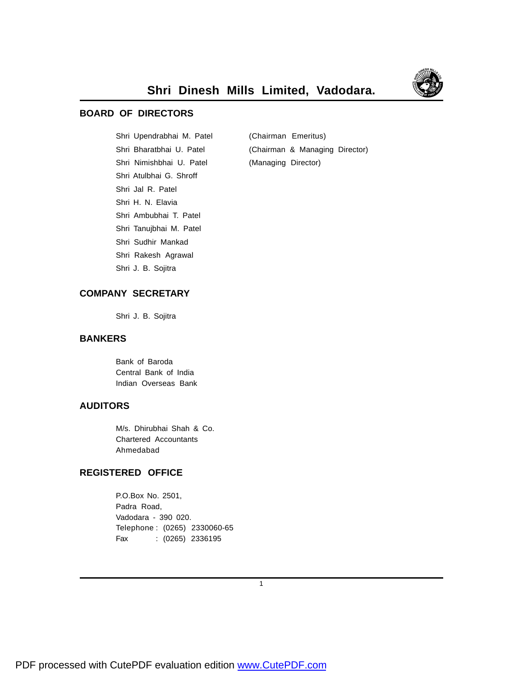

#### **BOARD OF DIRECTORS**

Shri Upendrabhai M. Patel (Chairman Emeritus) Shri Nimishbhai U. Patel (Managing Director) Shri Atulbhai G. Shroff Shri Jal R. Patel Shri H. N. Elavia Shri Ambubhai T. Patel Shri Tanujbhai M. Patel Shri Sudhir Mankad Shri Rakesh Agrawal Shri J. B. Sojitra

Shri Bharatbhai U. Patel (Chairman & Managing Director)

#### **COMPANY SECRETARY**

Shri J. B. Sojitra

#### **BANKERS**

Bank of Baroda Central Bank of India Indian Overseas Bank

#### **AUDITORS**

M/s. Dhirubhai Shah & Co. Chartered Accountants Ahmedabad

#### **REGISTERED OFFICE**

P.O.Box No. 2501, Padra Road, Vadodara - 390 020. Telephone : (0265) 2330060-65 Fax : (0265) 2336195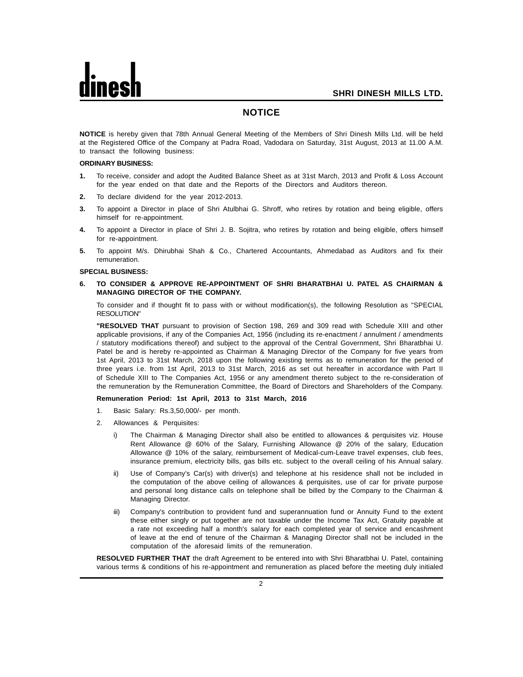#### **NOTICE**

**NOTICE** is hereby given that 78th Annual General Meeting of the Members of Shri Dinesh Mills Ltd. will be held at the Registered Office of the Company at Padra Road, Vadodara on Saturday, 31st August, 2013 at 11.00 A.M. to transact the following business:

#### **ORDINARY BUSINESS:**

- **1.** To receive, consider and adopt the Audited Balance Sheet as at 31st March, 2013 and Profit & Loss Account for the year ended on that date and the Reports of the Directors and Auditors thereon.
- **2.** To declare dividend for the year 2012-2013.
- **3.** To appoint a Director in place of Shri Atulbhai G. Shroff, who retires by rotation and being eligible, offers himself for re-appointment.
- **4.** To appoint a Director in place of Shri J. B. Sojitra, who retires by rotation and being eligible, offers himself for re-appointment.
- **5.** To appoint M/s. Dhirubhai Shah & Co., Chartered Accountants, Ahmedabad as Auditors and fix their remuneration.

#### **SPECIAL BUSINESS:**

**6. TO CONSIDER & APPROVE RE-APPOINTMENT OF SHRI BHARATBHAI U. PATEL AS CHAIRMAN & MANAGING DIRECTOR OF THE COMPANY.**

To consider and if thought fit to pass with or without modification(s), the following Resolution as "SPECIAL RESOLUTION"

**"RESOLVED THAT** pursuant to provision of Section 198, 269 and 309 read with Schedule XIII and other applicable provisions, if any of the Companies Act, 1956 (including its re-enactment / annulment / amendments / statutory modifications thereof) and subject to the approval of the Central Government, Shri Bharatbhai U. Patel be and is hereby re-appointed as Chairman & Managing Director of the Company for five years from 1st April, 2013 to 31st March, 2018 upon the following existing terms as to remuneration for the period of three years i.e. from 1st April, 2013 to 31st March, 2016 as set out hereafter in accordance with Part II of Schedule XIII to The Companies Act, 1956 or any amendment thereto subject to the re-consideration of the remuneration by the Remuneration Committee, the Board of Directors and Shareholders of the Company.

#### **Remuneration Period: 1st April, 2013 to 31st March, 2016**

- 1. Basic Salary: Rs.3,50,000/- per month.
- 2. Allowances & Perquisites:
	- i) The Chairman & Managing Director shall also be entitled to allowances & perquisites viz. House Rent Allowance @ 60% of the Salary, Furnishing Allowance @ 20% of the salary, Education Allowance @ 10% of the salary, reimbursement of Medical-cum-Leave travel expenses, club fees, insurance premium, electricity bills, gas bills etc. subject to the overall ceiling of his Annual salary.
	- ii) Use of Company's Car(s) with driver(s) and telephone at his residence shall not be included in the computation of the above ceiling of allowances & perquisites, use of car for private purpose and personal long distance calls on telephone shall be billed by the Company to the Chairman & Managing Director.
	- iii) Company's contribution to provident fund and superannuation fund or Annuity Fund to the extent these either singly or put together are not taxable under the Income Tax Act, Gratuity payable at a rate not exceeding half a month's salary for each completed year of service and encashment of leave at the end of tenure of the Chairman & Managing Director shall not be included in the computation of the aforesaid limits of the remuneration.

**RESOLVED FURTHER THAT** the draft Agreement to be entered into with Shri Bharatbhai U. Patel, containing various terms & conditions of his re-appointment and remuneration as placed before the meeting duly initialed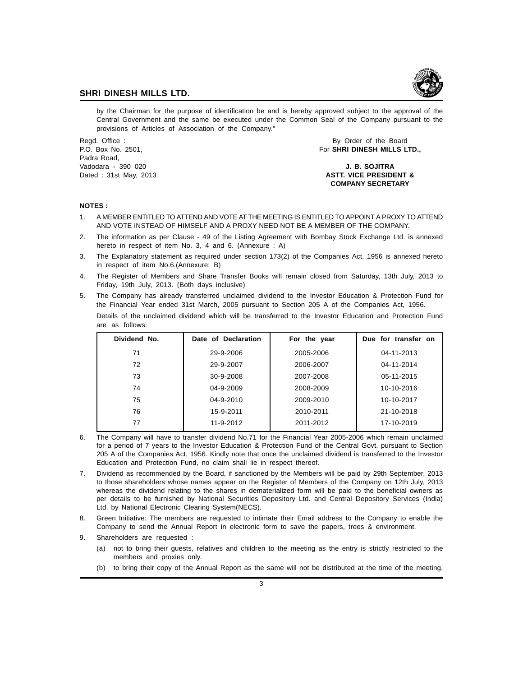

by the Chairman for the purpose of identification be and is hereby approved subject to the approval of the Central Government and the same be executed under the Common Seal of the Company pursuant to the provisions of Articles of Association of the Company."

Padra Road, Vadodara - 390 020 **J. B. SOJITRA**

Regd. Office : By Order of the Board Changes and Changes and Changes and Changes and Changes and Changes and Changes and Changes and Changes and Changes and Changes and Changes and Changes and Changes and Changes and Chang P.O. Box No. 2501, For **SHRI DINESH MILLS LTD.,**

## Dated : 31st May, 2013 **ASTT. VICE PRESIDENT & COMPANY SECRETARY**

#### **NOTES :**

- 1. A MEMBER ENTITLED TO ATTEND AND VOTE AT THE MEETING IS ENTITLED TO APPOINT A PROXY TO ATTEND AND VOTE INSTEAD OF HIMSELF AND A PROXY NEED NOT BE A MEMBER OF THE COMPANY.
- 2. The information as per Clause 49 of the Listing Agreement with Bombay Stock Exchange Ltd. is annexed hereto in respect of item No. 3, 4 and 6. (Annexure : A)
- 3. The Explanatory statement as required under section 173(2) of the Companies Act, 1956 is annexed hereto in respect of item No.6.(Annexure: B)
- 4. The Register of Members and Share Transfer Books will remain closed from Saturday, 13th July, 2013 to Friday, 19th July, 2013. (Both days inclusive)
- 5. The Company has already transferred unclaimed dividend to the Investor Education & Protection Fund for the Financial Year ended 31st March, 2005 pursuant to Section 205 A of the Companies Act, 1956. Details of the unclaimed dividend which will be transferred to the Investor Education and Protection Fund are as follows:

| Dividend No. | Date of Declaration | For the year | Due for transfer on |
|--------------|---------------------|--------------|---------------------|
| 71           | 29-9-2006           | 2005-2006    | 04-11-2013          |
| 72           | 29-9-2007           | 2006-2007    | 04-11-2014          |
| 73           | 30-9-2008           | 2007-2008    | 05-11-2015          |
| 74           | 04-9-2009           | 2008-2009    | 10-10-2016          |
| 75           | 04-9-2010           | 2009-2010    | 10-10-2017          |
| 76           | 15-9-2011           | 2010-2011    | 21-10-2018          |
| 77           | 11-9-2012           | 2011-2012    | 17-10-2019          |

- 6. The Company will have to transfer dividend No.71 for the Financial Year 2005-2006 which remain unclaimed for a period of 7 years to the Investor Education & Protection Fund of the Central Govt. pursuant to Section 205 A of the Companies Act, 1956. Kindly note that once the unclaimed dividend is transferred to the Investor Education and Protection Fund, no claim shall lie in respect thereof.
- 7. Dividend as recommended by the Board, if sanctioned by the Members will be paid by 29th September, 2013 to those shareholders whose names appear on the Register of Members of the Company on 12th July, 2013 whereas the dividend relating to the shares in dematerialized form will be paid to the beneficial owners as per details to be furnished by National Securities Depository Ltd. and Central Depository Services (India) Ltd. by National Electronic Clearing System(NECS).
- 8. Green Initiative: The members are requested to intimate their Email address to the Company to enable the Company to send the Annual Report in electronic form to save the papers, trees & environment.
- 9. Shareholders are requested :
	- (a) not to bring their guests, relatives and children to the meeting as the entry is strictly restricted to the members and proxies only.
	- (b) to bring their copy of the Annual Report as the same will not be distributed at the time of the meeting.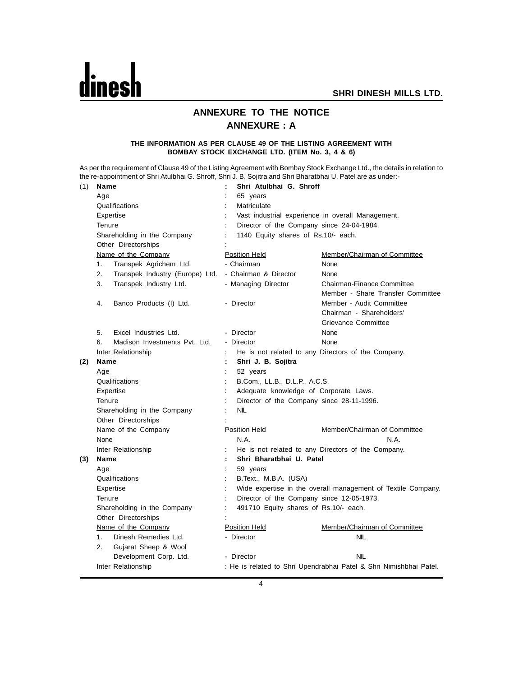

## **ANNEXURE TO THE NOTICE ANNEXURE : A**

#### **THE INFORMATION AS PER CLAUSE 49 OF THE LISTING AGREEMENT WITH BOMBAY STOCK EXCHANGE LTD. (ITEM No. 3, 4 & 6)**

As per the requirement of Clause 49 of the Listing Agreement with Bombay Stock Exchange Ltd., the details in relation to the re-appointment of Shri Atulbhai G. Shroff, Shri J. B. Sojitra and Shri Bharatbhai U. Patel are as under:-

| (1) | Name                                  | Shri Atulbhai G. Shroff<br>÷                                                           |  |  |  |  |
|-----|---------------------------------------|----------------------------------------------------------------------------------------|--|--|--|--|
|     | Age                                   | 65 years                                                                               |  |  |  |  |
|     | Qualifications                        | Matriculate                                                                            |  |  |  |  |
|     | Expertise                             | Vast industrial experience in overall Management.                                      |  |  |  |  |
|     | Tenure                                | Director of the Company since 24-04-1984.<br>$\ddot{\cdot}$                            |  |  |  |  |
|     | Shareholding in the Company           | 1140 Equity shares of Rs.10/- each.                                                    |  |  |  |  |
|     | Other Directorships                   |                                                                                        |  |  |  |  |
|     | Name of the Company                   | <b>Position Held</b><br>Member/Chairman of Committee                                   |  |  |  |  |
|     | 1.<br>Transpek Agrichem Ltd.          | - Chairman<br>None                                                                     |  |  |  |  |
|     | 2.<br>Transpek Industry (Europe) Ltd. | - Chairman & Director<br>None                                                          |  |  |  |  |
|     | 3.<br>Transpek Industry Ltd.          | Chairman-Finance Committee<br>- Managing Director<br>Member - Share Transfer Committee |  |  |  |  |
|     | 4.<br>Banco Products (I) Ltd.         | Member - Audit Committee<br>- Director<br>Chairman - Shareholders'                     |  |  |  |  |
|     |                                       | <b>Grievance Committee</b>                                                             |  |  |  |  |
|     | 5.<br>Excel Industries Ltd.           | - Director<br>None                                                                     |  |  |  |  |
|     | 6.<br>Madison Investments Pyt. Ltd.   | - Director<br>None                                                                     |  |  |  |  |
|     | Inter Relationship                    | He is not related to any Directors of the Company.                                     |  |  |  |  |
| (2) | Name                                  | Shri J. B. Sojitra<br>÷                                                                |  |  |  |  |
|     | Age                                   | 52 years                                                                               |  |  |  |  |
|     | Qualifications                        | B.Com., LL.B., D.L.P., A.C.S.                                                          |  |  |  |  |
|     | Expertise                             | Adequate knowledge of Corporate Laws.<br>$\ddot{\phantom{a}}$                          |  |  |  |  |
|     | Tenure                                | Director of the Company since 28-11-1996.<br>$\ddot{\cdot}$                            |  |  |  |  |
|     | Shareholding in the Company           | <b>NIL</b>                                                                             |  |  |  |  |
|     | Other Directorships                   |                                                                                        |  |  |  |  |
|     | Name of the Company                   | <b>Position Held</b><br>Member/Chairman of Committee                                   |  |  |  |  |
|     | None                                  | N.A.<br>N.A.                                                                           |  |  |  |  |
|     | Inter Relationship                    | He is not related to any Directors of the Company.                                     |  |  |  |  |
| (3) | Name                                  | Shri Bharatbhai U. Patel<br>÷                                                          |  |  |  |  |
|     | Age                                   | 59 years                                                                               |  |  |  |  |
|     | Qualifications                        | B.Text., M.B.A. (USA)                                                                  |  |  |  |  |
|     | Expertise                             | Wide expertise in the overall management of Textile Company.                           |  |  |  |  |
|     | Tenure                                | Director of the Company since 12-05-1973.                                              |  |  |  |  |
|     | Shareholding in the Company           | 491710 Equity shares of Rs.10/- each.                                                  |  |  |  |  |
|     | Other Directorships                   |                                                                                        |  |  |  |  |
|     | Name of the Company                   | Position Held<br>Member/Chairman of Committee                                          |  |  |  |  |
|     | Dinesh Remedies Ltd.<br>1.            | <b>NIL</b><br>- Director                                                               |  |  |  |  |
|     | 2.<br>Gujarat Sheep & Wool            |                                                                                        |  |  |  |  |
|     | Development Corp. Ltd.                | <b>NIL</b><br>- Director                                                               |  |  |  |  |
|     | Inter Relationship                    | : He is related to Shri Upendrabhai Patel & Shri Nimishbhai Patel.                     |  |  |  |  |
|     |                                       |                                                                                        |  |  |  |  |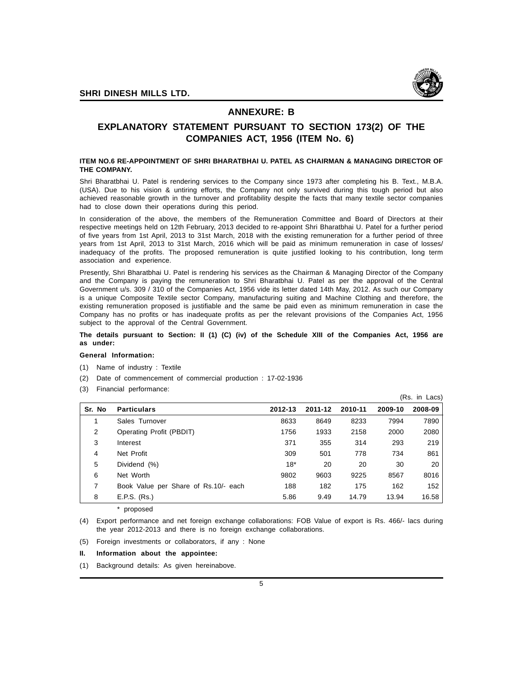

#### **ANNEXURE: B**

### **EXPLANATORY STATEMENT PURSUANT TO SECTION 173(2) OF THE COMPANIES ACT, 1956 (ITEM No. 6)**

#### **ITEM NO.6 RE-APPOINTMENT OF SHRI BHARATBHAI U. PATEL AS CHAIRMAN & MANAGING DIRECTOR OF THE COMPANY.**

Shri Bharatbhai U. Patel is rendering services to the Company since 1973 after completing his B. Text., M.B.A. (USA). Due to his vision & untiring efforts, the Company not only survived during this tough period but also achieved reasonable growth in the turnover and profitability despite the facts that many textile sector companies had to close down their operations during this period.

In consideration of the above, the members of the Remuneration Committee and Board of Directors at their respective meetings held on 12th February, 2013 decided to re-appoint Shri Bharatbhai U. Patel for a further period of five years from 1st April, 2013 to 31st March, 2018 with the existing remuneration for a further period of three years from 1st April, 2013 to 31st March, 2016 which will be paid as minimum remuneration in case of losses/ inadequacy of the profits. The proposed remuneration is quite justified looking to his contribution, long term association and experience.

Presently, Shri Bharatbhai U. Patel is rendering his services as the Chairman & Managing Director of the Company and the Company is paying the remuneration to Shri Bharatbhai U. Patel as per the approval of the Central Government u/s. 309 / 310 of the Companies Act, 1956 vide its letter dated 14th May, 2012. As such our Company is a unique Composite Textile sector Company, manufacturing suiting and Machine Clothing and therefore, the existing remuneration proposed is justifiable and the same be paid even as minimum remuneration in case the Company has no profits or has inadequate profits as per the relevant provisions of the Companies Act, 1956 subject to the approval of the Central Government.

#### **The details pursuant to Section: II (1) (C) (iv) of the Schedule XIII of the Companies Act, 1956 are as under:**

#### **General Information:**

- (1) Name of industry : Textile
- (2) Date of commencement of commercial production : 17-02-1936
- (3) Financial performance:

|        |                                      |         |         |         |         | (Rs. in Lacs) |
|--------|--------------------------------------|---------|---------|---------|---------|---------------|
| Sr. No | <b>Particulars</b>                   | 2012-13 | 2011-12 | 2010-11 | 2009-10 | 2008-09       |
|        | Sales Turnover                       | 8633    | 8649    | 8233    | 7994    | 7890          |
| 2      | Operating Profit (PBDIT)             | 1756    | 1933    | 2158    | 2000    | 2080          |
| 3      | Interest                             | 371     | 355     | 314     | 293     | 219           |
| 4      | Net Profit                           | 309     | 501     | 778     | 734     | 861           |
| 5      | Dividend (%)                         | $18*$   | 20      | 20      | 30      | 20            |
| 6      | Net Worth                            | 9802    | 9603    | 9225    | 8567    | 8016          |
| 7      | Book Value per Share of Rs.10/- each | 188     | 182     | 175     | 162     | 152           |
| 8      | E.P.S. (Rs.)                         | 5.86    | 9.49    | 14.79   | 13.94   | 16.58         |

\* proposed

(4) Export performance and net foreign exchange collaborations: FOB Value of export is Rs. 466/- lacs during the year 2012-2013 and there is no foreign exchange collaborations.

- (5) Foreign investments or collaborators, if any : None
- **II. Information about the appointee:**

(1) Background details: As given hereinabove.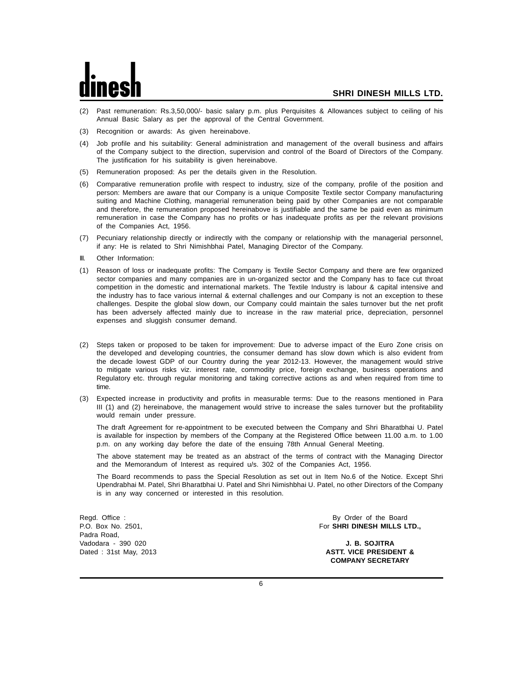- (2) Past remuneration: Rs.3,50,000/- basic salary p.m. plus Perquisites & Allowances subject to ceiling of his Annual Basic Salary as per the approval of the Central Government.
- (3) Recognition or awards: As given hereinabove.
- (4) Job profile and his suitability: General administration and management of the overall business and affairs of the Company subject to the direction, supervision and control of the Board of Directors of the Company. The justification for his suitability is given hereinabove.
- (5) Remuneration proposed: As per the details given in the Resolution.
- (6) Comparative remuneration profile with respect to industry, size of the company, profile of the position and person: Members are aware that our Company is a unique Composite Textile sector Company manufacturing suiting and Machine Clothing, managerial remuneration being paid by other Companies are not comparable and therefore, the remuneration proposed hereinabove is justifiable and the same be paid even as minimum remuneration in case the Company has no profits or has inadequate profits as per the relevant provisions of the Companies Act, 1956.
- (7) Pecuniary relationship directly or indirectly with the company or relationship with the managerial personnel, if any: He is related to Shri Nimishbhai Patel, Managing Director of the Company.
- III. Other Information:
- (1) Reason of loss or inadequate profits: The Company is Textile Sector Company and there are few organized sector companies and many companies are in un-organized sector and the Company has to face cut throat competition in the domestic and international markets. The Textile Industry is labour & capital intensive and the industry has to face various internal & external challenges and our Company is not an exception to these challenges. Despite the global slow down, our Company could maintain the sales turnover but the net profit has been adversely affected mainly due to increase in the raw material price, depreciation, personnel expenses and sluggish consumer demand.
- (2) Steps taken or proposed to be taken for improvement: Due to adverse impact of the Euro Zone crisis on the developed and developing countries, the consumer demand has slow down which is also evident from the decade lowest GDP of our Country during the year 2012-13. However, the management would strive to mitigate various risks viz. interest rate, commodity price, foreign exchange, business operations and Regulatory etc. through regular monitoring and taking corrective actions as and when required from time to time.
- (3) Expected increase in productivity and profits in measurable terms: Due to the reasons mentioned in Para III (1) and (2) hereinabove, the management would strive to increase the sales turnover but the profitability would remain under pressure.

The draft Agreement for re-appointment to be executed between the Company and Shri Bharatbhai U. Patel is available for inspection by members of the Company at the Registered Office between 11.00 a.m. to 1.00 p.m. on any working day before the date of the ensuing 78th Annual General Meeting.

The above statement may be treated as an abstract of the terms of contract with the Managing Director and the Memorandum of Interest as required u/s. 302 of the Companies Act, 1956.

The Board recommends to pass the Special Resolution as set out in Item No.6 of the Notice. Except Shri Upendrabhai M. Patel, Shri Bharatbhai U. Patel and Shri Nimishbhai U. Patel, no other Directors of the Company is in any way concerned or interested in this resolution.

Padra Road, Vadodara - 390 020 **J. B. SOJITRA**

Regd. Office : By Order of the Board<br>
P.O. Box No. 2501, C. Box No. 2501, C. Box No. 2501, C. Box No. 2501, C. Box No. 2501, C. Box No. 2501, C. Box N For SHRI DINESH MILLS LTD.,

Dated : 31st May, 2013 **ASTT. VICE PRESIDENT & COMPANY SECRETARY**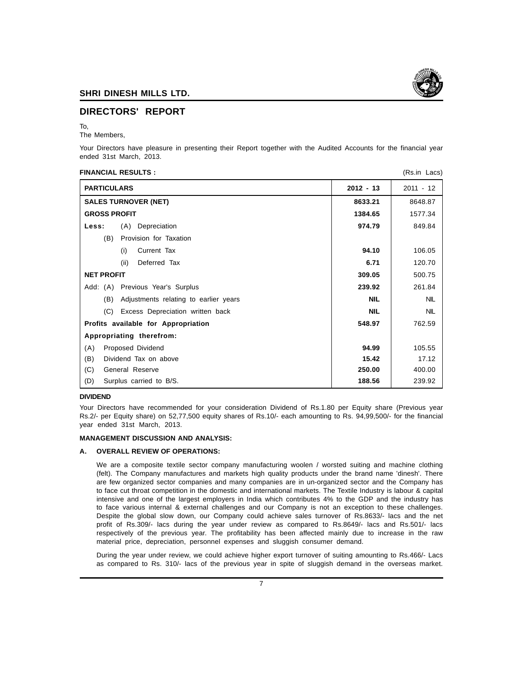

#### **DIRECTORS' REPORT**

#### To,

The Members,

Your Directors have pleasure in presenting their Report together with the Audited Accounts for the financial year ended 31st March, 2013.

#### **FINANCIAL RESULTS :** (Rs.in Lacs)

| <b>PARTICULARS</b>                           | $2012 - 13$ | $2011 - 12$ |
|----------------------------------------------|-------------|-------------|
| <b>SALES TURNOVER (NET)</b>                  | 8633.21     | 8648.87     |
| <b>GROSS PROFIT</b>                          | 1384.65     | 1577.34     |
| (A) Depreciation<br>Less:                    | 974.79      | 849.84      |
| (B)<br>Provision for Taxation                |             |             |
| (i)<br>Current Tax                           | 94.10       | 106.05      |
| (ii)<br>Deferred Tax                         | 6.71        | 120.70      |
| <b>NET PROFIT</b>                            | 309.05      | 500.75      |
| Add: (A) Previous Year's Surplus             | 239.92      | 261.84      |
| Adjustments relating to earlier years<br>(B) | <b>NIL</b>  | <b>NIL</b>  |
| (C) Excess Depreciation written back         | <b>NIL</b>  | <b>NIL</b>  |
| Profits available for Appropriation          | 548.97      | 762.59      |
| Appropriating therefrom:                     |             |             |
| Proposed Dividend<br>(A)                     | 94.99       | 105.55      |
| Dividend Tax on above<br>(B)                 | 15.42       | 17.12       |
| (C)<br>General Reserve                       | 250.00      | 400.00      |
| (D)<br>Surplus carried to B/S.               | 188.56      | 239.92      |

#### **DIVIDEND**

Your Directors have recommended for your consideration Dividend of Rs.1.80 per Equity share (Previous year Rs.2/- per Equity share) on 52,77,500 equity shares of Rs.10/- each amounting to Rs. 94,99,500/- for the financial year ended 31st March, 2013.

#### **MANAGEMENT DISCUSSION AND ANALYSIS:**

#### **A. OVERALL REVIEW OF OPERATIONS:**

We are a composite textile sector company manufacturing woolen / worsted suiting and machine clothing (felt). The Company manufactures and markets high quality products under the brand name 'dinesh'. There are few organized sector companies and many companies are in un-organized sector and the Company has to face cut throat competition in the domestic and international markets. The Textile Industry is labour & capital intensive and one of the largest employers in India which contributes 4% to the GDP and the industry has to face various internal & external challenges and our Company is not an exception to these challenges. Despite the global slow down, our Company could achieve sales turnover of Rs.8633/- lacs and the net profit of Rs.309/- lacs during the year under review as compared to Rs.8649/- lacs and Rs.501/- lacs respectively of the previous year. The profitability has been affected mainly due to increase in the raw material price, depreciation, personnel expenses and sluggish consumer demand.

During the year under review, we could achieve higher export turnover of suiting amounting to Rs.466/- Lacs as compared to Rs. 310/- lacs of the previous year in spite of sluggish demand in the overseas market.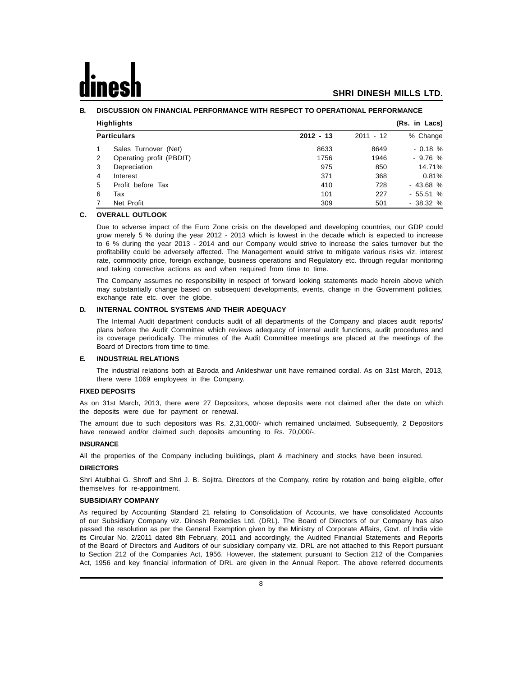#### **B. DISCUSSION ON FINANCIAL PERFORMANCE WITH RESPECT TO OPERATIONAL PERFORMANCE**

|   | <b>Highlights</b><br>(Rs. in Lacs) |             |             |           |  |
|---|------------------------------------|-------------|-------------|-----------|--|
|   | <b>Particulars</b>                 | $2012 - 13$ | $2011 - 12$ | % Change  |  |
|   | Sales Turnover (Net)               | 8633        | 8649        | $-0.18%$  |  |
| 2 | Operating profit (PBDIT)           | 1756        | 1946        | $-9.76%$  |  |
| 3 | Depreciation                       | 975         | 850         | 14.71%    |  |
| 4 | Interest                           | 371         | 368         | 0.81%     |  |
| 5 | Profit before Tax                  | 410         | 728         | $-43.68%$ |  |
| 6 | Tax                                | 101         | 227         | $-55.51%$ |  |
|   | Net Profit                         | 309         | 501         | $-38.32%$ |  |

#### **C. OVERALL OUTLOOK**

Due to adverse impact of the Euro Zone crisis on the developed and developing countries, our GDP could grow merely 5 % during the year 2012 - 2013 which is lowest in the decade which is expected to increase to 6 % during the year 2013 - 2014 and our Company would strive to increase the sales turnover but the profitability could be adversely affected. The Management would strive to mitigate various risks viz. interest rate, commodity price, foreign exchange, business operations and Regulatory etc. through regular monitoring and taking corrective actions as and when required from time to time.

The Company assumes no responsibility in respect of forward looking statements made herein above which may substantially change based on subsequent developments, events, change in the Government policies, exchange rate etc. over the globe.

#### **D. INTERNAL CONTROL SYSTEMS AND THEIR ADEQUACY**

The Internal Audit department conducts audit of all departments of the Company and places audit reports/ plans before the Audit Committee which reviews adequacy of internal audit functions, audit procedures and its coverage periodically. The minutes of the Audit Committee meetings are placed at the meetings of the Board of Directors from time to time.

#### **E. INDUSTRIAL RELATIONS**

The industrial relations both at Baroda and Ankleshwar unit have remained cordial. As on 31st March, 2013, there were 1069 employees in the Company.

#### **FIXED DEPOSITS**

As on 31st March, 2013, there were 27 Depositors, whose deposits were not claimed after the date on which the deposits were due for payment or renewal.

The amount due to such depositors was Rs. 2,31,000/- which remained unclaimed. Subsequently, 2 Depositors have renewed and/or claimed such deposits amounting to Rs. 70,000/-.

#### **INSURANCE**

All the properties of the Company including buildings, plant & machinery and stocks have been insured.

#### **DIRECTORS**

Shri Atulbhai G. Shroff and Shri J. B. Sojitra, Directors of the Company, retire by rotation and being eligible, offer themselves for re-appointment.

#### **SUBSIDIARY COMPANY**

As required by Accounting Standard 21 relating to Consolidation of Accounts, we have consolidated Accounts of our Subsidiary Company viz. Dinesh Remedies Ltd. (DRL). The Board of Directors of our Company has also passed the resolution as per the General Exemption given by the Ministry of Corporate Affairs, Govt. of India vide its Circular No. 2/2011 dated 8th February, 2011 and accordingly, the Audited Financial Statements and Reports of the Board of Directors and Auditors of our subsidiary company viz. DRL are not attached to this Report pursuant to Section 212 of the Companies Act, 1956. However, the statement pursuant to Section 212 of the Companies Act, 1956 and key financial information of DRL are given in the Annual Report. The above referred documents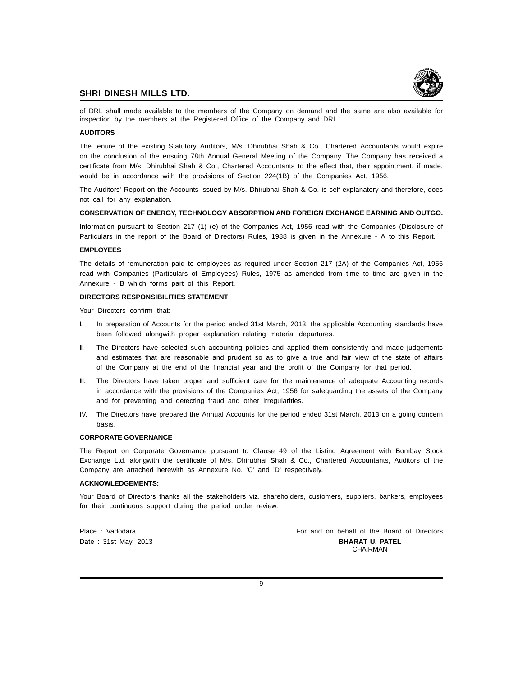

of DRL shall made available to the members of the Company on demand and the same are also available for inspection by the members at the Registered Office of the Company and DRL.

#### **AUDITORS**

The tenure of the existing Statutory Auditors, M/s. Dhirubhai Shah & Co., Chartered Accountants would expire on the conclusion of the ensuing 78th Annual General Meeting of the Company. The Company has received a certificate from M/s. Dhirubhai Shah & Co., Chartered Accountants to the effect that, their appointment, if made, would be in accordance with the provisions of Section 224(1B) of the Companies Act, 1956.

The Auditors' Report on the Accounts issued by M/s. Dhirubhai Shah & Co. is self-explanatory and therefore, does not call for any explanation.

#### **CONSERVATION OF ENERGY, TECHNOLOGY ABSORPTION AND FOREIGN EXCHANGE EARNING AND OUTGO.**

Information pursuant to Section 217 (1) (e) of the Companies Act, 1956 read with the Companies (Disclosure of Particulars in the report of the Board of Directors) Rules, 1988 is given in the Annexure - A to this Report.

#### **EMPLOYEES**

The details of remuneration paid to employees as required under Section 217 (2A) of the Companies Act, 1956 read with Companies (Particulars of Employees) Rules, 1975 as amended from time to time are given in the Annexure - B which forms part of this Report.

#### **DIRECTORS RESPONSIBILITIES STATEMENT**

Your Directors confirm that:

- I. In preparation of Accounts for the period ended 31st March, 2013, the applicable Accounting standards have been followed alongwith proper explanation relating material departures.
- II. The Directors have selected such accounting policies and applied them consistently and made judgements and estimates that are reasonable and prudent so as to give a true and fair view of the state of affairs of the Company at the end of the financial year and the profit of the Company for that period.
- III. The Directors have taken proper and sufficient care for the maintenance of adequate Accounting records in accordance with the provisions of the Companies Act, 1956 for safeguarding the assets of the Company and for preventing and detecting fraud and other irregularities.
- IV. The Directors have prepared the Annual Accounts for the period ended 31st March, 2013 on a going concern basis.

#### **CORPORATE GOVERNANCE**

The Report on Corporate Governance pursuant to Clause 49 of the Listing Agreement with Bombay Stock Exchange Ltd. alongwith the certificate of M/s. Dhirubhai Shah & Co., Chartered Accountants, Auditors of the Company are attached herewith as Annexure No. 'C' and 'D' respectively.

#### **ACKNOWLEDGEMENTS:**

Your Board of Directors thanks all the stakeholders viz. shareholders, customers, suppliers, bankers, employees for their continuous support during the period under review.

Place : Vadodara **For and on behalf of the Board of Directors** Date : 31st May, 2013 **BHARAT U. PATEL CHAIRMAN**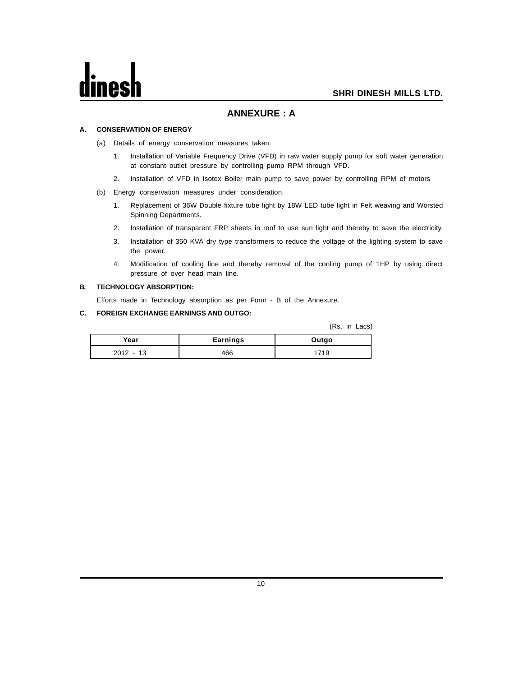#### **ANNEXURE : A**

#### **A. CONSERVATION OF ENERGY**

- (a) Details of energy conservation measures taken:
	- 1. Installation of Variable Frequency Drive (VFD) in raw water supply pump for soft water generation at constant outlet pressure by controlling pump RPM through VFD.
	- 2. Installation of VFD in Isotex Boiler main pump to save power by controlling RPM of motors
- (b) Energy conservation measures under consideration.
	- 1. Replacement of 36W Double fixture tube light by 18W LED tube light in Felt weaving and Worsted Spinning Departments.
	- 2. Installation of transparent FRP sheets in roof to use sun light and thereby to save the electricity.
	- 3. Installation of 350 KVA dry type transformers to reduce the voltage of the lighting system to save the power.
	- 4. Modification of cooling line and thereby removal of the cooling pump of 1HP by using direct pressure of over head main line.

#### **B. TECHNOLOGY ABSORPTION:**

Efforts made in Technology absorption as per Form - B of the Annexure.

#### **C. FOREIGN EXCHANGE EARNINGS AND OUTGO:**

(Rs. in Lacs)

| Year       | <b>Earnings</b> | Outgo |
|------------|-----------------|-------|
| 2012<br>12 | 466             |       |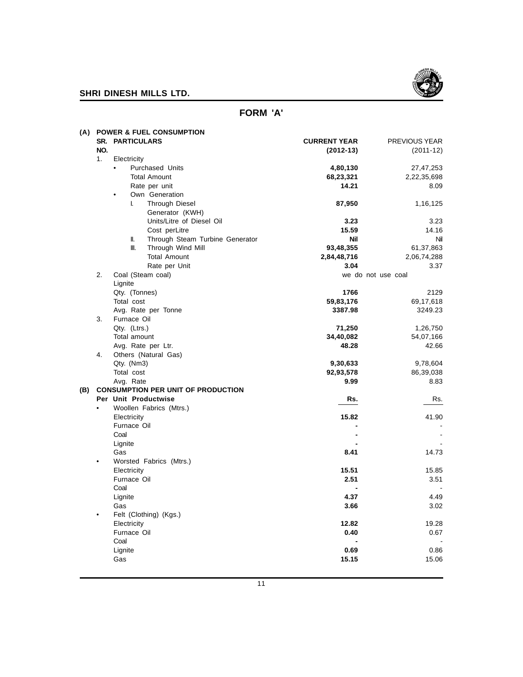

## **FORM 'A'**

| (A) |           | <b>POWER &amp; FUEL CONSUMPTION</b><br><b>SR. PARTICULARS</b> | <b>CURRENT YEAR</b> | PREVIOUS YEAR         |
|-----|-----------|---------------------------------------------------------------|---------------------|-----------------------|
|     | NO.       |                                                               | $(2012-13)$         | $(2011-12)$           |
|     | 1.        | Electricity                                                   |                     |                       |
|     |           | Purchased Units<br>٠                                          | 4,80,130            | 27,47,253             |
|     |           | <b>Total Amount</b>                                           | 68,23,321           | 2,22,35,698           |
|     |           | Rate per unit                                                 | 14.21               | 8.09                  |
|     |           | Own Generation<br>$\bullet$                                   |                     |                       |
|     |           | L.<br><b>Through Diesel</b>                                   | 87,950              | 1,16,125              |
|     |           | Generator (KWH)                                               |                     |                       |
|     |           | Units/Litre of Diesel Oil                                     | 3.23                | 3.23                  |
|     |           | Cost perLitre                                                 | 15.59               | 14.16                 |
|     |           | Through Steam Turbine Generator<br>II.                        | Nil                 | Nil                   |
|     |           | Ⅲ.<br>Through Wind Mill                                       | 93,48,355           | 61,37,863             |
|     |           | <b>Total Amount</b>                                           | 2,84,48,716         | 2,06,74,288           |
|     |           | Rate per Unit                                                 | 3.04                | 3.37                  |
|     | 2.        | Coal (Steam coal)                                             |                     | we do not use coal    |
|     |           | Lignite                                                       |                     |                       |
|     |           | Qty. (Tonnes)                                                 | 1766                | 2129                  |
|     |           | Total cost                                                    | 59,83,176           | 69,17,618             |
|     |           | Avg. Rate per Tonne                                           | 3387.98             | 3249.23               |
|     | 3.        | Furnace Oil                                                   |                     |                       |
|     |           | Qty. (Ltrs.)<br>Total amount                                  | 71,250<br>34,40,082 | 1,26,750<br>54,07,166 |
|     |           | Avg. Rate per Ltr.                                            | 48.28               | 42.66                 |
|     | 4.        | Others (Natural Gas)                                          |                     |                       |
|     |           | Qty. (Nm3)                                                    | 9,30,633            | 9,78,604              |
|     |           | Total cost                                                    | 92,93,578           | 86,39,038             |
|     |           | Avg. Rate                                                     | 9.99                | 8.83                  |
| (B) |           | <b>CONSUMPTION PER UNIT OF PRODUCTION</b>                     |                     |                       |
|     |           | Per Unit Productwise                                          | Rs.                 | Rs.                   |
|     | $\bullet$ | Woollen Fabrics (Mtrs.)                                       |                     |                       |
|     |           | Electricity                                                   | 15.82               | 41.90                 |
|     |           | Furnace Oil                                                   |                     |                       |
|     |           | Coal                                                          |                     |                       |
|     |           | Lignite                                                       |                     |                       |
|     |           | Gas                                                           | 8.41                | 14.73                 |
|     | $\bullet$ | Worsted Fabrics (Mtrs.)                                       |                     |                       |
|     |           | Electricity                                                   | 15.51               | 15.85                 |
|     |           | Furnace Oil                                                   | 2.51                | 3.51                  |
|     |           | Coal                                                          |                     |                       |
|     |           | Lignite                                                       | 4.37                | 4.49                  |
|     |           | Gas                                                           | 3.66                | 3.02                  |
|     | $\bullet$ | Felt (Clothing) (Kgs.)                                        |                     |                       |
|     |           | Electricity                                                   | 12.82               | 19.28                 |
|     |           | Furnace Oil                                                   | 0.40                | 0.67                  |
|     |           | Coal                                                          |                     |                       |
|     |           | Lignite                                                       | 0.69                | 0.86                  |
|     |           | Gas                                                           | 15.15               | 15.06                 |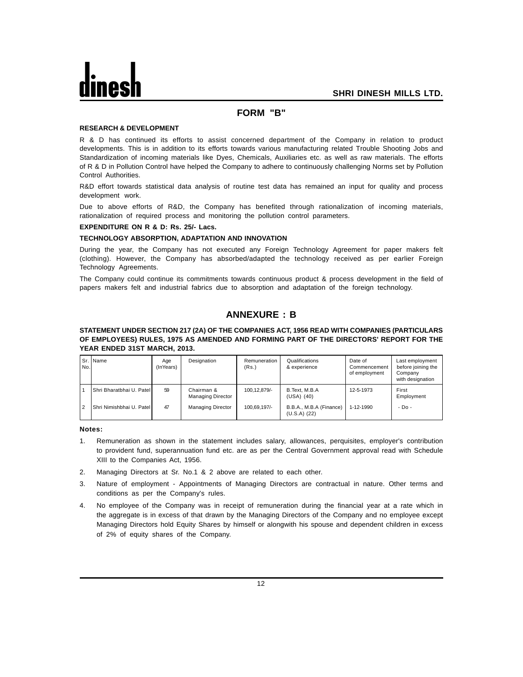#### **FORM "B"**

#### **RESEARCH & DEVELOPMENT**

R & D has continued its efforts to assist concerned department of the Company in relation to product developments. This is in addition to its efforts towards various manufacturing related Trouble Shooting Jobs and Standardization of incoming materials like Dyes, Chemicals, Auxiliaries etc. as well as raw materials. The efforts of R & D in Pollution Control have helped the Company to adhere to continuously challenging Norms set by Pollution Control Authorities.

R&D effort towards statistical data analysis of routine test data has remained an input for quality and process development work.

Due to above efforts of R&D, the Company has benefited through rationalization of incoming materials, rationalization of required process and monitoring the pollution control parameters.

#### **EXPENDITURE ON R & D: Rs. 25/- Lacs.**

#### **TECHNOLOGY ABSORPTION, ADAPTATION AND INNOVATION**

During the year, the Company has not executed any Foreign Technology Agreement for paper makers felt (clothing). However, the Company has absorbed/adapted the technology received as per earlier Foreign Technology Agreements.

The Company could continue its commitments towards continuous product & process development in the field of papers makers felt and industrial fabrics due to absorption and adaptation of the foreign technology.

#### **ANNEXURE : B**

#### **STATEMENT UNDER SECTION 217 (2A) OF THE COMPANIES ACT, 1956 READ WITH COMPANIES (PARTICULARS OF EMPLOYEES) RULES, 1975 AS AMENDED AND FORMING PART OF THE DIRECTORS' REPORT FOR THE YEAR ENDED 31ST MARCH, 2013.**

| No. | Sr. IName                   | Age<br>(InYears) | Designation                            | Remuneration<br>(Rs.) | Qualifications<br>& experience            | Date of<br>Commencement<br>of employment | Last employment<br>before joining the<br>Company<br>with designation |
|-----|-----------------------------|------------------|----------------------------------------|-----------------------|-------------------------------------------|------------------------------------------|----------------------------------------------------------------------|
|     | İShri Bharatbhai U. Patelİ  | 59               | Chairman &<br><b>Managing Director</b> | 100.12.879/-          | B.Text. M.B.A<br>$(USA)$ $(40)$           | 12-5-1973                                | First<br>Employment                                                  |
| 12  | İShri Nimishbhai U. Patel İ | 47               | <b>Managing Director</b>               | 100.69.197/-          | B.B.A., M.B.A (Finance)<br>$(U.S.A)$ (22) | 1-12-1990                                | $-D0$                                                                |

**Notes:**

- 1. Remuneration as shown in the statement includes salary, allowances, perquisites, employer's contribution to provident fund, superannuation fund etc. are as per the Central Government approval read with Schedule XIII to the Companies Act, 1956.
- 2. Managing Directors at Sr. No.1 & 2 above are related to each other.
- 3. Nature of employment Appointments of Managing Directors are contractual in nature. Other terms and conditions as per the Company's rules.
- 4. No employee of the Company was in receipt of remuneration during the financial year at a rate which in the aggregate is in excess of that drawn by the Managing Directors of the Company and no employee except Managing Directors hold Equity Shares by himself or alongwith his spouse and dependent children in excess of 2% of equity shares of the Company.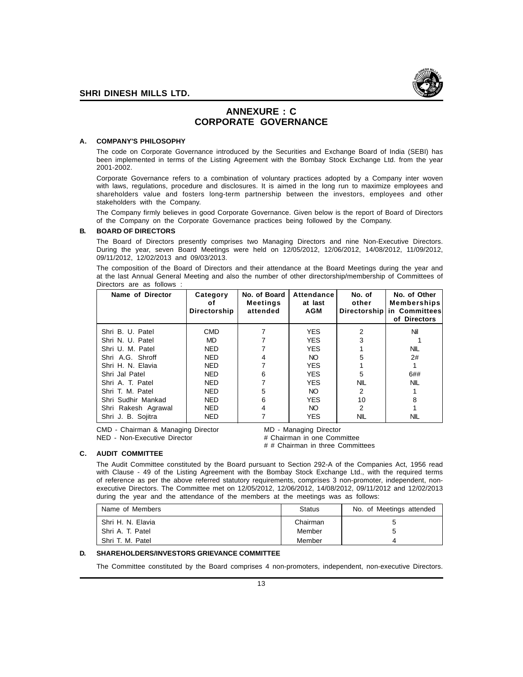

#### **ANNEXURE : C CORPORATE GOVERNANCE**

#### **A. COMPANY'S PHILOSOPHY**

The code on Corporate Governance introduced by the Securities and Exchange Board of India (SEBI) has been implemented in terms of the Listing Agreement with the Bombay Stock Exchange Ltd. from the year 2001-2002.

Corporate Governance refers to a combination of voluntary practices adopted by a Company inter woven with laws, regulations, procedure and disclosures. It is aimed in the long run to maximize employees and shareholders value and fosters long-term partnership between the investors, employees and other stakeholders with the Company.

The Company firmly believes in good Corporate Governance. Given below is the report of Board of Directors of the Company on the Corporate Governance practices being followed by the Company.

#### **B. BOARD OF DIRECTORS**

The Board of Directors presently comprises two Managing Directors and nine Non-Executive Directors. During the year, seven Board Meetings were held on 12/05/2012, 12/06/2012, 14/08/2012, 11/09/2012, 09/11/2012, 12/02/2013 and 09/03/2013.

The composition of the Board of Directors and their attendance at the Board Meetings during the year and at the last Annual General Meeting and also the number of other directorship/membership of Committees of Directors are as follows :

| Name of Director    | Category<br>οf<br>Directorship | No. of Board<br><b>Meetings</b><br>attended | Attendance<br>at last<br><b>AGM</b> | No. of<br>other<br>Directorship | No. of Other<br><b>Memberships</b><br>in Committees<br>of Directors |
|---------------------|--------------------------------|---------------------------------------------|-------------------------------------|---------------------------------|---------------------------------------------------------------------|
| Shri B. U. Patel    | <b>CMD</b>                     |                                             | <b>YES</b>                          | 2                               | Nil                                                                 |
| Shri N. U. Patel    | MD                             |                                             | <b>YES</b>                          | 3                               |                                                                     |
| Shri U. M. Patel    | <b>NED</b>                     |                                             | <b>YES</b>                          |                                 | <b>NIL</b>                                                          |
| Shri A.G. Shroff    | <b>NED</b>                     | 4                                           | NO.                                 | 5                               | 2#                                                                  |
| Shri H. N. Elavia   | <b>NED</b>                     |                                             | <b>YES</b>                          |                                 |                                                                     |
| Shri Jal Patel      | <b>NED</b>                     | 6                                           | <b>YES</b>                          | 5                               | 6##                                                                 |
| Shri A. T. Patel    | <b>NED</b>                     |                                             | <b>YES</b>                          | <b>NIL</b>                      | <b>NIL</b>                                                          |
| Shri T. M. Patel    | <b>NED</b>                     | 5                                           | NO.                                 | 2                               |                                                                     |
| Shri Sudhir Mankad  | <b>NED</b>                     | 6                                           | <b>YES</b>                          | 10                              | 8                                                                   |
| Shri Rakesh Agrawal | <b>NED</b>                     | 4                                           | NO.                                 | 2                               |                                                                     |
| Shri J. B. Sojitra  | <b>NED</b>                     |                                             | <b>YES</b>                          | <b>NIL</b>                      | NIL                                                                 |

CMD - Chairman & Managing Director MD - Managing Director NED - Non-Executive Director # Chairman in one Committee

# # Chairman in three Committees

**C. AUDIT COMMITTEE**

The Audit Committee constituted by the Board pursuant to Section 292-A of the Companies Act, 1956 read with Clause - 49 of the Listing Agreement with the Bombay Stock Exchange Ltd., with the required terms of reference as per the above referred statutory requirements, comprises 3 non-promoter, independent, nonexecutive Directors. The Committee met on 12/05/2012, 12/06/2012, 14/08/2012, 09/11/2012 and 12/02/2013 during the year and the attendance of the members at the meetings was as follows:

| Name of Members     | Status   | No. of Meetings attended |
|---------------------|----------|--------------------------|
| . Shri H. N. Elavia | Chairman |                          |
| . Shri A. T. Patel  | Member   | 5                        |
| . Shri T. M. Patel  | Member   |                          |

#### **D. SHAREHOLDERS/INVESTORS GRIEVANCE COMMITTEE**

The Committee constituted by the Board comprises 4 non-promoters, independent, non-executive Directors.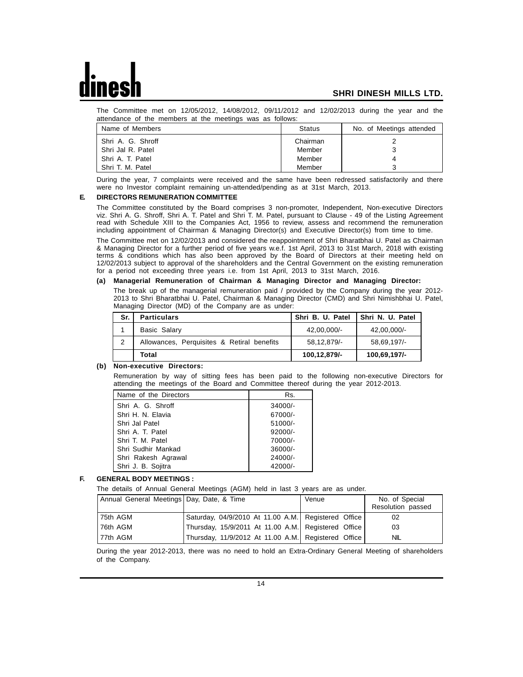The Committee met on 12/05/2012, 14/08/2012, 09/11/2012 and 12/02/2013 during the year and the attendance of the members at the meetings was as follows:

| Name of Members   | Status   | No. of Meetings attended |
|-------------------|----------|--------------------------|
| Shri A. G. Shroff | Chairman |                          |
| Shri Jal R. Patel | Member   |                          |
| Shri A. T. Patel  | Member   |                          |
| Shri T. M. Patel  | Member   |                          |

During the year, 7 complaints were received and the same have been redressed satisfactorily and there were no Investor complaint remaining un-attended/pending as at 31st March, 2013.

#### **E. DIRECTORS REMUNERATION COMMITTEE**

The Committee constituted by the Board comprises 3 non-promoter, Independent, Non-executive Directors viz. Shri A. G. Shroff, Shri A. T. Patel and Shri T. M. Patel, pursuant to Clause - 49 of the Listing Agreement read with Schedule XIII to the Companies Act, 1956 to review, assess and recommend the remuneration including appointment of Chairman & Managing Director(s) and Executive Director(s) from time to time.

The Committee met on 12/02/2013 and considered the reappointment of Shri Bharatbhai U. Patel as Chairman & Managing Director for a further period of five years w.e.f. 1st April, 2013 to 31st March, 2018 with existing terms & conditions which has also been approved by the Board of Directors at their meeting held on 12/02/2013 subject to approval of the shareholders and the Central Government on the existing remuneration for a period not exceeding three years i.e. from 1st April, 2013 to 31st March, 2016.

#### **(a) Managerial Remuneration of Chairman & Managing Director and Managing Director:**

The break up of the managerial remuneration paid / provided by the Company during the year 2012- 2013 to Shri Bharatbhai U. Patel, Chairman & Managing Director (CMD) and Shri Nimishbhai U. Patel, Managing Director (MD) of the Company are as under:

| Sr.            | <b>Particulars</b>                         | Shri B. U. Patel | Shri N. U. Patel |
|----------------|--------------------------------------------|------------------|------------------|
|                | Basic Salary                               | 42.00.000/-      | 42,00,000/-      |
| $\overline{2}$ | Allowances, Perquisites & Retiral benefits | 58.12.879/-      | 58.69.197/-      |
|                | Total                                      | 100,12,879/-     | 100,69,197/-     |

#### **(b) Non-executive Directors:**

Remuneration by way of sitting fees has been paid to the following non-executive Directors for attending the meetings of the Board and Committee thereof during the year 2012-2013.

| Name of the Directors | Rs.       |
|-----------------------|-----------|
| Shri A. G. Shroff     | $34000/-$ |
| Shri H. N. Elavia     | 67000/-   |
| Shri Jal Patel        | $51000/-$ |
| Shri A. T. Patel      | $92000/-$ |
| Shri T. M. Patel      | 70000/-   |
| Shri Sudhir Mankad    | 36000/-   |
| Shri Rakesh Agrawal   | 24000/-   |
| Shri J. B. Sojitra    | 42000/-   |

#### **F. GENERAL BODY MEETINGS :**

The details of Annual General Meetings (AGM) held in last 3 years are as under.

| Annual General Meetings Day, Date, & Time |                                                     | Venue | No. of Special<br>Resolution passed |
|-------------------------------------------|-----------------------------------------------------|-------|-------------------------------------|
| 75th AGM                                  | Saturday, 04/9/2010 At 11.00 A.M. Registered Office |       | 02                                  |
| 176th AGM                                 | Thursday, 15/9/2011 At 11.00 A.M. Registered Office |       | 03                                  |
| 77th AGM                                  | Thursday, 11/9/2012 At 11.00 A.M. Registered Office |       | NIL                                 |

During the year 2012-2013, there was no need to hold an Extra-Ordinary General Meeting of shareholders of the Company.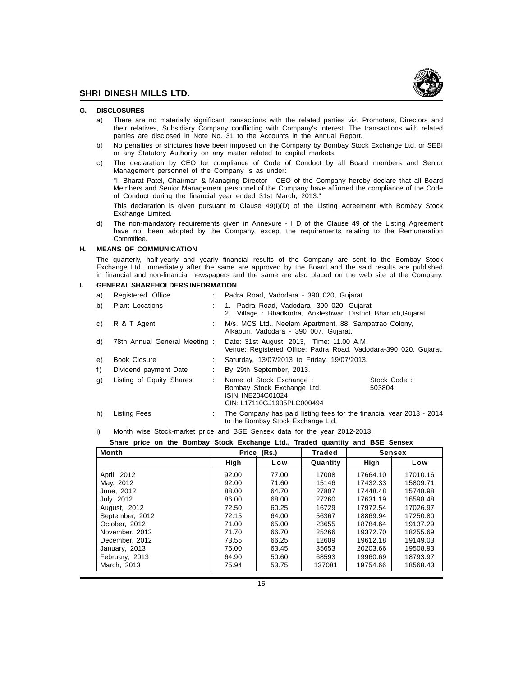

#### **G. DISCLOSURES**

- a) There are no materially significant transactions with the related parties viz. Promoters, Directors and their relatives, Subsidiary Company conflicting with Company's interest. The transactions with related parties are disclosed in Note No. 31 to the Accounts in the Annual Report.
- b) No penalties or strictures have been imposed on the Company by Bombay Stock Exchange Ltd. or SEBI or any Statutory Authority on any matter related to capital markets.
- c) The declaration by CEO for compliance of Code of Conduct by all Board members and Senior Management personnel of the Company is as under:

"I, Bharat Patel, Chairman & Managing Director - CEO of the Company hereby declare that all Board Members and Senior Management personnel of the Company have affirmed the compliance of the Code of Conduct during the financial year ended 31st March, 2013."

This declaration is given pursuant to Clause 49(I)(D) of the Listing Agreement with Bombay Stock Exchange Limited.

d) The non-mandatory requirements given in Annexure - I D of the Clause 49 of the Listing Agreement have not been adopted by the Company, except the requirements relating to the Remuneration Committee.

#### **H. MEANS OF COMMUNICATION**

The quarterly, half-yearly and yearly financial results of the Company are sent to the Bombay Stock Exchange Ltd. immediately after the same are approved by the Board and the said results are published in financial and non-financial newspapers and the same are also placed on the web site of the Company.

#### **I. GENERAL SHAREHOLDERS INFORMATION**

| a) | Registered Office            | : Padra Road, Vadodara - 390 020, Gujarat                                                                                           |  |  |
|----|------------------------------|-------------------------------------------------------------------------------------------------------------------------------------|--|--|
| b) | <b>Plant Locations</b>       | : 1. Padra Road, Vadodara -390 020, Gujarat<br>2. Village: Bhadkodra, Ankleshwar, District Bharuch, Gujarat                         |  |  |
| C) | R & T Agent                  | M/s. MCS Ltd., Neelam Apartment, 88, Sampatrao Colony,<br>Alkapuri, Vadodara - 390 007, Gujarat.                                    |  |  |
| d) | 78th Annual General Meeting: | Date: 31st August, 2013, Time: 11.00 A.M.<br>Venue: Registered Office: Padra Road, Vadodara-390 020, Gujarat.                       |  |  |
| e) | <b>Book Closure</b>          | Saturday, 13/07/2013 to Friday, 19/07/2013.                                                                                         |  |  |
| f) | Dividend payment Date        | By 29th September, 2013.                                                                                                            |  |  |
| g) | Listing of Equity Shares     | Name of Stock Exchange :<br>Stock Code:<br>Bombay Stock Exchange Ltd.<br>503804<br>ISIN: INE204C01024<br>CIN: L17110GJ1935PLC000494 |  |  |
| h) | Listing Fees                 | The Company has paid listing fees for the financial year 2013 - 2014<br>to the Bombay Stock Exchange Ltd.                           |  |  |

i) Month wise Stock-market price and BSE Sensex data for the year 2012-2013.

**Share price on the Bombay Stock Exchange Ltd., Traded quantity and BSE Sensex**

| <b>Month</b>    | Price<br>(Rs.) |       | Traded   |          | <b>Sensex</b> |
|-----------------|----------------|-------|----------|----------|---------------|
|                 | High           | Low   | Quantity | High     | Low           |
| April, 2012     | 92.00          | 77.00 | 17008    | 17664.10 | 17010.16      |
| May, 2012       | 92.00          | 71.60 | 15146    | 17432.33 | 15809.71      |
| June, 2012      | 88.00          | 64.70 | 27807    | 17448.48 | 15748.98      |
| July, 2012      | 86.00          | 68.00 | 27260    | 17631.19 | 16598.48      |
| August, 2012    | 72.50          | 60.25 | 16729    | 17972.54 | 17026.97      |
| September, 2012 | 72.15          | 64.00 | 56367    | 18869.94 | 17250.80      |
| October, 2012   | 71.00          | 65.00 | 23655    | 18784.64 | 19137.29      |
| November, 2012  | 71.70          | 66.70 | 25266    | 19372.70 | 18255.69      |
| December, 2012  | 73.55          | 66.25 | 12609    | 19612.18 | 19149.03      |
| January, 2013   | 76.00          | 63.45 | 35653    | 20203.66 | 19508.93      |
| February, 2013  | 64.90          | 50.60 | 68593    | 19960.69 | 18793.97      |
| March, 2013     | 75.94          | 53.75 | 137081   | 19754.66 | 18568.43      |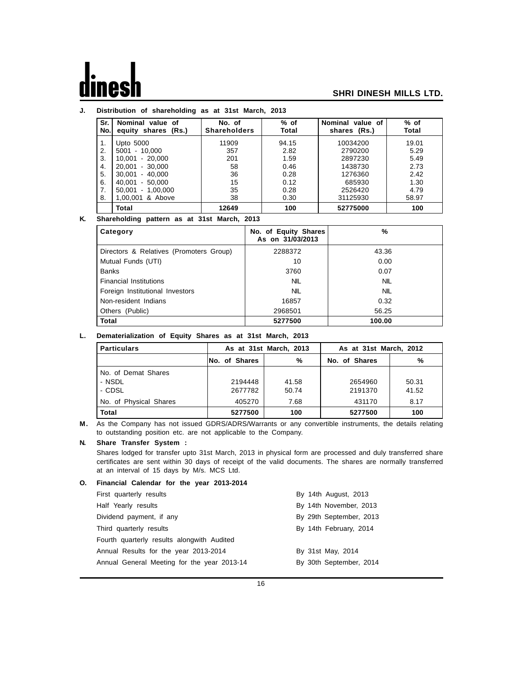#### **J. Distribution of shareholding as at 31st March, 2013**

| Sr.<br>No. | Nominal value of<br>equity shares (Rs.) | No. of<br><b>Shareholders</b> | $%$ of<br>Total | Nominal value of<br>shares (Rs.) | $%$ of<br>Total |
|------------|-----------------------------------------|-------------------------------|-----------------|----------------------------------|-----------------|
| 1.         | Upto 5000                               | 11909                         | 94.15           | 10034200                         | 19.01           |
| 2.         | $5001 - 10,000$                         | 357                           | 2.82            | 2790200                          | 5.29            |
| 3.         | 10.001 - 20.000                         | 201                           | 1.59            | 2897230                          | 5.49            |
| 4.         | 20.001 - 30.000                         | 58                            | 0.46            | 1438730                          | 2.73            |
| 5.         | $30,001 - 40,000$                       | 36                            | 0.28            | 1276360                          | 2.42            |
| 6.         | 40.001 - 50.000                         | 15                            | 0.12            | 685930                           | 1.30            |
| 7.         | 50,001 - 1,00,000                       | 35                            | 0.28            | 2526420                          | 4.79            |
| 8.         | 1,00,001 & Above                        | 38                            | 0.30            | 31125930                         | 58.97           |
|            | Total                                   | 12649                         | 100             | 52775000                         | 100             |

#### **K. Shareholding pattern as at 31st March, 2013**

| Category                                | No. of Equity Shares<br>As on 31/03/2013 | %          |
|-----------------------------------------|------------------------------------------|------------|
| Directors & Relatives (Promoters Group) | 2288372                                  | 43.36      |
| Mutual Funds (UTI)                      | 10                                       | 0.00       |
| <b>Banks</b>                            | 3760                                     | 0.07       |
| <b>Financial Institutions</b>           | <b>NIL</b>                               | <b>NIL</b> |
| Foreign Institutional Investors         | <b>NIL</b>                               | <b>NIL</b> |
| Non-resident Indians                    | 16857                                    | 0.32       |
| Others (Public)                         | 2968501                                  | 56.25      |
| <b>Total</b>                            | 5277500                                  | 100.00     |

#### **L. Dematerialization of Equity Shares as at 31st March, 2013**

| <b>Particulars</b>     | As at 31st March, 2013 |       | As at 31st March, 2012 |       |  |
|------------------------|------------------------|-------|------------------------|-------|--|
|                        | <b>No. of Shares</b>   | %     | No. of Shares          | %     |  |
| No. of Demat Shares    |                        |       |                        |       |  |
| - NSDL                 | 2194448                | 41.58 | 2654960                | 50.31 |  |
| - CDSL                 | 2677782                | 50.74 | 2191370                | 41.52 |  |
| No. of Physical Shares | 405270                 | 7.68  | 431170                 | 8.17  |  |
| <b>Total</b>           | 5277500                | 100   | 5277500                | 100   |  |

**M.** As the Company has not issued GDRS/ADRS/Warrants or any convertible instruments, the details relating to outstanding position etc. are not applicable to the Company.

#### **N. Share Transfer System :**

Shares lodged for transfer upto 31st March, 2013 in physical form are processed and duly transferred share certificates are sent within 30 days of receipt of the valid documents. The shares are normally transferred at an interval of 15 days by M/s. MCS Ltd.

#### **O. Financial Calendar for the year 2013-2014**

| First quarterly results                     | By 14th August, 2013    |
|---------------------------------------------|-------------------------|
| Half Yearly results                         | By 14th November, 2013  |
| Dividend payment, if any                    | By 29th September, 2013 |
| Third quarterly results                     | By 14th February, 2014  |
| Fourth quarterly results alongwith Audited  |                         |
| Annual Results for the year 2013-2014       | By 31st May, 2014       |
| Annual General Meeting for the year 2013-14 | By 30th September, 2014 |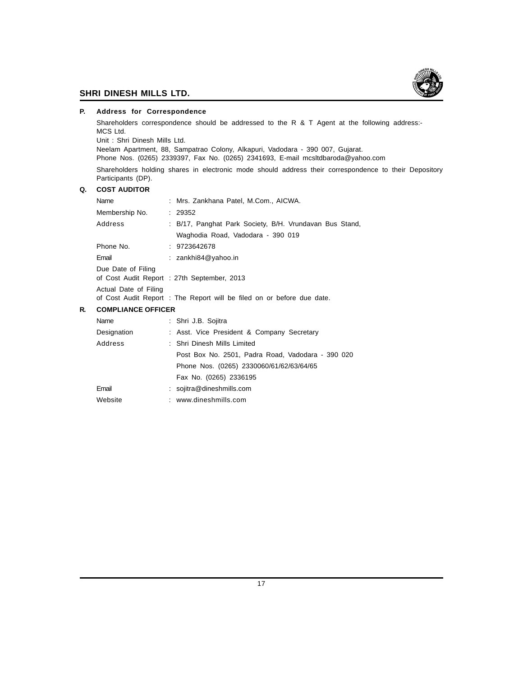

#### **P. Address for Correspondence**

Shareholders correspondence should be addressed to the R & T Agent at the following address:- MCS Ltd.

Unit : Shri Dinesh Mills Ltd.

Neelam Apartment, 88, Sampatrao Colony, Alkapuri, Vadodara - 390 007, Gujarat.

Phone Nos. (0265) 2339397, Fax No. (0265) 2341693, E-mail mcsltdbaroda@yahoo.com

Shareholders holding shares in electronic mode should address their correspondence to their Depository Participants (DP).

#### **Q. COST AUDITOR**

|    | Name                      |  | : Mrs. Zankhana Patel, M.Com., AICWA.                                                        |
|----|---------------------------|--|----------------------------------------------------------------------------------------------|
|    | Membership No.            |  | : 29352                                                                                      |
|    | Address                   |  | : B/17, Panghat Park Society, B/H. Vrundavan Bus Stand,<br>Waghodia Road, Vadodara - 390 019 |
|    | Phone No.                 |  | : 9723642678                                                                                 |
|    | Email                     |  | $:$ zankhi $84@$ yahoo.in                                                                    |
|    | Due Date of Filing        |  | of Cost Audit Report : 27th September, 2013                                                  |
|    | Actual Date of Filing     |  | of Cost Audit Report : The Report will be filed on or before due date.                       |
| R. | <b>COMPLIANCE OFFICER</b> |  |                                                                                              |
|    | Name                      |  | : Shri J.B. Sojitra                                                                          |
|    | Designation               |  | : Asst. Vice President & Company Secretary                                                   |

## Address : Shri Dinesh Mills Limited Post Box No. 2501, Padra Road, Vadodara - 390 020

|         | Post Box No. 2501, Padra Road, Vadodara - 390 |
|---------|-----------------------------------------------|
|         | Phone Nos. (0265) 2330060/61/62/63/64/65      |
|         | Fax No. (0265) 2336195                        |
| Email   | $:$ sojitra@dineshmills.com                   |
| Website | : www.dineshmills.com                         |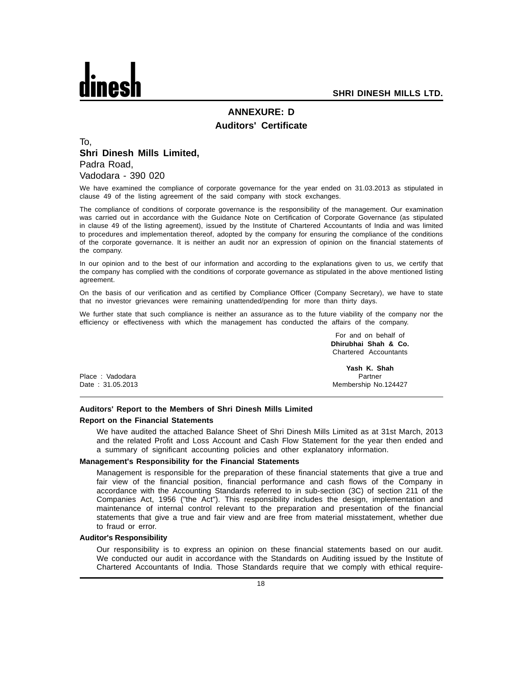

## **ANNEXURE: D Auditors' Certificate**

#### To, **Shri Dinesh Mills Limited,** Padra Road, Vadodara - 390 020

We have examined the compliance of corporate governance for the year ended on 31.03.2013 as stipulated in clause 49 of the listing agreement of the said company with stock exchanges.

The compliance of conditions of corporate governance is the responsibility of the management. Our examination was carried out in accordance with the Guidance Note on Certification of Corporate Governance (as stipulated in clause 49 of the listing agreement), issued by the Institute of Chartered Accountants of India and was limited to procedures and implementation thereof, adopted by the company for ensuring the compliance of the conditions of the corporate governance. It is neither an audit nor an expression of opinion on the financial statements of the company.

In our opinion and to the best of our information and according to the explanations given to us, we certify that the company has complied with the conditions of corporate governance as stipulated in the above mentioned listing agreement.

On the basis of our verification and as certified by Compliance Officer (Company Secretary), we have to state that no investor grievances were remaining unattended/pending for more than thirty days.

We further state that such compliance is neither an assurance as to the future viability of the company nor the efficiency or effectiveness with which the management has conducted the affairs of the company.

|                  | For and on behalf of<br>Dhirubhai Shah & Co.<br>Chartered Accountants |
|------------------|-----------------------------------------------------------------------|
|                  | Yash K. Shah                                                          |
| Place: Vadodara  | Partner                                                               |
| Date: 31.05.2013 | Membership No.124427                                                  |

#### **Auditors' Report to the Members of Shri Dinesh Mills Limited Report on the Financial Statements**

We have audited the attached Balance Sheet of Shri Dinesh Mills Limited as at 31st March, 2013 and the related Profit and Loss Account and Cash Flow Statement for the year then ended and a summary of significant accounting policies and other explanatory information.

#### **Management's Responsibility for the Financial Statements**

Management is responsible for the preparation of these financial statements that give a true and fair view of the financial position, financial performance and cash flows of the Company in accordance with the Accounting Standards referred to in sub-section (3C) of section 211 of the Companies Act, 1956 ("the Act"). This responsibility includes the design, implementation and maintenance of internal control relevant to the preparation and presentation of the financial statements that give a true and fair view and are free from material misstatement, whether due to fraud or error.

#### **Auditor's Responsibility**

Our responsibility is to express an opinion on these financial statements based on our audit. We conducted our audit in accordance with the Standards on Auditing issued by the Institute of Chartered Accountants of India. Those Standards require that we comply with ethical require-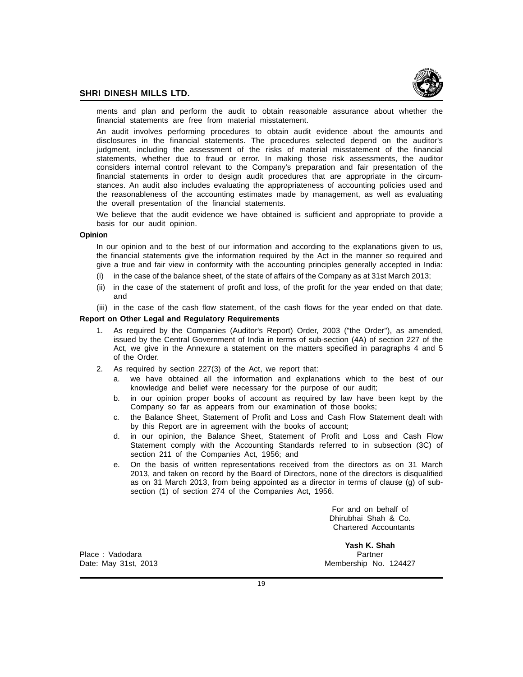

ments and plan and perform the audit to obtain reasonable assurance about whether the financial statements are free from material misstatement.

An audit involves performing procedures to obtain audit evidence about the amounts and disclosures in the financial statements. The procedures selected depend on the auditor's judgment, including the assessment of the risks of material misstatement of the financial statements, whether due to fraud or error. In making those risk assessments, the auditor considers internal control relevant to the Company's preparation and fair presentation of the financial statements in order to design audit procedures that are appropriate in the circumstances. An audit also includes evaluating the appropriateness of accounting policies used and the reasonableness of the accounting estimates made by management, as well as evaluating the overall presentation of the financial statements.

We believe that the audit evidence we have obtained is sufficient and appropriate to provide a basis for our audit opinion.

#### **Opinion**

In our opinion and to the best of our information and according to the explanations given to us, the financial statements give the information required by the Act in the manner so required and give a true and fair view in conformity with the accounting principles generally accepted in India:

- (i) in the case of the balance sheet, of the state of affairs of the Company as at 31st March 2013;
- (ii) in the case of the statement of profit and loss, of the profit for the year ended on that date; and
- (iii) in the case of the cash flow statement, of the cash flows for the year ended on that date.

#### **Report on Other Legal and Regulatory Requirements**

- 1. As required by the Companies (Auditor's Report) Order, 2003 ("the Order"), as amended, issued by the Central Government of India in terms of sub-section (4A) of section 227 of the Act, we give in the Annexure a statement on the matters specified in paragraphs 4 and 5 of the Order.
- 2. As required by section 227(3) of the Act, we report that:
	- a. we have obtained all the information and explanations which to the best of our knowledge and belief were necessary for the purpose of our audit;
	- b. in our opinion proper books of account as required by law have been kept by the Company so far as appears from our examination of those books;
	- c. the Balance Sheet, Statement of Profit and Loss and Cash Flow Statement dealt with by this Report are in agreement with the books of account;
	- d. in our opinion, the Balance Sheet, Statement of Profit and Loss and Cash Flow Statement comply with the Accounting Standards referred to in subsection (3C) of section 211 of the Companies Act, 1956; and
	- e. On the basis of written representations received from the directors as on 31 March 2013, and taken on record by the Board of Directors, none of the directors is disqualified as on 31 March 2013, from being appointed as a director in terms of clause (g) of subsection (1) of section 274 of the Companies Act, 1956.

For and on behalf of Dhirubhai Shah & Co. Chartered Accountants

Place : Vadodara **Partner** Partner Partner Partner Partner Partner

**Yash K. Shah** Date: May 31st, 2013 Membership No. 124427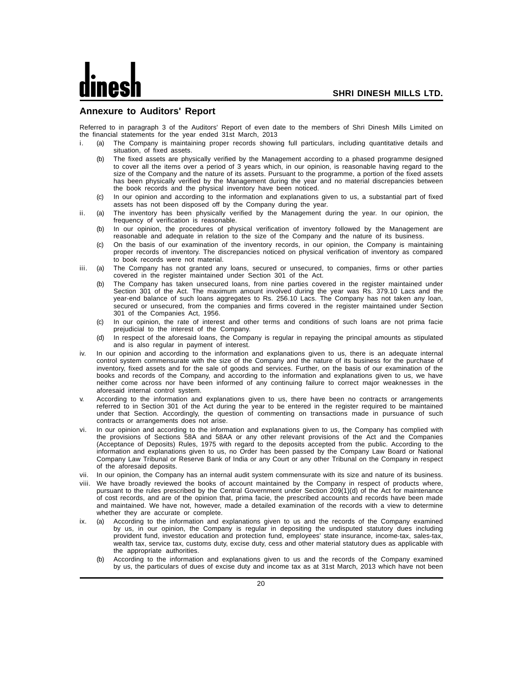#### **Annexure to Auditors' Report**

Referred to in paragraph 3 of the Auditors' Report of even date to the members of Shri Dinesh Mills Limited on the financial statements for the year ended 31st March, 2013

- i. (a) The Company is maintaining proper records showing full particulars, including quantitative details and situation, of fixed assets.
	- (b) The fixed assets are physically verified by the Management according to a phased programme designed to cover all the items over a period of 3 years which, in our opinion, is reasonable having regard to the size of the Company and the nature of its assets. Pursuant to the programme, a portion of the fixed assets has been physically verified by the Management during the year and no material discrepancies between the book records and the physical inventory have been noticed.
	- (c) In our opinion and according to the information and explanations given to us, a substantial part of fixed assets has not been disposed off by the Company during the year.
- ii. (a) The inventory has been physically verified by the Management during the year. In our opinion, the frequency of verification is reasonable.
	- (b) In our opinion, the procedures of physical verification of inventory followed by the Management are reasonable and adequate in relation to the size of the Company and the nature of its business.
	- (c) On the basis of our examination of the inventory records, in our opinion, the Company is maintaining proper records of inventory. The discrepancies noticed on physical verification of inventory as compared to book records were not material.
- iii. (a) The Company has not granted any loans, secured or unsecured, to companies, firms or other parties covered in the register maintained under Section 301 of the Act.
	- (b) The Company has taken unsecured loans, from nine parties covered in the register maintained under Section 301 of the Act. The maximum amount involved during the year was Rs. 379.10 Lacs and the year-end balance of such loans aggregates to Rs. 256.10 Lacs. The Company has not taken any loan, secured or unsecured, from the companies and firms covered in the register maintained under Section 301 of the Companies Act, 1956.
	- In our opinion, the rate of interest and other terms and conditions of such loans are not prima facie prejudicial to the interest of the Company.
	- (d) In respect of the aforesaid loans, the Company is regular in repaying the principal amounts as stipulated and is also regular in payment of interest.
- iv. In our opinion and according to the information and explanations given to us, there is an adequate internal control system commensurate with the size of the Company and the nature of its business for the purchase of inventory, fixed assets and for the sale of goods and services. Further, on the basis of our examination of the books and records of the Company, and according to the information and explanations given to us, we have neither come across nor have been informed of any continuing failure to correct major weaknesses in the aforesaid internal control system.
- According to the information and explanations given to us, there have been no contracts or arrangements referred to in Section 301 of the Act during the year to be entered in the register required to be maintained under that Section. Accordingly, the question of commenting on transactions made in pursuance of such contracts or arrangements does not arise.
- vi. In our opinion and according to the information and explanations given to us, the Company has complied with the provisions of Sections 58A and 58AA or any other relevant provisions of the Act and the Companies (Acceptance of Deposits) Rules, 1975 with regard to the deposits accepted from the public. According to the information and explanations given to us, no Order has been passed by the Company Law Board or National Company Law Tribunal or Reserve Bank of India or any Court or any other Tribunal on the Company in respect of the aforesaid deposits.
- vii. In our opinion, the Company has an internal audit system commensurate with its size and nature of its business.
- viii. We have broadly reviewed the books of account maintained by the Company in respect of products where, pursuant to the rules prescribed by the Central Government under Section 209(1)(d) of the Act for maintenance of cost records, and are of the opinion that, prima facie, the prescribed accounts and records have been made and maintained. We have not, however, made a detailed examination of the records with a view to determine whether they are accurate or complete.
- ix. (a) According to the information and explanations given to us and the records of the Company examined by us, in our opinion, the Company is regular in depositing the undisputed statutory dues including provident fund, investor education and protection fund, employees' state insurance, income-tax, sales-tax, wealth tax, service tax, customs duty, excise duty, cess and other material statutory dues as applicable with the appropriate authorities.
	- (b) According to the information and explanations given to us and the records of the Company examined by us, the particulars of dues of excise duty and income tax as at 31st March, 2013 which have not been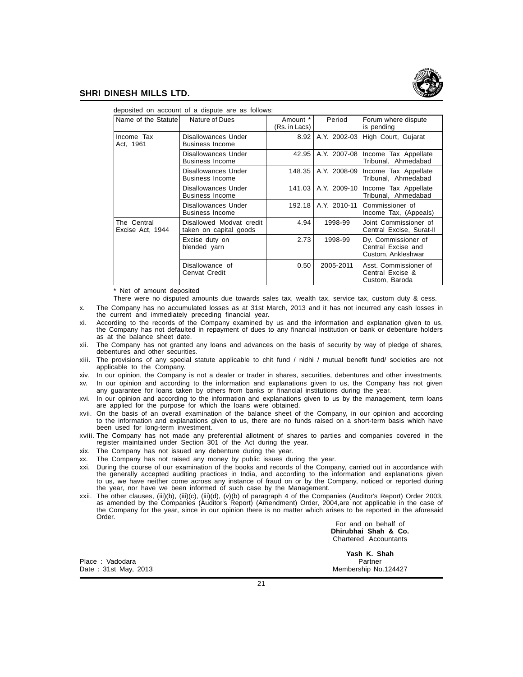

| deposited on account of a dispute are as follows: |                                                    |                           |              |                                                                 |  |  |  |
|---------------------------------------------------|----------------------------------------------------|---------------------------|--------------|-----------------------------------------------------------------|--|--|--|
| Name of the Statute                               | Nature of Dues                                     | Amount *<br>(Rs. in Lacs) | Period       | Forum where dispute<br>is pending                               |  |  |  |
| Income Tax<br>Act. 1961                           | Disallowances Under<br><b>Business Income</b>      | 8.92                      | A.Y. 2002-03 | High Court, Gujarat                                             |  |  |  |
|                                                   | Disallowances Under<br><b>Business Income</b>      | 42.95                     | A.Y. 2007-08 | Income Tax Appellate<br>Tribunal, Ahmedabad                     |  |  |  |
|                                                   | Disallowances Under<br><b>Business Income</b>      | 148.35                    | A.Y. 2008-09 | Income Tax Appellate<br>Tribunal, Ahmedabad                     |  |  |  |
|                                                   | Disallowances Under<br><b>Business Income</b>      | 141.03                    | A.Y. 2009-10 | Income Tax Appellate<br>Tribunal, Ahmedabad                     |  |  |  |
|                                                   | Disallowances Under<br><b>Business Income</b>      | 192.18                    | A.Y. 2010-11 | Commissioner of<br>Income Tax, (Appeals)                        |  |  |  |
| The Central<br>Excise Act, 1944                   | Disallowed Modvat credit<br>taken on capital goods | 4.94                      | 1998-99      | Joint Commissioner of<br>Central Excise, Surat-II               |  |  |  |
|                                                   | Excise duty on<br>blended yarn                     | 2.73                      | 1998-99      | Dy. Commissioner of<br>Central Excise and<br>Custom, Ankleshwar |  |  |  |
|                                                   | Disallowance of<br>Cenvat Credit                   | 0.50                      | 2005-2011    | Asst. Commissioner of<br>Central Excise &<br>Custom, Baroda     |  |  |  |

\* Net of amount deposited

There were no disputed amounts due towards sales tax, wealth tax, service tax, custom duty & cess.

- x. The Company has no accumulated losses as at 31st March, 2013 and it has not incurred any cash losses in the current and immediately preceding financial year.
- xi. According to the records of the Company examined by us and the information and explanation given to us, the Company has not defaulted in repayment of dues to any financial institution or bank or debenture holders as at the balance sheet date.
- xii. The Company has not granted any loans and advances on the basis of security by way of pledge of shares, debentures and other securities.
- xiii. The provisions of any special statute applicable to chit fund / nidhi / mutual benefit fund/ societies are not applicable to the Company.
- xiv. In our opinion, the Company is not a dealer or trader in shares, securities, debentures and other investments. xv. In our opinion and according to the information and explanations given to us, the Company has not given any guarantee for loans taken by others from banks or financial institutions during the year.
- xvi. In our opinion and according to the information and explanations given to us by the management, term loans are applied for the purpose for which the loans were obtained.
- xvii. On the basis of an overall examination of the balance sheet of the Company, in our opinion and according to the information and explanations given to us, there are no funds raised on a short-term basis which have been used for long-term investment.
- xviii. The Company has not made any preferential allotment of shares to parties and companies covered in the register maintained under Section 301 of the Act during the year.
- xix. The Company has not issued any debenture during the year.
- xx. The Company has not raised any money by public issues during the year.
- xxi. During the course of our examination of the books and records of the Company, carried out in accordance with the generally accepted auditing practices in India, and according to the information and explanations given to us, we have neither come across any instance of fraud on or by the Company, noticed or reported during the year, nor have we been informed of such case by the Management.
- xxii. The other clauses, (iii)(b), (iii)(c), (iii)(d), (v)(b) of paragraph 4 of the Companies (Auditor's Report) Order 2003, as amended by the Companies (Auditor's Report) (Amendment) Order, 2004,are not applicable in the case of the Company for the year, since in our opinion there is no matter which arises to be reported in the aforesaid Order.

For and on behalf of **Dhirubhai Shah & Co.** Chartered Accountants

Place : Vadodara<br>Date : 31st May, 2013

**Yash K. Shah** Membership No.124427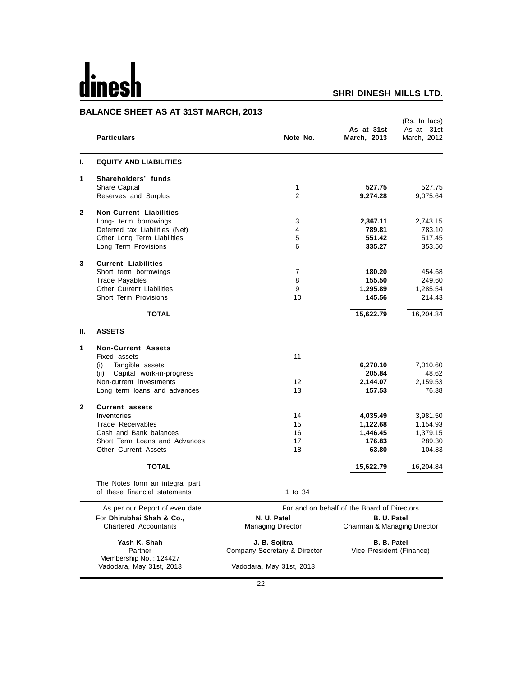## dines  $\mathbf h$

## **SHRI DINESH MILLS LTD.**

## **BALANCE SHEET AS AT 31ST MARCH, 2013**

|              | <b>Particulars</b>                                               | Note No.                                      | As at 31st<br>March, 2013                   | (Rs. In lacs)<br>31st<br>As at<br>March, 2012 |
|--------------|------------------------------------------------------------------|-----------------------------------------------|---------------------------------------------|-----------------------------------------------|
| ı.           | <b>EQUITY AND LIABILITIES</b>                                    |                                               |                                             |                                               |
| 1            | Shareholders' funds                                              |                                               |                                             |                                               |
|              | Share Capital<br>Reserves and Surplus                            | 1<br>$\overline{2}$                           | 527.75<br>9,274.28                          | 527.75<br>9,075.64                            |
| $\mathbf{2}$ | <b>Non-Current Liabilities</b>                                   |                                               |                                             |                                               |
|              | Long- term borrowings                                            | 3                                             | 2,367.11                                    | 2,743.15                                      |
|              | Deferred tax Liabilities (Net)                                   | 4                                             | 789.81                                      | 783.10                                        |
|              | Other Long Term Liabilities<br>Long Term Provisions              | 5<br>6                                        | 551.42<br>335.27                            | 517.45<br>353.50                              |
| 3            | <b>Current Liabilities</b>                                       |                                               |                                             |                                               |
|              | Short term borrowings                                            | $\overline{7}$                                | 180.20                                      | 454.68                                        |
|              | <b>Trade Payables</b>                                            | 8                                             | 155.50                                      | 249.60                                        |
|              | <b>Other Current Liabilities</b>                                 | 9                                             | 1,295.89                                    | 1,285.54                                      |
|              | Short Term Provisions                                            | 10                                            | 145.56                                      | 214.43                                        |
|              | <b>TOTAL</b>                                                     |                                               | 15,622.79                                   | 16,204.84                                     |
| Ш.           | <b>ASSETS</b>                                                    |                                               |                                             |                                               |
| 1            | <b>Non-Current Assets</b>                                        |                                               |                                             |                                               |
|              | Fixed assets                                                     | 11                                            |                                             |                                               |
|              | Tangible assets<br>(i)<br>(ii) Capital work-in-progress          |                                               | 6,270.10<br>205.84                          | 7,010.60<br>48.62                             |
|              | Non-current investments                                          | $12 \overline{ }$                             | 2,144.07                                    | 2,159.53                                      |
|              | Long term loans and advances                                     | 13                                            | 157.53                                      | 76.38                                         |
| $\mathbf{2}$ | <b>Current assets</b>                                            |                                               |                                             |                                               |
|              | Inventories                                                      | 14                                            | 4,035.49                                    | 3,981.50                                      |
|              | Trade Receivables                                                | 15                                            | 1,122.68                                    | 1,154.93                                      |
|              | Cash and Bank balances                                           | 16                                            | 1,446.45                                    | 1,379.15                                      |
|              | Short Term Loans and Advances                                    | 17                                            | 176.83                                      | 289.30                                        |
|              | <b>Other Current Assets</b>                                      | 18                                            | 63.80                                       | 104.83                                        |
|              | <b>TOTAL</b>                                                     |                                               | 15,622.79                                   | 16,204.84                                     |
|              | The Notes form an integral part<br>of these financial statements | 1 to 34                                       |                                             |                                               |
|              | As per our Report of even date                                   |                                               | For and on behalf of the Board of Directors |                                               |
|              | For Dhirubhai Shah & Co.,                                        | N. U. Patel                                   | <b>B. U. Patel</b>                          |                                               |
|              | <b>Chartered Accountants</b>                                     | <b>Managing Director</b>                      | Chairman & Managing Director                |                                               |
|              | Yash K. Shah<br>Partner                                          | J. B. Sojitra<br>Company Secretary & Director | B. B. Patel<br>Vice President (Finance)     |                                               |
|              | Membership No.: 124427<br>Vadodara, May 31st, 2013               | Vadodara, May 31st, 2013                      |                                             |                                               |
|              |                                                                  |                                               |                                             |                                               |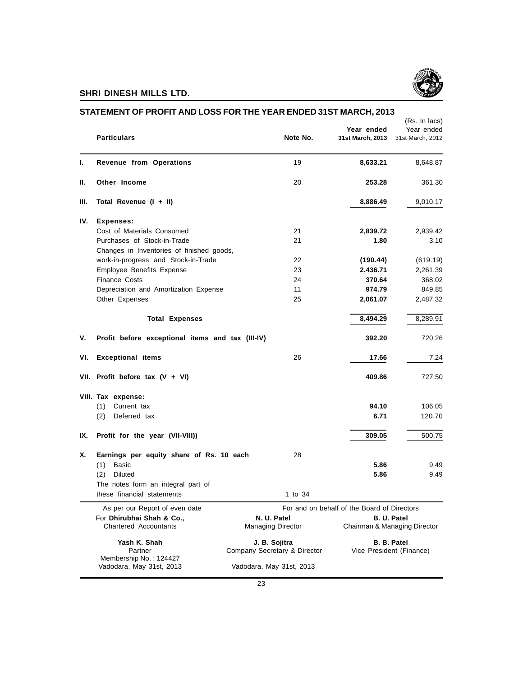

|      | <b>Particulars</b>                                        | Note No.                                | Year ended<br>31st March, 2013              | (Rs. In lacs)<br>Year ended<br>31st March, 2012    |
|------|-----------------------------------------------------------|-----------------------------------------|---------------------------------------------|----------------------------------------------------|
| L.   | Revenue from Operations                                   | 19                                      | 8,633.21                                    | 8,648.87                                           |
| Ш.   | Other Income                                              | 20                                      | 253.28                                      | 361.30                                             |
| III. | Total Revenue (I + II)                                    |                                         | 8,886.49                                    | 9,010.17                                           |
| IV.  | <b>Expenses:</b>                                          |                                         |                                             |                                                    |
|      | Cost of Materials Consumed                                | 21                                      | 2,839.72                                    | 2,939.42                                           |
|      | Purchases of Stock-in-Trade                               | 21                                      | 1.80                                        | 3.10                                               |
|      | Changes in Inventories of finished goods,                 |                                         |                                             |                                                    |
|      | work-in-progress and Stock-in-Trade                       | 22                                      | (190.44)                                    | (619.19)                                           |
|      | Employee Benefits Expense                                 | 23                                      | 2,436.71                                    | 2,261.39                                           |
|      | <b>Finance Costs</b>                                      | 24                                      | 370.64                                      | 368.02                                             |
|      | Depreciation and Amortization Expense                     | 11                                      | 974.79                                      | 849.85                                             |
|      | Other Expenses                                            | 25                                      | 2,061.07                                    | 2,487.32                                           |
|      | <b>Total Expenses</b>                                     |                                         | 8,494.29                                    | 8,289.91                                           |
| ۷.   | Profit before exceptional items and tax (III-IV)          |                                         | 392.20                                      | 720.26                                             |
| VI.  | <b>Exceptional items</b>                                  | 26                                      | 17.66                                       | 7.24                                               |
|      | VII. Profit before tax $(V + VI)$                         |                                         | 409.86                                      | 727.50                                             |
|      | VIII. Tax expense:                                        |                                         |                                             |                                                    |
|      | Current tax<br>(1)                                        |                                         | 94.10                                       | 106.05                                             |
|      | Deferred tax<br>(2)                                       |                                         | 6.71                                        | 120.70                                             |
| IX.  | Profit for the year (VII-VIII))                           |                                         | 309.05                                      | 500.75                                             |
| Х.   | Earnings per equity share of Rs. 10 each                  | 28                                      |                                             |                                                    |
|      | <b>Basic</b><br>(1)                                       |                                         | 5.86                                        | 9.49                                               |
|      | (2)<br>Diluted                                            |                                         | 5.86                                        | 9.49                                               |
|      | The notes form an integral part of                        |                                         |                                             |                                                    |
|      |                                                           |                                         |                                             |                                                    |
|      | these financial statements                                | 1 to 34                                 |                                             |                                                    |
|      | As per our Report of even date                            |                                         | For and on behalf of the Board of Directors |                                                    |
|      | For Dhirubhai Shah & Co.,<br><b>Chartered Accountants</b> | N. U. Patel<br><b>Managing Director</b> |                                             | <b>B. U. Patel</b><br>Chairman & Managing Director |
|      | Yash K. Shah                                              | J. B. Sojitra                           |                                             | <b>B. B. Patel</b>                                 |
|      | Partner<br>Membership No.: 124427                         | Company Secretary & Director            |                                             | Vice President (Finance)                           |
|      |                                                           |                                         |                                             |                                                    |

#### **STATEMENT OF PROFIT AND LOSS FOR THE YEAR ENDED 31ST MARCH, 2013**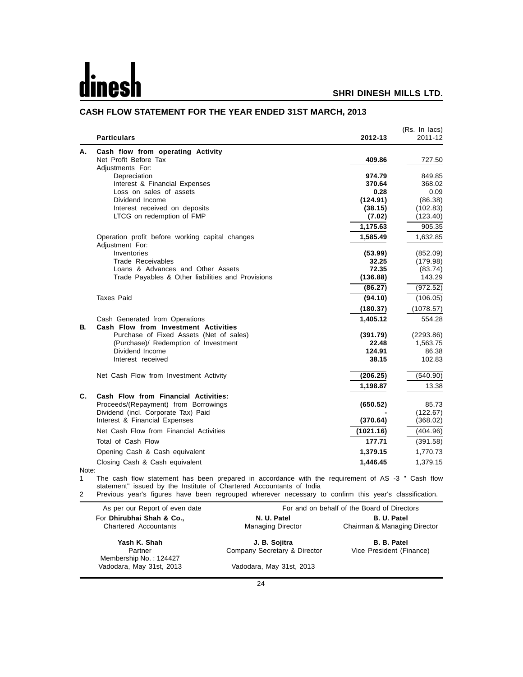-

#### **SHRI DINESH MILLS LTD.**

|       | <b>Particulars</b>                                       | 2012-13        | (Rs. In lacs)<br>2011-12 |
|-------|----------------------------------------------------------|----------------|--------------------------|
| А.    | Cash flow from operating Activity                        |                |                          |
|       | Net Profit Before Tax                                    | 409.86         | 727.50                   |
|       | Adjustments For:                                         |                |                          |
|       | Depreciation                                             | 974.79         | 849.85                   |
|       | Interest & Financial Expenses<br>Loss on sales of assets | 370.64<br>0.28 | 368.02<br>0.09           |
|       | Dividend Income                                          | (124.91)       | (86.38)                  |
|       | Interest received on deposits                            | (38.15)        | (102.83)                 |
|       | LTCG on redemption of FMP                                | (7.02)         | (123.40)                 |
|       |                                                          | 1,175.63       | 905.35                   |
|       | Operation profit before working capital changes          | 1,585.49       | 1,632.85                 |
|       | Adjustment For:                                          |                |                          |
|       | Inventories                                              | (53.99)        | (852.09)                 |
|       | Trade Receivables                                        | 32.25          | (179.98)                 |
|       | Loans & Advances and Other Assets                        | 72.35          | (83.74)                  |
|       | Trade Payables & Other liabilities and Provisions        | (136.88)       | 143.29                   |
|       |                                                          | (86.27)        | (972.52)                 |
|       | <b>Taxes Paid</b>                                        | (94.10)        | (106.05)                 |
|       |                                                          | (180.37)       | (1078.57)                |
|       | Cash Generated from Operations                           | 1,405.12       | 554.28                   |
| В.    | Cash Flow from Investment Activities                     |                |                          |
|       | Purchase of Fixed Assets (Net of sales)                  | (391.79)       | (2293.86)                |
|       | (Purchase)/ Redemption of Investment                     | 22.48          | 1,563.75                 |
|       | Dividend Income                                          | 124.91         | 86.38                    |
|       | Interest received                                        | 38.15          | 102.83                   |
|       | Net Cash Flow from Investment Activity                   | (206.25)       | (540.90)                 |
|       |                                                          | 1,198.87       | 13.38                    |
| C.    | Cash Flow from Financial Activities:                     |                |                          |
|       | Proceeds/(Repayment) from Borrowings                     | (650.52)       | 85.73                    |
|       | Dividend (incl. Corporate Tax) Paid                      |                | (122.67)                 |
|       | Interest & Financial Expenses                            | (370.64)       | (368.02)                 |
|       | Net Cash Flow from Financial Activities                  | (1021.16)      | (404.96)                 |
|       | Total of Cash Flow                                       | 177.71         | (391.58)                 |
|       | Opening Cash & Cash equivalent                           | 1,379.15       | 1,770.73                 |
| Note: | Closing Cash & Cash equivalent                           | 1,446.45       | 1,379.15                 |

#### **CASH FLOW STATEMENT FOR THE YEAR ENDED 31ST MARCH, 2013**

1 The cash flow statement has been prepared in accordance with the requirement of AS -3 " Cash flow statement" issued by the Institute of Chartered Accountants of India

2 Previous year's figures have been regrouped wherever necessary to confirm this year's classification.

| As per our Report of even date | For and on behalf of the Board of Directors |                              |  |
|--------------------------------|---------------------------------------------|------------------------------|--|
| For Dhirubhai Shah & Co.,      | N. U. Patel                                 | B. U. Patel                  |  |
| <b>Chartered Accountants</b>   | <b>Managing Director</b>                    | Chairman & Managing Director |  |
| Yash K. Shah                   | J. B. Sojitra                               | B. B. Patel                  |  |
| Partner                        | Company Secretary & Director                | Vice President (Finance)     |  |
| Membership No.: 124427         |                                             |                              |  |
| Vadodara, May 31st, 2013       | Vadodara, May 31st, 2013                    |                              |  |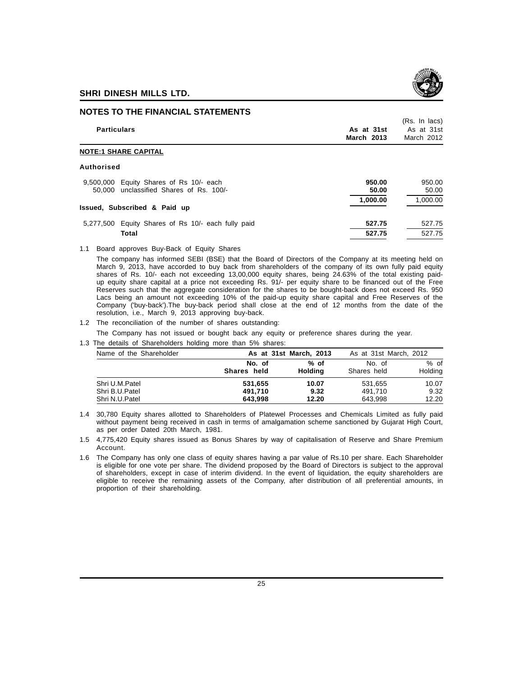



#### **NOTES TO THE FINANCIAL STATEMENTS**

| <b>Particulars</b>                                                                    | As at 31st<br><b>March 2013</b> | (Rs. In lacs)<br>As at 31st<br>March 2012 |
|---------------------------------------------------------------------------------------|---------------------------------|-------------------------------------------|
| <b>NOTE:1 SHARE CAPITAL</b>                                                           |                                 |                                           |
| Authorised                                                                            |                                 |                                           |
| Equity Shares of Rs 10/- each<br>9.500.000<br>50,000 unclassified Shares of Rs. 100/- | 950.00<br>50.00                 | 950.00<br>50.00                           |
| Issued, Subscribed & Paid up                                                          | 1,000.00                        | 1,000.00                                  |
| Equity Shares of Rs 10/- each fully paid<br>5.277.500                                 | 527.75                          | 527.75                                    |

1.1 Board approves Buy-Back of Equity Shares

The company has informed SEBI (BSE) that the Board of Directors of the Company at its meeting held on March 9, 2013, have accorded to buy back from shareholders of the company of its own fully paid equity shares of Rs. 10/- each not exceeding 13,00,000 equity shares, being 24.63% of the total existing paidup equity share capital at a price not exceeding Rs. 91/- per equity share to be financed out of the Free Reserves such that the aggregate consideration for the shares to be bought-back does not exceed Rs. 950 Lacs being an amount not exceeding 10% of the paid-up equity share capital and Free Reserves of the Company ('buy-back').The buy-back period shall close at the end of 12 months from the date of the resolution, i.e., March 9, 2013 approving buy-back.

**Total 527.75** 527.75

1.2 The reconciliation of the number of shares outstanding:

The Company has not issued or bought back any equity or preference shares during the year.

1.3 The details of Shareholders holding more than 5% shares:

| No. of<br>Shares held | % of<br><b>Holding</b> | No. of<br>Shares held  | % of<br>Holding                            |
|-----------------------|------------------------|------------------------|--------------------------------------------|
| 531.655<br>491.710    | 10.07<br>9.32          | 531,655<br>491.710     | 10.07<br>9.32<br>12.20                     |
|                       | 643.998                | As at 31st March, 2013 | As at 31st March, 2012<br>12.20<br>643.998 |

<sup>1.4 30,780</sup> Equity shares allotted to Shareholders of Platewel Processes and Chemicals Limited as fully paid without payment being received in cash in terms of amalgamation scheme sanctioned by Gujarat High Court, as per order Dated 20th March, 1981.

1.5 4,775,420 Equity shares issued as Bonus Shares by way of capitalisation of Reserve and Share Premium Account.

1.6 The Company has only one class of equity shares having a par value of Rs.10 per share. Each Shareholder is eligible for one vote per share. The dividend proposed by the Board of Directors is subject to the approval of shareholders, except in case of interim dividend. In the event of liquidation, the equity shareholders are eligible to receive the remaining assets of the Company, after distribution of all preferential amounts, in proportion of their shareholding.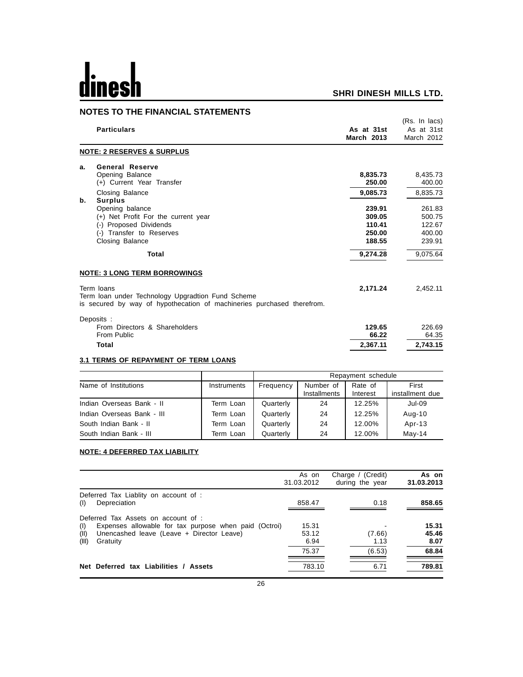# dinesh

#### **SHRI DINESH MILLS LTD.**

#### **NOTES TO THE FINANCIAL STATEMENTS**

|    | <b>Particulars</b>                                                                                                                        | As at 31st<br><b>March 2013</b> | (Rs. In lacs)<br>As at 31st<br>March 2012 |
|----|-------------------------------------------------------------------------------------------------------------------------------------------|---------------------------------|-------------------------------------------|
|    | <b>NOTE: 2 RESERVES &amp; SURPLUS</b>                                                                                                     |                                 |                                           |
| а. | <b>General Reserve</b><br>Opening Balance                                                                                                 | 8,835.73                        | 8,435.73                                  |
|    | (+) Current Year Transfer                                                                                                                 | 250.00                          | 400.00                                    |
| b. | Closing Balance<br><b>Surplus</b>                                                                                                         | 9.085.73                        | 8.835.73                                  |
|    | Opening balance                                                                                                                           | 239.91                          | 261.83                                    |
|    | (+) Net Profit For the current year                                                                                                       | 309.05                          | 500.75                                    |
|    | (-) Proposed Dividends                                                                                                                    | 110.41                          | 122.67                                    |
|    | (-) Transfer to Reserves                                                                                                                  | 250.00                          | 400.00                                    |
|    | Closing Balance                                                                                                                           | 188.55                          | 239.91                                    |
|    | Total                                                                                                                                     | 9,274.28                        | 9,075.64                                  |
|    | <b>NOTE: 3 LONG TERM BORROWINGS</b>                                                                                                       |                                 |                                           |
|    | Term loans<br>Term loan under Technology Upgradtion Fund Scheme<br>is secured by way of hypothecation of machineries purchased therefrom. | 2.171.24                        | 2,452.11                                  |
|    | Deposits:<br>From Directors & Shareholders                                                                                                | 129.65                          | 226.69                                    |
|    | From Public                                                                                                                               | 66.22                           | 64.35                                     |
|    | Total                                                                                                                                     | 2,367.11                        | 2,743.15                                  |

#### **3.1 TERMS OF REPAYMENT OF TERM LOANS**

|                            |             |           |                           | Repayment schedule  |                          |
|----------------------------|-------------|-----------|---------------------------|---------------------|--------------------------|
| Name of Institutions       | Instruments | Frequency | Number of<br>Installments | Rate of<br>Interest | First<br>installment due |
| Indian Overseas Bank - II  | Term Loan   | Quarterly | 24                        | 12.25%              | Jul-09                   |
| Indian Overseas Bank - III | Term Loan   | Quarterly | 24                        | 12.25%              | Aug-10                   |
| South Indian Bank - II     | Term Loan   | Quarterly | 24                        | 12.00%              | Apr-13                   |
| South Indian Bank - III    | Term Loan   | Quarterly | 24                        | 12.00%              | $May-14$                 |

#### **NOTE: 4 DEFERRED TAX LIABILITY**

|                                                                                                                                                                               | As on<br>31.03.2012    | Charge / (Credit)<br>during the year | As on<br>31.03.2013    |
|-------------------------------------------------------------------------------------------------------------------------------------------------------------------------------|------------------------|--------------------------------------|------------------------|
| Deferred Tax Liablity on account of :<br>Depreciation<br>(I)                                                                                                                  | 858.47                 | 0.18                                 | 858.65                 |
| Deferred Tax Assets on account of :<br>Expenses allowable for tax purpose when paid (Octroi)<br>(1)<br>(II)<br>Unencashed leave (Leave + Director Leave)<br>(III)<br>Gratuity | 15.31<br>53.12<br>6.94 | (7.66)<br>1.13                       | 15.31<br>45.46<br>8.07 |
|                                                                                                                                                                               | 75.37                  | (6.53)                               | 68.84                  |
| Net Deferred tax Liabilities / Assets                                                                                                                                         | 783.10                 | 6.71                                 | 789.81                 |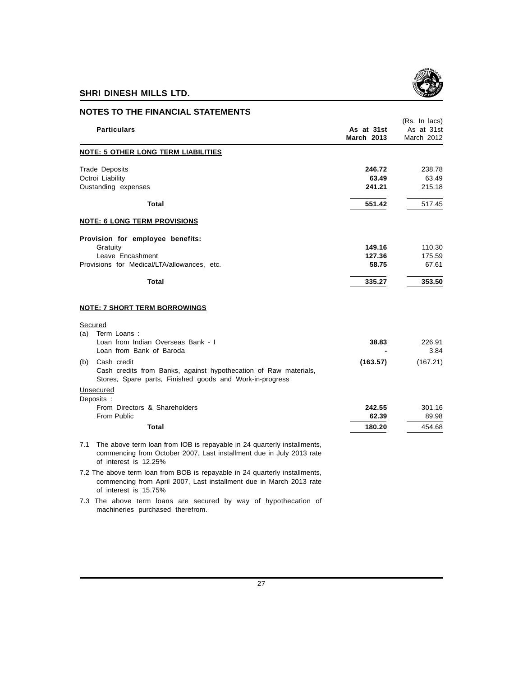

| <b>NOTES TO THE FINANCIAL STATEMENTS</b>                                                                                                                                        |                                 |                                           |
|---------------------------------------------------------------------------------------------------------------------------------------------------------------------------------|---------------------------------|-------------------------------------------|
| <b>Particulars</b>                                                                                                                                                              | As at 31st<br><b>March 2013</b> | (Rs. In lacs)<br>As at 31st<br>March 2012 |
| <b>NOTE: 5 OTHER LONG TERM LIABILITIES</b>                                                                                                                                      |                                 |                                           |
| <b>Trade Deposits</b><br>Octroi Liability<br>Oustanding expenses                                                                                                                | 246.72<br>63.49<br>241.21       | 238.78<br>63.49<br>215.18                 |
| Total                                                                                                                                                                           | 551.42                          | 517.45                                    |
| <b>NOTE: 6 LONG TERM PROVISIONS</b>                                                                                                                                             |                                 |                                           |
| Provision for employee benefits:                                                                                                                                                |                                 |                                           |
| Gratuity<br>Leave Encashment                                                                                                                                                    | 149.16<br>127.36                | 110.30<br>175.59                          |
| Provisions for Medical/LTA/allowances, etc.                                                                                                                                     | 58.75                           | 67.61                                     |
| <b>Total</b>                                                                                                                                                                    | 335.27                          | 353.50                                    |
| <b>NOTE: 7 SHORT TERM BORROWINGS</b>                                                                                                                                            |                                 |                                           |
| Secured                                                                                                                                                                         |                                 |                                           |
| Term Loans:<br>(a)<br>Loan from Indian Overseas Bank - I<br>Loan from Bank of Baroda                                                                                            | 38.83                           | 226.91<br>3.84                            |
| Cash credit<br>(b)<br>Cash credits from Banks, against hypothecation of Raw materials,<br>Stores, Spare parts, Finished goods and Work-in-progress                              | (163.57)                        | (167.21)                                  |
| Unsecured                                                                                                                                                                       |                                 |                                           |
| Deposits :<br>From Directors & Shareholders<br>From Public                                                                                                                      | 242.55<br>62.39                 | 301.16<br>89.98                           |
| Total                                                                                                                                                                           | 180.20                          | 454.68                                    |
| The above term loan from IOB is repayable in 24 quarterly installments,<br>7.1<br>commencing from October 2007, Last installment due in July 2013 rate<br>of interest is 12.25% |                                 |                                           |

7.2 The above term loan from BOB is repayable in 24 quarterly installments, commencing from April 2007, Last installment due in March 2013 rate of interest is 15.75%

7.3 The above term loans are secured by way of hypothecation of machineries purchased therefrom.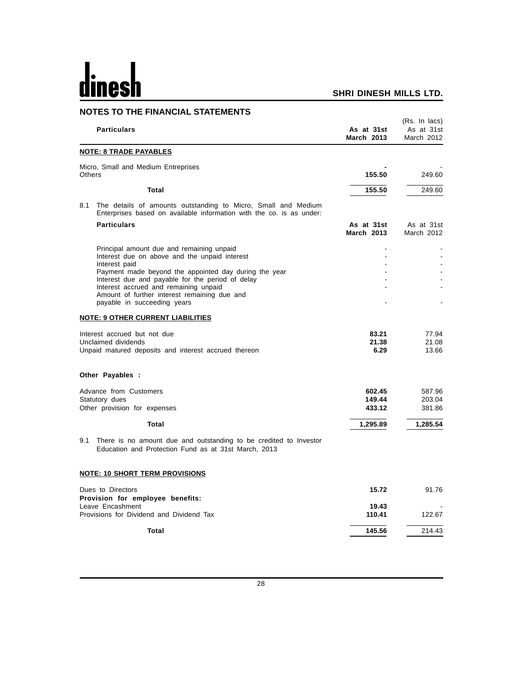## dines

#### **SHRI DINESH MILLS LTD.**

|               | <b>NOTES TO THE FINANCIAL STATEMENTS</b>                                                                                              |                                 |                                           |
|---------------|---------------------------------------------------------------------------------------------------------------------------------------|---------------------------------|-------------------------------------------|
|               | <b>Particulars</b>                                                                                                                    | As at 31st<br><b>March 2013</b> | (Rs. In lacs)<br>As at 31st<br>March 2012 |
|               | <b>NOTE: 8 TRADE PAYABLES</b>                                                                                                         |                                 |                                           |
| <b>Others</b> | Micro, Small and Medium Entreprises                                                                                                   | 155.50                          | 249.60                                    |
|               | <b>Total</b>                                                                                                                          | 155.50                          | 249.60                                    |
| 8.1           | The details of amounts outstanding to Micro, Small and Medium<br>Enterprises based on available information with the co. is as under: |                                 |                                           |
|               | <b>Particulars</b>                                                                                                                    | As at 31st<br><b>March 2013</b> | As at 31st<br>March 2012                  |
|               | Principal amount due and remaining unpaid                                                                                             | $\overline{a}$                  |                                           |
|               | Interest due on above and the unpaid interest<br>Interest paid                                                                        |                                 |                                           |
|               | Payment made beyond the appointed day during the year                                                                                 |                                 |                                           |
|               | Interest due and payable for the period of delay                                                                                      |                                 |                                           |
|               | Interest accrued and remaining unpaid<br>Amount of further interest remaining due and                                                 |                                 |                                           |
|               | payable in succeeding years                                                                                                           |                                 |                                           |
|               | <b>NOTE: 9 OTHER CURRENT LIABILITIES</b>                                                                                              |                                 |                                           |
|               | Interest accrued but not due                                                                                                          | 83.21                           | 77.94                                     |
|               | Unclaimed dividends                                                                                                                   | 21.38                           | 21.08                                     |
|               | Unpaid matured deposits and interest accrued thereon                                                                                  | 6.29                            | 13.66                                     |
|               | Other Payables :                                                                                                                      |                                 |                                           |
|               | Advance from Customers                                                                                                                | 602.45                          | 587.96                                    |
|               | Statutory dues                                                                                                                        | 149.44                          | 203.04                                    |
|               | Other provision for expenses                                                                                                          | 433.12                          | 381.86                                    |
|               | <b>Total</b>                                                                                                                          | 1,295.89                        | 1,285.54                                  |
|               | 9.1 There is no amount due and outstanding to be credited to Investor<br>Education and Protection Fund as at 31st March, 2013         |                                 |                                           |
|               | <b>NOTE: 10 SHORT TERM PROVISIONS</b>                                                                                                 |                                 |                                           |
|               | Dues to Directors<br>Provision for employee benefits:                                                                                 | 15.72                           | 91.76                                     |
|               | Leave Encashment                                                                                                                      | 19.43                           |                                           |
|               | Provisions for Dividend and Dividend Tax                                                                                              | 110.41                          | 122.67                                    |
|               | Total                                                                                                                                 | 145.56                          | 214.43                                    |

28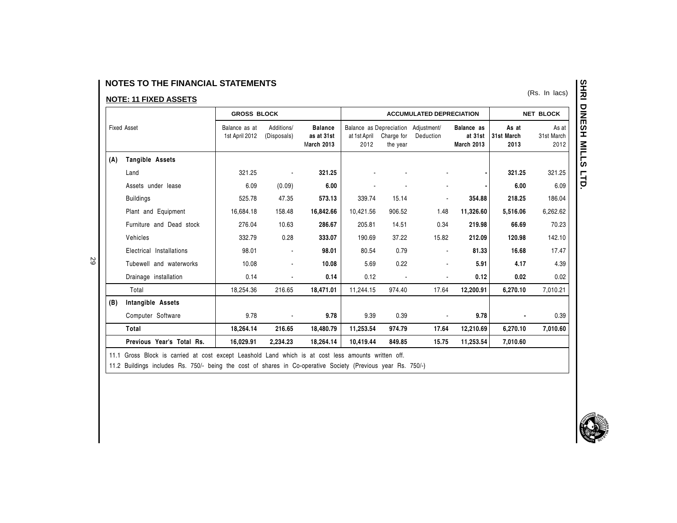29

|                    |                           | <b>GROSS BLOCK</b>                                           |                |           |                                                   |        | <b>ACCUMULATED DEPRECIATION</b>                                                                                                                  |           |          | <b>NET BLOCK</b> |  |  |                             |                             |
|--------------------|---------------------------|--------------------------------------------------------------|----------------|-----------|---------------------------------------------------|--------|--------------------------------------------------------------------------------------------------------------------------------------------------|-----------|----------|------------------|--|--|-----------------------------|-----------------------------|
| <b>Fixed Asset</b> |                           | Additions/<br>Balance as at<br>1st April 2012<br>(Disposals) |                |           | <b>Balance</b><br>as at 31st<br><b>March 2013</b> |        | Balance as Depreciation Adjustment/<br>Balance as<br>at 31st<br>at 1st April<br>Charge for<br>Deduction<br><b>March 2013</b><br>2012<br>the year |           |          |                  |  |  | As at<br>31st March<br>2013 | As at<br>31st March<br>2012 |
| (A)                | Tangible Assets           |                                                              |                |           |                                                   |        |                                                                                                                                                  |           |          |                  |  |  |                             |                             |
|                    | Land                      | 321.25                                                       |                | 321.25    |                                                   |        |                                                                                                                                                  |           | 321.25   | 321.25           |  |  |                             |                             |
|                    | Assets under lease        | 6.09                                                         | (0.09)         | 6.00      |                                                   |        |                                                                                                                                                  |           | 6.00     | 6.09             |  |  |                             |                             |
|                    | <b>Buildings</b>          | 525.78                                                       | 47.35          | 573.13    | 339.74                                            | 15.14  |                                                                                                                                                  | 354.88    | 218.25   | 186.04           |  |  |                             |                             |
|                    | Plant and Equipment       | 16,684.18                                                    | 158.48         | 16,842.66 | 10,421.56                                         | 906.52 | 1.48                                                                                                                                             | 11,326.60 | 5,516.06 | 6,262.62         |  |  |                             |                             |
|                    | Furniture and Dead stock  | 276.04                                                       | 10.63          | 286.67    | 205.81                                            | 14.51  | 0.34                                                                                                                                             | 219.98    | 66.69    | 70.23            |  |  |                             |                             |
|                    | Vehicles                  | 332.79                                                       | 0.28           | 333.07    | 190.69                                            | 37.22  | 15.82                                                                                                                                            | 212.09    | 120.98   | 142.10           |  |  |                             |                             |
|                    | Electrical Installations  | 98.01                                                        |                | 98.01     | 80.54                                             | 0.79   |                                                                                                                                                  | 81.33     | 16.68    | 17.47            |  |  |                             |                             |
|                    | Tubewell and waterworks   | 10.08                                                        | $\blacksquare$ | 10.08     | 5.69                                              | 0.22   |                                                                                                                                                  | 5.91      | 4.17     | 4.39             |  |  |                             |                             |
|                    | Drainage installation     | 0.14                                                         |                | 0.14      | 0.12                                              |        |                                                                                                                                                  | 0.12      | 0.02     | 0.02             |  |  |                             |                             |
|                    | Total                     | 18,254.36                                                    | 216.65         | 18,471.01 | 11,244.15                                         | 974.40 | 17.64                                                                                                                                            | 12,200.91 | 6,270.10 | 7,010.21         |  |  |                             |                             |
| (B)                | Intangible Assets         |                                                              |                |           |                                                   |        |                                                                                                                                                  |           |          |                  |  |  |                             |                             |
|                    | Computer Software         | 9.78                                                         | $\blacksquare$ | 9.78      | 9.39                                              | 0.39   |                                                                                                                                                  | 9.78      |          | 0.39             |  |  |                             |                             |
|                    | Total                     | 18,264.14                                                    | 216.65         | 18,480.79 | 11,253.54                                         | 974.79 | 17.64                                                                                                                                            | 12,210.69 | 6,270.10 | 7,010.60         |  |  |                             |                             |
|                    | Previous Year's Total Rs. | 16,029.91                                                    | 2,234.23       | 18,264.14 | 10,419.44                                         | 849.85 | 15.75                                                                                                                                            | 11,253.54 | 7,010.60 |                  |  |  |                             |                             |

11.1 Gross Block is carried at cost except Leashold Land which is at cost less amounts written off.

11.2 Buildings includes Rs. 750/- being the cost of shares in Co-operative Society (Previous year Rs. 750/-)

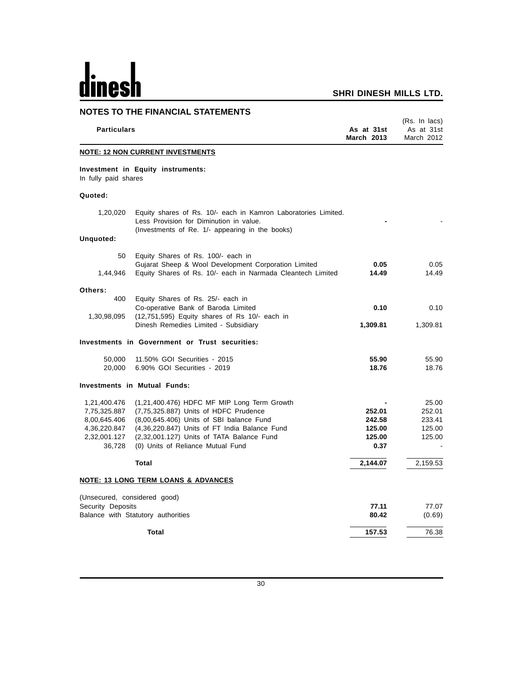# <u>dinesh</u>

| <b>NOTES TO THE FINANCIAL STATEMENTS</b>                                               |                                                                                                                                                                                                                                                                     |                                              |                                               |  |
|----------------------------------------------------------------------------------------|---------------------------------------------------------------------------------------------------------------------------------------------------------------------------------------------------------------------------------------------------------------------|----------------------------------------------|-----------------------------------------------|--|
| <b>Particulars</b>                                                                     |                                                                                                                                                                                                                                                                     | As at 31st<br>March 2013                     | (Rs. In lacs)<br>As at 31st<br>March 2012     |  |
|                                                                                        | <b>NOTE: 12 NON CURRENT INVESTMENTS</b>                                                                                                                                                                                                                             |                                              |                                               |  |
| In fully paid shares                                                                   | Investment in Equity instruments:                                                                                                                                                                                                                                   |                                              |                                               |  |
| Quoted:                                                                                |                                                                                                                                                                                                                                                                     |                                              |                                               |  |
| 1,20,020                                                                               | Equity shares of Rs. 10/- each in Kamron Laboratories Limited.<br>Less Provision for Diminution in value.<br>(Investments of Re. 1/- appearing in the books)                                                                                                        |                                              |                                               |  |
| Unquoted:                                                                              |                                                                                                                                                                                                                                                                     |                                              |                                               |  |
| 50                                                                                     | Equity Shares of Rs. 100/- each in                                                                                                                                                                                                                                  |                                              |                                               |  |
| 1,44,946                                                                               | Gujarat Sheep & Wool Development Corporation Limited<br>Equity Shares of Rs. 10/- each in Narmada Cleantech Limited                                                                                                                                                 | 0.05<br>14.49                                | 0.05<br>14.49                                 |  |
| Others:<br>400                                                                         | Equity Shares of Rs. 25/- each in                                                                                                                                                                                                                                   |                                              |                                               |  |
| 1,30,98,095                                                                            | Co-operative Bank of Baroda Limited<br>(12,751,595) Equity shares of Rs 10/- each in                                                                                                                                                                                | 0.10                                         | 0.10                                          |  |
|                                                                                        | Dinesh Remedies Limited - Subsidiary                                                                                                                                                                                                                                | 1,309.81                                     | 1,309.81                                      |  |
|                                                                                        | Investments in Government or Trust securities:                                                                                                                                                                                                                      |                                              |                                               |  |
| 50,000<br>20,000                                                                       | 11.50% GOI Securities - 2015<br>6.90% GOI Securities - 2019                                                                                                                                                                                                         | 55.90<br>18.76                               | 55.90<br>18.76                                |  |
|                                                                                        | <b>Investments in Mutual Funds:</b>                                                                                                                                                                                                                                 |                                              |                                               |  |
| 1,21,400.476<br>7,75,325.887<br>8,00,645.406<br>4,36,220.847<br>2,32,001.127<br>36,728 | (1,21,400.476) HDFC MF MIP Long Term Growth<br>(7,75,325.887) Units of HDFC Prudence<br>(8,00,645.406) Units of SBI balance Fund<br>(4,36,220.847) Units of FT India Balance Fund<br>(2,32,001.127) Units of TATA Balance Fund<br>(0) Units of Reliance Mutual Fund | 252.01<br>242.58<br>125.00<br>125.00<br>0.37 | 25.00<br>252.01<br>233.41<br>125.00<br>125.00 |  |
|                                                                                        | <b>Total</b>                                                                                                                                                                                                                                                        | 2,144.07                                     | 2,159.53                                      |  |
|                                                                                        | <b>NOTE: 13 LONG TERM LOANS &amp; ADVANCES</b>                                                                                                                                                                                                                      |                                              |                                               |  |
| (Unsecured, considered good)<br>Security Deposits                                      |                                                                                                                                                                                                                                                                     | 77.11                                        | 77.07                                         |  |
|                                                                                        | Balance with Statutory authorities                                                                                                                                                                                                                                  | 80.42                                        | (0.69)                                        |  |
|                                                                                        | Total                                                                                                                                                                                                                                                               | 157.53                                       | 76.38                                         |  |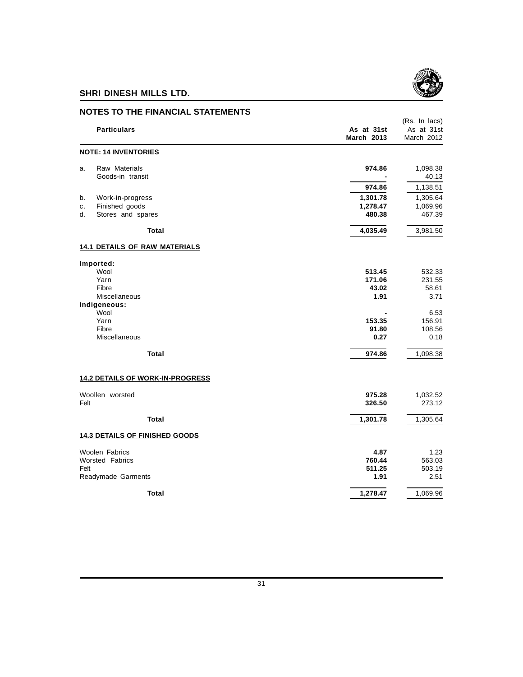

|      | <b>NOTES TO THE FINANCIAL STATEMENTS</b> |                                 |                                           |
|------|------------------------------------------|---------------------------------|-------------------------------------------|
|      | <b>Particulars</b>                       | As at 31st<br><b>March 2013</b> | (Rs. In lacs)<br>As at 31st<br>March 2012 |
|      | <b>NOTE: 14 INVENTORIES</b>              |                                 |                                           |
| a.   | Raw Materials<br>Goods-in transit        | 974.86                          | 1,098.38<br>40.13                         |
|      |                                          | 974.86                          | 1,138.51                                  |
| b.   | Work-in-progress                         | 1,301.78                        | 1,305.64                                  |
| c.   | Finished goods                           | 1,278.47                        | 1,069.96                                  |
| d.   | Stores and spares                        | 480.38                          | 467.39                                    |
|      | Total                                    | 4,035.49                        | 3,981.50                                  |
|      | <b>14.1 DETAILS OF RAW MATERIALS</b>     |                                 |                                           |
|      | Imported:                                |                                 |                                           |
|      | Wool                                     | 513.45                          | 532.33                                    |
|      | Yarn                                     | 171.06                          | 231.55                                    |
|      | Fibre<br>Miscellaneous                   | 43.02<br>1.91                   | 58.61<br>3.71                             |
|      | Indigeneous:                             |                                 |                                           |
|      | Wool                                     |                                 | 6.53                                      |
|      | Yarn                                     | 153.35                          | 156.91                                    |
|      | Fibre                                    | 91.80                           | 108.56                                    |
|      | Miscellaneous                            | 0.27                            | 0.18                                      |
|      | Total                                    | 974.86                          | 1,098.38                                  |
|      | <b>14.2 DETAILS OF WORK-IN-PROGRESS</b>  |                                 |                                           |
|      | Woollen worsted                          | 975.28                          | 1,032.52                                  |
| Felt |                                          | 326.50                          | 273.12                                    |
|      | Total                                    | 1,301.78                        | 1,305.64                                  |
|      | <b>14.3 DETAILS OF FINISHED GOODS</b>    |                                 |                                           |
|      | Woolen Fabrics                           | 4.87                            | 1.23                                      |
|      | <b>Worsted Fabrics</b>                   | 760.44                          | 563.03                                    |
| Felt |                                          | 511.25                          | 503.19                                    |
|      | Readymade Garments                       | 1.91                            | 2.51                                      |
|      | Total                                    | 1,278.47                        | 1,069.96                                  |

#### 31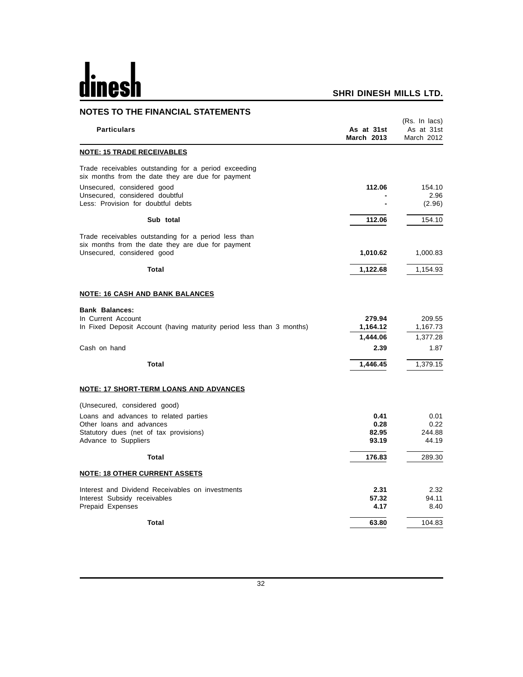# <u>dinesh</u>

| <b>NOTES TO THE FINANCIAL STATEMENTS</b>                                                                                                |                                 |                                           |
|-----------------------------------------------------------------------------------------------------------------------------------------|---------------------------------|-------------------------------------------|
| <b>Particulars</b>                                                                                                                      | As at 31st<br><b>March 2013</b> | (Rs. In lacs)<br>As at 31st<br>March 2012 |
| <b>NOTE: 15 TRADE RECEIVABLES</b>                                                                                                       |                                 |                                           |
| Trade receivables outstanding for a period exceeding<br>six months from the date they are due for payment                               |                                 |                                           |
| Unsecured, considered good<br>Unsecured, considered doubtful<br>Less: Provision for doubtful debts                                      | 112.06                          | 154.10<br>2.96<br>(2.96)                  |
| Sub total                                                                                                                               | 112.06                          | 154.10                                    |
| Trade receivables outstanding for a period less than<br>six months from the date they are due for payment<br>Unsecured, considered good | 1,010.62                        | 1,000.83                                  |
| Total                                                                                                                                   | 1,122.68                        | 1,154.93                                  |
| <b>NOTE: 16 CASH AND BANK BALANCES</b>                                                                                                  |                                 |                                           |
| <b>Bank Balances:</b><br>In Current Account<br>In Fixed Deposit Account (having maturity period less than 3 months)                     | 279.94<br>1,164.12              | 209.55<br>1,167.73                        |
| Cash on hand                                                                                                                            | 1,444.06<br>2.39                | 1,377.28<br>1.87                          |
| Total                                                                                                                                   | 1,446.45                        | 1,379.15                                  |
| <b>NOTE: 17 SHORT-TERM LOANS AND ADVANCES</b>                                                                                           |                                 |                                           |
| (Unsecured, considered good)                                                                                                            |                                 |                                           |
| Loans and advances to related parties<br>Other loans and advances<br>Statutory dues (net of tax provisions)<br>Advance to Suppliers     | 0.41<br>0.28<br>82.95<br>93.19  | 0.01<br>0.22<br>244.88<br>44.19           |
| Total                                                                                                                                   | 176.83                          | 289.30                                    |
| <b>NOTE: 18 OTHER CURRENT ASSETS</b>                                                                                                    |                                 |                                           |
| Interest and Dividend Receivables on investments<br>Interest Subsidy receivables<br>Prepaid Expenses                                    | 2.31<br>57.32<br>4.17           | 2.32<br>94.11<br>8.40                     |
| Total                                                                                                                                   | 63.80                           | 104.83                                    |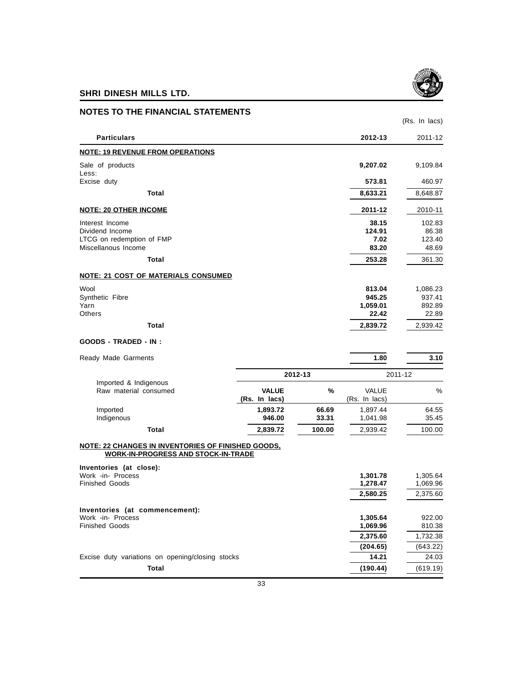

| <b>NOTES TO THE FINANCIAL STATEMENTS</b>                                                                                    |                               |                |                                       |                                       |
|-----------------------------------------------------------------------------------------------------------------------------|-------------------------------|----------------|---------------------------------------|---------------------------------------|
|                                                                                                                             |                               |                |                                       | (Rs. In lacs)                         |
| <b>Particulars</b>                                                                                                          |                               |                | 2012-13                               | 2011-12                               |
| <b>NOTE: 19 REVENUE FROM OPERATIONS</b>                                                                                     |                               |                |                                       |                                       |
| Sale of products<br>Less:                                                                                                   |                               |                | 9,207.02                              | 9,109.84                              |
| Excise duty                                                                                                                 |                               |                | 573.81                                | 460.97                                |
| Total                                                                                                                       |                               |                | 8,633.21                              | 8,648.87                              |
| <b>NOTE: 20 OTHER INCOME</b>                                                                                                |                               |                | 2011-12                               | 2010-11                               |
| Interest Income<br>Dividend Income<br>LTCG on redemption of FMP<br>Miscellanous Income                                      |                               |                | 38.15<br>124.91<br>7.02<br>83.20      | 102.83<br>86.38<br>123.40<br>48.69    |
| Total                                                                                                                       |                               |                | 253.28                                | 361.30                                |
| <b>NOTE: 21 COST OF MATERIALS CONSUMED</b>                                                                                  |                               |                |                                       |                                       |
| Wool<br>Synthetic Fibre<br>Yarn<br><b>Others</b>                                                                            |                               |                | 813.04<br>945.25<br>1,059.01<br>22.42 | 1,086.23<br>937.41<br>892.89<br>22.89 |
| Total                                                                                                                       |                               |                | 2,839.72                              | 2,939.42                              |
| <b>GOODS - TRADED - IN:</b>                                                                                                 |                               |                |                                       |                                       |
| Ready Made Garments                                                                                                         |                               |                | 1.80                                  | 3.10                                  |
|                                                                                                                             |                               | 2012-13        |                                       | 2011-12                               |
| Imported & Indigenous<br>Raw material consumed                                                                              | <b>VALUE</b><br>(Rs. In lacs) | %              | <b>VALUE</b><br>(Rs. In lacs)         | %                                     |
| Imported<br>Indigenous                                                                                                      | 1,893.72<br>946.00            | 66.69<br>33.31 | 1,897.44<br>1,041.98                  | 64.55<br>35.45                        |
| <b>Total</b>                                                                                                                | 2,839.72                      | 100.00         | 2,939.42                              | 100.00                                |
| NOTE: 22 CHANGES IN INVENTORIES OF FINISHED GOODS,<br><b>WORK-IN-PROGRESS AND STOCK-IN-TRADE</b><br>Inventories (at close): |                               |                |                                       |                                       |
| Work -in- Process<br><b>Finished Goods</b>                                                                                  |                               |                | 1,301.78<br>1,278.47<br>2,580.25      | 1,305.64<br>1,069.96<br>2,375.60      |
|                                                                                                                             |                               |                |                                       |                                       |
| Inventories (at commencement):<br>Work -in- Process<br><b>Finished Goods</b>                                                |                               |                | 1,305.64<br>1,069.96                  | 922.00<br>810.38                      |
|                                                                                                                             |                               |                | 2,375.60                              | 1,732.38                              |
| Excise duty variations on opening/closing stocks                                                                            |                               |                | (204.65)<br>14.21                     | (643.22)<br>24.03                     |
| <b>Total</b>                                                                                                                |                               |                | (190.44)                              | (619.19)                              |
|                                                                                                                             |                               |                |                                       |                                       |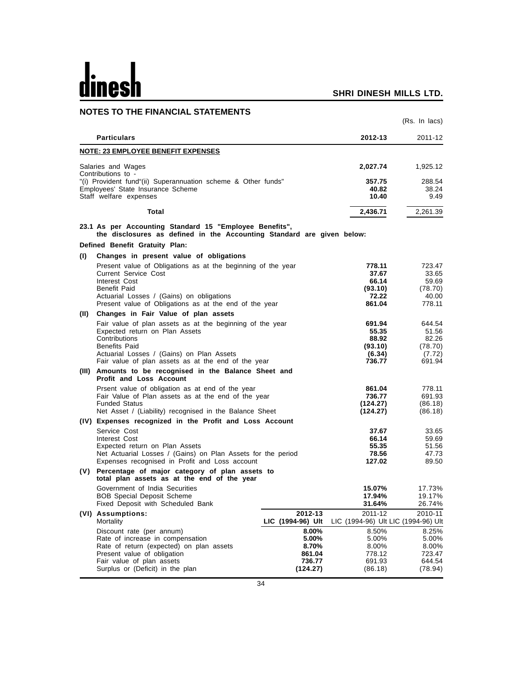# dinesh

|      | <b>NOTES TO THE FINANCIAL STATEMENTS</b>                                                                                          |                   |                                     |                         |
|------|-----------------------------------------------------------------------------------------------------------------------------------|-------------------|-------------------------------------|-------------------------|
|      |                                                                                                                                   |                   |                                     | (Rs. In lacs)           |
|      | <b>Particulars</b>                                                                                                                |                   | 2012-13                             | 2011-12                 |
|      | <b>NOTE: 23 EMPLOYEE BENEFIT EXPENSES</b>                                                                                         |                   |                                     |                         |
|      | Salaries and Wages                                                                                                                |                   | 2,027.74                            | 1,925.12                |
|      | Contributions to -                                                                                                                |                   |                                     |                         |
|      | "(i) Provident fund"(ii) Superannuation scheme & Other funds"<br>Employees' State Insurance Scheme<br>Staff welfare expenses      |                   | 357.75<br>40.82<br>10.40            | 288.54<br>38.24<br>9.49 |
|      | Total                                                                                                                             |                   | 2,436.71                            | 2,261.39                |
|      | 23.1 As per Accounting Standard 15 "Employee Benefits",<br>the disclosures as defined in the Accounting Standard are given below: |                   |                                     |                         |
|      | Defined Benefit Gratuity Plan:                                                                                                    |                   |                                     |                         |
| (1)  | Changes in present value of obligations                                                                                           |                   |                                     |                         |
|      | Present value of Obligations as at the beginning of the year                                                                      |                   | 778.11                              | 723.47                  |
|      | <b>Current Service Cost</b><br>Interest Cost                                                                                      |                   | 37.67<br>66.14                      | 33.65<br>59.69          |
|      | Benefit Paid                                                                                                                      |                   | (93.10)                             | (78.70)                 |
|      | Actuarial Losses / (Gains) on obligations                                                                                         |                   | 72.22                               | 40.00                   |
|      | Present value of Obligations as at the end of the year                                                                            |                   | 861.04                              | 778.11                  |
| (II) | Changes in Fair Value of plan assets                                                                                              |                   |                                     |                         |
|      | Fair value of plan assets as at the beginning of the year                                                                         |                   | 691.94                              | 644.54                  |
|      | Expected return on Plan Assets                                                                                                    |                   | 55.35                               | 51.56                   |
|      | Contributions<br><b>Benefits Paid</b>                                                                                             |                   | 88.92<br>(93.10)                    | 82.26<br>(78.70)        |
|      | Actuarial Losses / (Gains) on Plan Assets                                                                                         |                   | (6.34)                              | (7.72)                  |
|      | Fair value of plan assets as at the end of the year                                                                               |                   | 736.77                              | 691.94                  |
|      | (III) Amounts to be recognised in the Balance Sheet and<br>Profit and Loss Account                                                |                   |                                     |                         |
|      | Prsent value of obligation as at end of the year                                                                                  |                   | 861.04                              | 778.11                  |
|      | Fair Value of Plan assets as at the end of the year                                                                               |                   | 736.77                              | 691.93                  |
|      | <b>Funded Status</b><br>Net Asset / (Liability) recognised in the Balance Sheet                                                   |                   | (124.27)<br>(124.27)                | (86.18)<br>(86.18)      |
|      | (IV) Expenses recognized in the Profit and Loss Account                                                                           |                   |                                     |                         |
|      | Service Cost                                                                                                                      |                   | 37.67                               | 33.65                   |
|      | Interest Cost                                                                                                                     |                   | 66.14                               | 59.69                   |
|      | Expected return on Plan Assets                                                                                                    |                   | 55.35                               | 51.56                   |
|      | Net Actuarial Losses / (Gains) on Plan Assets for the period                                                                      |                   | 78.56                               | 47.73                   |
|      | Expenses recognised in Profit and Loss account                                                                                    |                   | 127.02                              | 89.50                   |
|      | (V) Percentage of major category of plan assets to<br>total plan assets as at the end of the year                                 |                   |                                     |                         |
|      | Government of India Securities                                                                                                    |                   | 15.07%                              | 17.73%                  |
|      | <b>BOB Special Deposit Scheme</b><br>Fixed Deposit with Scheduled Bank                                                            |                   | 17.94%<br>31.64%                    | 19.17%<br>26.74%        |
|      | (VI) Assumptions:                                                                                                                 | 2012-13           | 2011-12                             | 2010-11                 |
|      | Mortality                                                                                                                         | LIC (1994-96) Ult | LIC (1994-96) Ult LIC (1994-96) Ult |                         |
|      | Discount rate (per annum)                                                                                                         | 8.00%             | 8.50%                               | 8.25%                   |
|      | Rate of increase in compensation                                                                                                  | 5.00%             | 5.00%                               | 5.00%                   |
|      | Rate of return (expected) on plan assets<br>Present value of obligation                                                           | 8.70%             | 8.00%<br>778.12                     | 8.00%<br>723.47         |
|      | Fair value of plan assets                                                                                                         | 861.04<br>736.77  | 691.93                              | 644.54                  |
|      | Surplus or (Deficit) in the plan                                                                                                  | (124.27)          | (86.18)                             | (78.94)                 |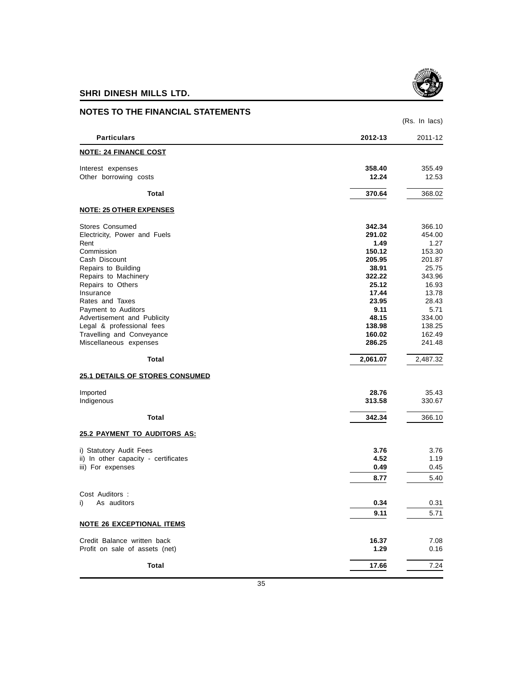

| <b>NOTES TO THE FINANCIAL STATEMENTS</b>  |                 |                 |
|-------------------------------------------|-----------------|-----------------|
|                                           |                 | (Rs. In lacs)   |
| <b>Particulars</b>                        | 2012-13         | 2011-12         |
| <b>NOTE: 24 FINANCE COST</b>              |                 |                 |
| Interest expenses                         | 358.40          | 355.49          |
| Other borrowing costs                     | 12.24           | 12.53           |
| Total                                     | 370.64          | 368.02          |
| <b>NOTE: 25 OTHER EXPENSES</b>            |                 |                 |
| Stores Consumed                           | 342.34          | 366.10          |
| Electricity, Power and Fuels              | 291.02          | 454.00          |
| Rent                                      | 1.49            | 1.27            |
| Commission                                | 150.12          | 153.30          |
| Cash Discount                             | 205.95          | 201.87          |
| Repairs to Building                       | 38.91           | 25.75           |
| Repairs to Machinery<br>Repairs to Others | 322.22<br>25.12 | 343.96<br>16.93 |
| Insurance                                 | 17.44           | 13.78           |
| Rates and Taxes                           | 23.95           | 28.43           |
| Payment to Auditors                       | 9.11            | 5.71            |
| Advertisement and Publicity               | 48.15           | 334.00          |
| Legal & professional fees                 | 138.98          | 138.25          |
| Travelling and Conveyance                 | 160.02          | 162.49          |
| Miscellaneous expenses                    | 286.25          | 241.48          |
| Total                                     | 2,061.07        | 2,487.32        |
| <b>25.1 DETAILS OF STORES CONSUMED</b>    |                 |                 |
| Imported                                  | 28.76           | 35.43           |
| Indigenous                                | 313.58          | 330.67          |
|                                           |                 |                 |
| Total                                     | 342.34          | 366.10          |
| <b>25.2 PAYMENT TO AUDITORS AS:</b>       |                 |                 |
| i) Statutory Audit Fees                   | 3.76            | 3.76            |
| ii) In other capacity - certificates      | 4.52            | 1.19            |
| iii) For expenses                         | 0.49            | 0.45            |
|                                           | 8.77            | 5.40            |
| Cost Auditors :                           |                 |                 |
| As auditors<br>i)                         | 0.34            | 0.31            |
|                                           | 9.11            | 5.71            |
| <b>NOTE 26 EXCEPTIONAL ITEMS</b>          |                 |                 |
| Credit Balance written back               | 16.37           | 7.08            |
| Profit on sale of assets (net)            | 1.29            | 0.16            |
| <b>Total</b>                              | 17.66           | 7.24            |
|                                           |                 |                 |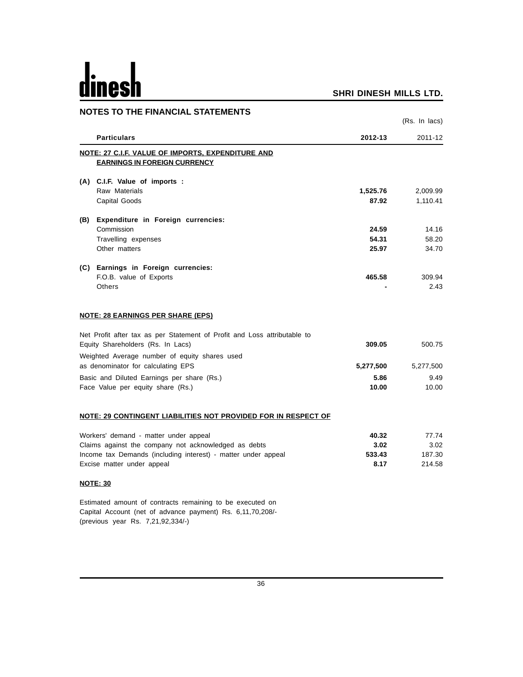# dinesh

#### **SHRI DINESH MILLS LTD.**

| <b>NOTES TO THE FINANCIAL STATEMENTS</b>                                 |           |               |
|--------------------------------------------------------------------------|-----------|---------------|
|                                                                          |           | (Rs. In lacs) |
| <b>Particulars</b>                                                       | 2012-13   | 2011-12       |
| NOTE: 27 C.I.F. VALUE OF IMPORTS, EXPENDITURE AND                        |           |               |
| <b>EARNINGS IN FOREIGN CURRENCY</b>                                      |           |               |
| (A) C.I.F. Value of imports :                                            |           |               |
| Raw Materials                                                            | 1,525.76  | 2,009.99      |
| Capital Goods                                                            | 87.92     | 1,110.41      |
| (B) Expenditure in Foreign currencies:                                   |           |               |
| Commission                                                               | 24.59     | 14.16         |
| Travelling expenses                                                      | 54.31     | 58.20         |
| Other matters                                                            | 25.97     | 34.70         |
| (C) Earnings in Foreign currencies:                                      |           |               |
| F.O.B. value of Exports                                                  | 465.58    | 309.94        |
| Others                                                                   |           | 2.43          |
| <b>NOTE: 28 EARNINGS PER SHARE (EPS)</b>                                 |           |               |
| Net Profit after tax as per Statement of Profit and Loss attributable to |           |               |
| Equity Shareholders (Rs. In Lacs)                                        | 309.05    | 500.75        |
| Weighted Average number of equity shares used                            |           |               |
| as denominator for calculating EPS                                       | 5,277,500 | 5,277,500     |
| Basic and Diluted Earnings per share (Rs.)                               | 5.86      | 9.49          |
| Face Value per equity share (Rs.)                                        | 10.00     | 10.00         |
| NOTE: 29 CONTINGENT LIABILITIES NOT PROVIDED FOR IN RESPECT OF           |           |               |
| Workers' demand - matter under appeal                                    | 40.32     | 77.74         |
| Claims against the company not acknowledged as debts                     | 3.02      | 3.02          |
| Income tax Demands (including interest) - matter under appeal            | 533.43    | 187.30        |
| Excise matter under appeal                                               | 8.17      | 214.58        |
| <b>NOTE: 30</b>                                                          |           |               |
| Estimated amount of contracts remaining to be executed on                |           |               |

Capital Account (net of advance payment) Rs. 6,11,70,208/- (previous year Rs. 7,21,92,334/-)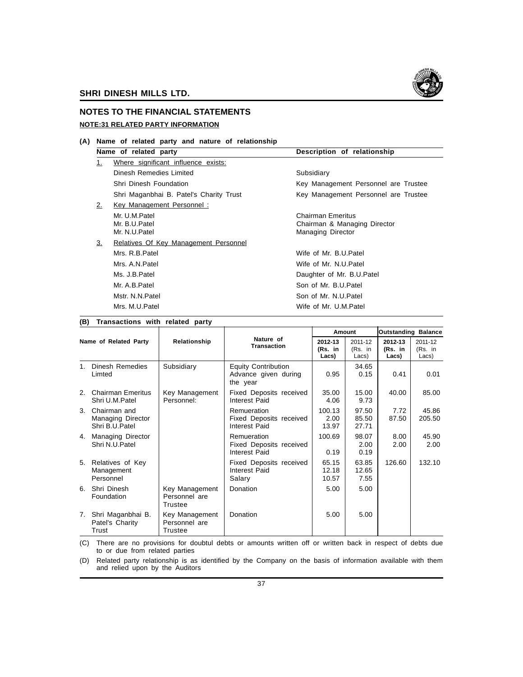

### **NOTES TO THE FINANCIAL STATEMENTS NOTE:31 RELATED PARTY INFORMATION**

**(A) Name of related party and nature of relationship**

#### **Name of related party Description of relationship**

|     | 1. | Where significant influence exists:     |                                      |
|-----|----|-----------------------------------------|--------------------------------------|
|     |    | Dinesh Remedies Limited                 | Subsidiary                           |
|     |    | Shri Dinesh Foundation                  | Key Management Personnel are Trustee |
|     |    | Shri Maganbhai B. Patel's Charity Trust | Key Management Personnel are Trustee |
|     | 2. | Key Management Personnel:               |                                      |
|     |    | Mr. U.M.Patel                           | Chairman Emeritus                    |
|     |    | Mr. B.U.Patel                           | Chairman & Managing Director         |
|     |    | Mr. N.U.Patel                           | <b>Managing Director</b>             |
|     | 3. | Relatives Of Key Management Personnel   |                                      |
|     |    | Mrs. R.B.Patel                          | Wife of Mr. B.U.Patel                |
|     |    | Mrs. A.N. Patel                         | Wife of Mr. N.U.Patel                |
|     |    | Ms. J.B.Patel                           | Daughter of Mr. B.U. Patel           |
|     |    | Mr. A.B.Patel                           | Son of Mr. B.U.Patel                 |
|     |    | Mstr. N.N.Patel                         | Son of Mr. N.U.Patel                 |
|     |    | Mrs. M.U.Patel                          | Wife of Mr. U.M.Patel                |
| (B) |    | Transactions with related party         |                                      |

| (ס                    | transactions with related party                        |                                            |                                                                |                                                            |                         |                             |                               |
|-----------------------|--------------------------------------------------------|--------------------------------------------|----------------------------------------------------------------|------------------------------------------------------------|-------------------------|-----------------------------|-------------------------------|
|                       |                                                        |                                            |                                                                |                                                            | Amount                  |                             | <b>Outstanding Balance</b>    |
| Name of Related Party |                                                        | Relationship                               | Nature of<br><b>Transaction</b>                                | 2012-13<br>2011-12<br>(Rs. in<br>(Rs. in<br>Lacs)<br>Lacs) |                         | 2012-13<br>(Rs. in<br>Lacs) | 2011-12<br>$(Rs.$ in<br>Lacs) |
| $1_{-}$               | Dinesh Remedies<br>Limted                              | Subsidiary                                 | <b>Equity Contribution</b><br>Advance given during<br>the year | 0.95                                                       | 34.65<br>0.15           | 0.41                        | 0.01                          |
| 2.                    | <b>Chairman Emeritus</b><br>Shri U.M.Patel             | Key Management<br>Personnel:               | Fixed Deposits received<br>Interest Paid                       | 35.00<br>4.06                                              | 15.00<br>9.73           | 40.00                       | 85.00                         |
|                       | 3. Chairman and<br>Managing Director<br>Shri B.U.Patel |                                            | Remueration<br>Fixed Deposits received<br>Interest Paid        | 100.13<br>2.00<br>13.97                                    | 97.50<br>85.50<br>27.71 | 7.72<br>87.50               | 45.86<br>205.50               |
| 4.                    | <b>Managing Director</b><br>Shri N.U.Patel             |                                            | Remueration<br>Fixed Deposits received<br>Interest Paid        | 100.69<br>0.19                                             | 98.07<br>2.00<br>0.19   | 8.00<br>2.00                | 45.90<br>2.00                 |
|                       | 5. Relatives of Key<br>Management<br>Personnel         |                                            | Fixed Deposits received<br>Interest Paid<br>Salary             | 65.15<br>12.18<br>10.57                                    | 63.85<br>12.65<br>7.55  | 126.60                      | 132.10                        |
|                       | 6. Shri Dinesh<br>Foundation                           | Key Management<br>Personnel are<br>Trustee | <b>Donation</b>                                                | 5.00                                                       | 5.00                    |                             |                               |
| 7.                    | Shri Maganbhai B.<br>Patel's Charity<br>Trust          | Key Management<br>Personnel are<br>Trustee | Donation                                                       | 5.00                                                       | 5.00                    |                             |                               |

(C) There are no provisions for doubtul debts or amounts written off or written back in respect of debts due to or due from related parties

(D) Related party relationship is as identified by the Company on the basis of information available with them and relied upon by the Auditors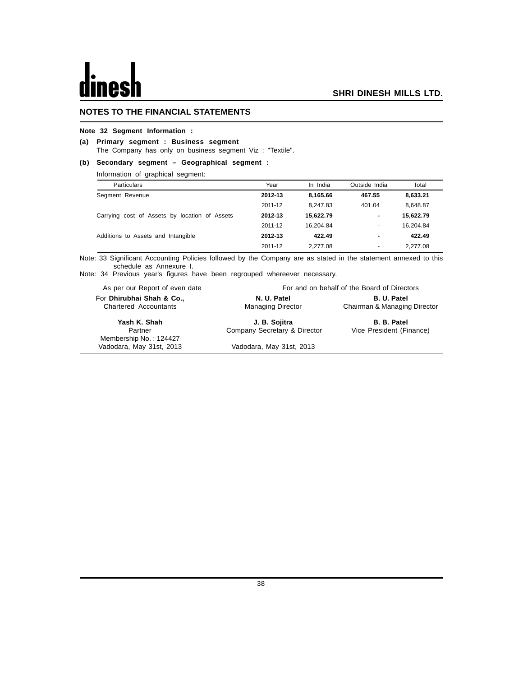#### **NOTES TO THE FINANCIAL STATEMENTS**

#### **Note 32 Segment Information :**

#### **(a) Primary segment : Business segment**

The Company has only on business segment Viz : "Textile".

#### **(b) Secondary segment – Geographical segment :**

Information of graphical segment:

| Particulars                                   | Year    | In India  | Outside India            | Total     |
|-----------------------------------------------|---------|-----------|--------------------------|-----------|
| Segment Revenue                               | 2012-13 | 8.165.66  | 467.55                   | 8,633.21  |
|                                               | 2011-12 | 8.247.83  | 401.04                   | 8.648.87  |
| Carrying cost of Assets by location of Assets | 2012-13 | 15,622.79 | $\blacksquare$           | 15,622.79 |
|                                               | 2011-12 | 16.204.84 | ۰                        | 16,204.84 |
| Additions to Assets and Intangible            | 2012-13 | 422.49    |                          | 422.49    |
|                                               | 2011-12 | 2.277.08  | $\overline{\phantom{a}}$ | 2.277.08  |

Note: 33 Significant Accounting Policies followed by the Company are as stated in the statement annexed to this schedule as Annexure I.

Note: 34 Previous year's figures have been regrouped whereever necessary.

| As per our Report of even date                            |                                               | For and on behalf of the Board of Directors    |  |  |
|-----------------------------------------------------------|-----------------------------------------------|------------------------------------------------|--|--|
| For Dhirubhai Shah & Co.,<br><b>Chartered Accountants</b> | N. U. Patel<br><b>Managing Director</b>       | B. U. Patel<br>Chairman & Managing Director    |  |  |
| Yash K. Shah<br>Partner<br>Membership No.: 124427         | J. B. Sojitra<br>Company Secretary & Director | <b>B. B. Patel</b><br>Vice President (Finance) |  |  |
| Vadodara, May 31st, 2013                                  | Vadodara, May 31st, 2013                      |                                                |  |  |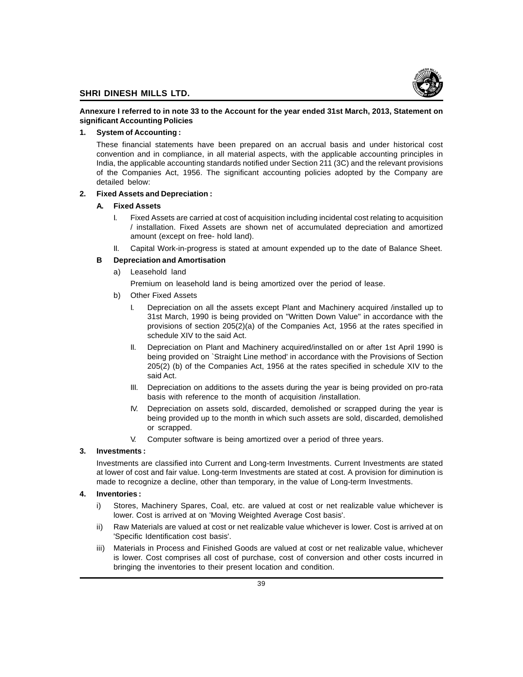

#### **Annexure I referred to in note 33 to the Account for the year ended 31st March, 2013, Statement on significant Accounting Policies**

#### **1. System of Accounting :**

These financial statements have been prepared on an accrual basis and under historical cost convention and in compliance, in all material aspects, with the applicable accounting principles in India, the applicable accounting standards notified under Section 211 (3C) and the relevant provisions of the Companies Act, 1956. The significant accounting policies adopted by the Company are detailed below:

#### **2. Fixed Assets and Depreciation :**

#### **A. Fixed Assets**

- I. Fixed Assets are carried at cost of acquisition including incidental cost relating to acquisition / installation. Fixed Assets are shown net of accumulated depreciation and amortized amount (except on free- hold land).
- II. Capital Work-in-progress is stated at amount expended up to the date of Balance Sheet.

#### **B Depreciation and Amortisation**

a) Leasehold land

Premium on leasehold land is being amortized over the period of lease.

- b) Other Fixed Assets
	- I. Depreciation on all the assets except Plant and Machinery acquired /installed up to 31st March, 1990 is being provided on "Written Down Value" in accordance with the provisions of section 205(2)(a) of the Companies Act, 1956 at the rates specified in schedule XIV to the said Act.
	- II. Depreciation on Plant and Machinery acquired/installed on or after 1st April 1990 is being provided on `Straight Line method' in accordance with the Provisions of Section 205(2) (b) of the Companies Act, 1956 at the rates specified in schedule XIV to the said Act.
	- III. Depreciation on additions to the assets during the year is being provided on pro-rata basis with reference to the month of acquisition /installation.
	- IV. Depreciation on assets sold, discarded, demolished or scrapped during the year is being provided up to the month in which such assets are sold, discarded, demolished or scrapped.
	- V. Computer software is being amortized over a period of three years.

#### **3. Investments :**

Investments are classified into Current and Long-term Investments. Current Investments are stated at lower of cost and fair value. Long-term Investments are stated at cost. A provision for diminution is made to recognize a decline, other than temporary, in the value of Long-term Investments.

#### **4. Inventories :**

- i) Stores, Machinery Spares, Coal, etc. are valued at cost or net realizable value whichever is lower. Cost is arrived at on 'Moving Weighted Average Cost basis'.
- ii) Raw Materials are valued at cost or net realizable value whichever is lower. Cost is arrived at on 'Specific Identification cost basis'.
- iii) Materials in Process and Finished Goods are valued at cost or net realizable value, whichever is lower. Cost comprises all cost of purchase, cost of conversion and other costs incurred in bringing the inventories to their present location and condition.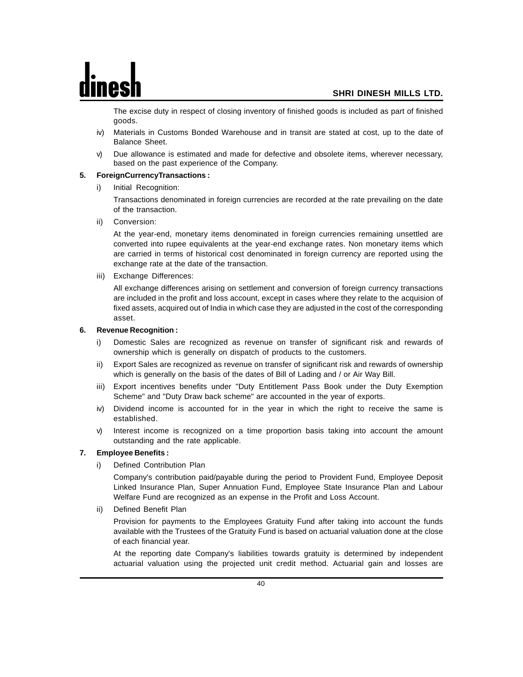The excise duty in respect of closing inventory of finished goods is included as part of finished goods.

- iv) Materials in Customs Bonded Warehouse and in transit are stated at cost, up to the date of Balance Sheet.
- v) Due allowance is estimated and made for defective and obsolete items, wherever necessary, based on the past experience of the Company.

#### **5. ForeignCurrencyTransactions :**

i) Initial Recognition:

Transactions denominated in foreign currencies are recorded at the rate prevailing on the date of the transaction.

ii) Conversion:

At the year-end, monetary items denominated in foreign currencies remaining unsettled are converted into rupee equivalents at the year-end exchange rates. Non monetary items which are carried in terms of historical cost denominated in foreign currency are reported using the exchange rate at the date of the transaction.

iii) Exchange Differences:

All exchange differences arising on settlement and conversion of foreign currency transactions are included in the profit and loss account, except in cases where they relate to the acquision of fixed assets, acquired out of India in which case they are adjusted in the cost of the corresponding asset.

#### **6. Revenue Recognition :**

- i) Domestic Sales are recognized as revenue on transfer of significant risk and rewards of ownership which is generally on dispatch of products to the customers.
- ii) Export Sales are recognized as revenue on transfer of significant risk and rewards of ownership which is generally on the basis of the dates of Bill of Lading and / or Air Way Bill.
- iii) Export incentives benefits under "Duty Entitlement Pass Book under the Duty Exemption Scheme" and "Duty Draw back scheme" are accounted in the year of exports.
- iv) Dividend income is accounted for in the year in which the right to receive the same is established.
- v) Interest income is recognized on a time proportion basis taking into account the amount outstanding and the rate applicable.

#### **7. Employee Benefits :**

i) Defined Contribution Plan

Company's contribution paid/payable during the period to Provident Fund, Employee Deposit Linked Insurance Plan, Super Annuation Fund, Employee State Insurance Plan and Labour Welfare Fund are recognized as an expense in the Profit and Loss Account.

ii) Defined Benefit Plan

Provision for payments to the Employees Gratuity Fund after taking into account the funds available with the Trustees of the Gratuity Fund is based on actuarial valuation done at the close of each financial year.

At the reporting date Company's liabilities towards gratuity is determined by independent actuarial valuation using the projected unit credit method. Actuarial gain and losses are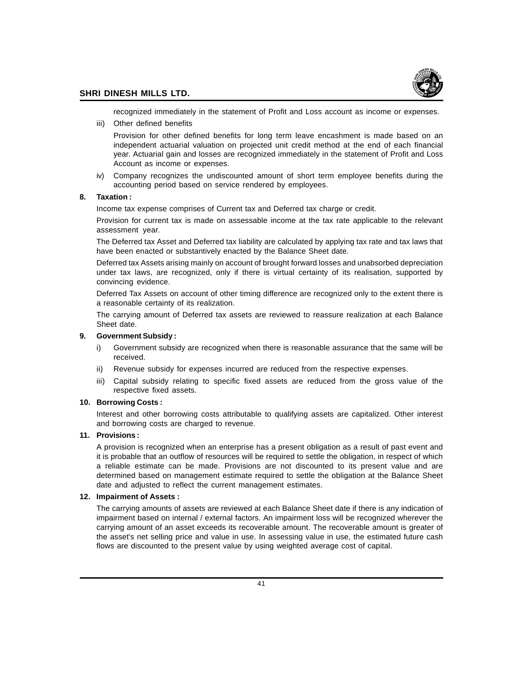

recognized immediately in the statement of Profit and Loss account as income or expenses.

iii) Other defined benefits

Provision for other defined benefits for long term leave encashment is made based on an independent actuarial valuation on projected unit credit method at the end of each financial year. Actuarial gain and losses are recognized immediately in the statement of Profit and Loss Account as income or expenses.

iv) Company recognizes the undiscounted amount of short term employee benefits during the accounting period based on service rendered by employees.

#### **8. Taxation :**

Income tax expense comprises of Current tax and Deferred tax charge or credit.

Provision for current tax is made on assessable income at the tax rate applicable to the relevant assessment year.

The Deferred tax Asset and Deferred tax liability are calculated by applying tax rate and tax laws that have been enacted or substantively enacted by the Balance Sheet date.

Deferred tax Assets arising mainly on account of brought forward losses and unabsorbed depreciation under tax laws, are recognized, only if there is virtual certainty of its realisation, supported by convincing evidence.

Deferred Tax Assets on account of other timing difference are recognized only to the extent there is a reasonable certainty of its realization.

The carrying amount of Deferred tax assets are reviewed to reassure realization at each Balance Sheet date.

#### **9. Government Subsidy :**

- i) Government subsidy are recognized when there is reasonable assurance that the same will be received.
- ii) Revenue subsidy for expenses incurred are reduced from the respective expenses.
- iii) Capital subsidy relating to specific fixed assets are reduced from the gross value of the respective fixed assets.

#### **10. Borrowing Costs :**

Interest and other borrowing costs attributable to qualifying assets are capitalized. Other interest and borrowing costs are charged to revenue.

#### **11. Provisions :**

A provision is recognized when an enterprise has a present obligation as a result of past event and it is probable that an outflow of resources will be required to settle the obligation, in respect of which a reliable estimate can be made. Provisions are not discounted to its present value and are determined based on management estimate required to settle the obligation at the Balance Sheet date and adjusted to reflect the current management estimates.

#### **12. Impairment of Assets :**

The carrying amounts of assets are reviewed at each Balance Sheet date if there is any indication of impairment based on internal / external factors. An impairment loss will be recognized wherever the carrying amount of an asset exceeds its recoverable amount. The recoverable amount is greater of the asset's net selling price and value in use. In assessing value in use, the estimated future cash flows are discounted to the present value by using weighted average cost of capital.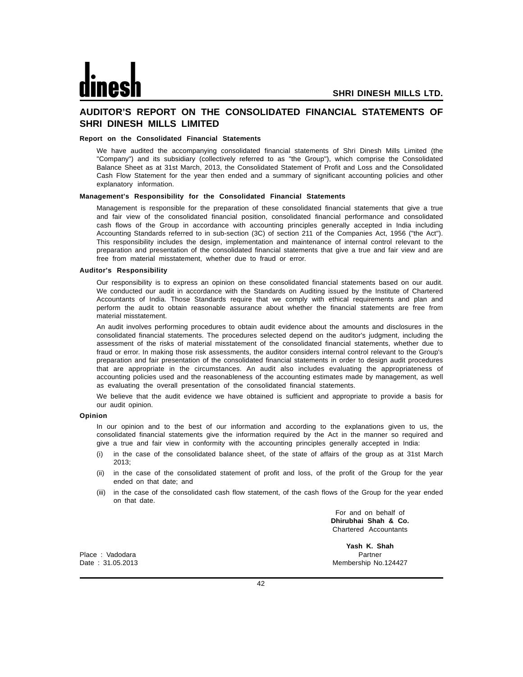#### **AUDITOR'S REPORT ON THE CONSOLIDATED FINANCIAL STATEMENTS OF SHRI DINESH MILLS LIMITED**

#### **Report on the Consolidated Financial Statements**

We have audited the accompanying consolidated financial statements of Shri Dinesh Mills Limited (the "Company") and its subsidiary (collectively referred to as "the Group"), which comprise the Consolidated Balance Sheet as at 31st March, 2013, the Consolidated Statement of Profit and Loss and the Consolidated Cash Flow Statement for the year then ended and a summary of significant accounting policies and other explanatory information.

#### **Management's Responsibility for the Consolidated Financial Statements**

Management is responsible for the preparation of these consolidated financial statements that give a true and fair view of the consolidated financial position, consolidated financial performance and consolidated cash flows of the Group in accordance with accounting principles generally accepted in India including Accounting Standards referred to in sub-section (3C) of section 211 of the Companies Act, 1956 ("the Act"). This responsibility includes the design, implementation and maintenance of internal control relevant to the preparation and presentation of the consolidated financial statements that give a true and fair view and are free from material misstatement, whether due to fraud or error.

#### **Auditor's Responsibility**

Our responsibility is to express an opinion on these consolidated financial statements based on our audit. We conducted our audit in accordance with the Standards on Auditing issued by the Institute of Chartered Accountants of India. Those Standards require that we comply with ethical requirements and plan and perform the audit to obtain reasonable assurance about whether the financial statements are free from material misstatement.

An audit involves performing procedures to obtain audit evidence about the amounts and disclosures in the consolidated financial statements. The procedures selected depend on the auditor's judgment, including the assessment of the risks of material misstatement of the consolidated financial statements, whether due to fraud or error. In making those risk assessments, the auditor considers internal control relevant to the Group's preparation and fair presentation of the consolidated financial statements in order to design audit procedures that are appropriate in the circumstances. An audit also includes evaluating the appropriateness of accounting policies used and the reasonableness of the accounting estimates made by management, as well as evaluating the overall presentation of the consolidated financial statements.

We believe that the audit evidence we have obtained is sufficient and appropriate to provide a basis for our audit opinion.

#### **Opinion**

In our opinion and to the best of our information and according to the explanations given to us, the consolidated financial statements give the information required by the Act in the manner so required and give a true and fair view in conformity with the accounting principles generally accepted in India:

- (i) in the case of the consolidated balance sheet, of the state of affairs of the group as at 31st March 2013;
- (ii) in the case of the consolidated statement of profit and loss, of the profit of the Group for the year ended on that date; and
- (iii) in the case of the consolidated cash flow statement, of the cash flows of the Group for the year ended on that date.

For and on behalf of **Dhirubhai Shah & Co.** Chartered Accountants

Place : Vadodara Partner et al. 2009 and 2009 and 2009 and 2009 and 2009 and 2009 and 2009 and 2009 and 2009 and 2009 and 2009 and 2009 and 2009 and 2009 and 2009 and 2009 and 2009 and 2009 and 2009 and 2009 and 2009 and 2

**Yash K. Shah** Date : 31.05.2013 Membership No.124427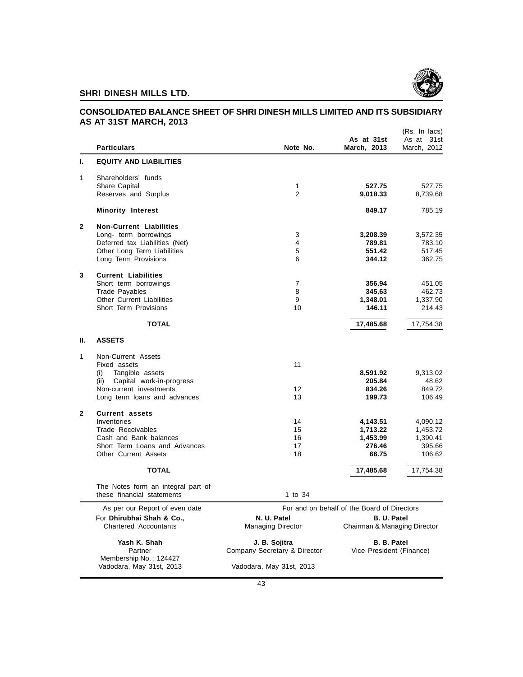

#### **CONSOLIDATED BALANCE SHEET OF SHRI DINESH MILLS LIMITED AND ITS SUBSIDIARY AS AT 31ST MARCH, 2013**

|              | <b>Particulars</b>                                               | Note No.                     | As at 31st<br>March, 2013                   | (Rs. In lacs)<br>As at<br>31st<br>March, 2012 |
|--------------|------------------------------------------------------------------|------------------------------|---------------------------------------------|-----------------------------------------------|
| ı.           | <b>EQUITY AND LIABILITIES</b>                                    |                              |                                             |                                               |
| 1            | Shareholders' funds                                              |                              |                                             |                                               |
|              | Share Capital                                                    | 1                            | 527.75                                      | 527.75                                        |
|              | Reserves and Surplus                                             | $\overline{2}$               | 9,018.33                                    | 8,739.68                                      |
|              | <b>Minority Interest</b>                                         |                              | 849.17                                      | 785.19                                        |
| $\mathbf{2}$ | <b>Non-Current Liabilities</b>                                   |                              |                                             |                                               |
|              | Long- term borrowings                                            | 3                            | 3,208.39                                    | 3,572.35                                      |
|              | Deferred tax Liabilities (Net)                                   | 4                            | 789.81                                      | 783.10                                        |
|              | Other Long Term Liabilities                                      | 5                            | 551.42                                      | 517.45                                        |
|              | Long Term Provisions                                             | 6                            | 344.12                                      | 362.75                                        |
| 3            | <b>Current Liabilities</b>                                       |                              |                                             |                                               |
|              | Short term borrowings                                            | 7                            | 356.94                                      | 451.05                                        |
|              | <b>Trade Payables</b>                                            | 8                            | 345.63                                      | 462.73                                        |
|              | <b>Other Current Liabilities</b>                                 | 9                            | 1,348.01                                    | 1,337.90                                      |
|              | Short Term Provisions                                            | 10                           | 146.11                                      | 214.43                                        |
|              | <b>TOTAL</b>                                                     |                              | 17,485.68                                   | 17,754.38                                     |
| Ш.           | <b>ASSETS</b>                                                    |                              |                                             |                                               |
| 1            | Non-Current Assets                                               |                              |                                             |                                               |
|              | Fixed assets                                                     | 11                           |                                             |                                               |
|              | Tangible assets<br>(i)                                           |                              | 8,591.92                                    | 9,313.02                                      |
|              | Capital work-in-progress<br>(ii)                                 |                              | 205.84                                      | 48.62                                         |
|              | Non-current investments                                          | 12                           | 834.26                                      | 849.72                                        |
|              | Long term loans and advances                                     | 13                           | 199.73                                      | 106.49                                        |
| $\mathbf{2}$ | <b>Current assets</b>                                            |                              |                                             |                                               |
|              | Inventories                                                      | 14                           | 4,143.51                                    | 4,090.12                                      |
|              | Trade Receivables                                                | 15                           | 1,713.22                                    | 1,453.72                                      |
|              | Cash and Bank balances                                           | 16                           | 1,453.99                                    | 1,390.41                                      |
|              | Short Term Loans and Advances<br>Other Current Assets            | 17<br>18                     | 276.46<br>66.75                             | 395.66<br>106.62                              |
|              |                                                                  |                              |                                             |                                               |
|              | <b>TOTAL</b>                                                     |                              | 17,485.68                                   | 17,754.38                                     |
|              | The Notes form an integral part of<br>these financial statements | 1 to 34                      |                                             |                                               |
|              | As per our Report of even date                                   |                              | For and on behalf of the Board of Directors |                                               |
|              | For Dhirubhai Shah & Co.,                                        | N. U. Patel                  | B. U. Patel                                 |                                               |
|              | Chartered Accountants                                            | <b>Managing Director</b>     | Chairman & Managing Director                |                                               |
|              | Yash K. Shah                                                     | J. B. Sojitra                | <b>B. B. Patel</b>                          |                                               |
|              | Partner                                                          | Company Secretary & Director | Vice President (Finance)                    |                                               |
|              | Membership No.: 124427<br>Vadodara, May 31st, 2013               | Vadodara, May 31st, 2013     |                                             |                                               |
|              |                                                                  |                              |                                             |                                               |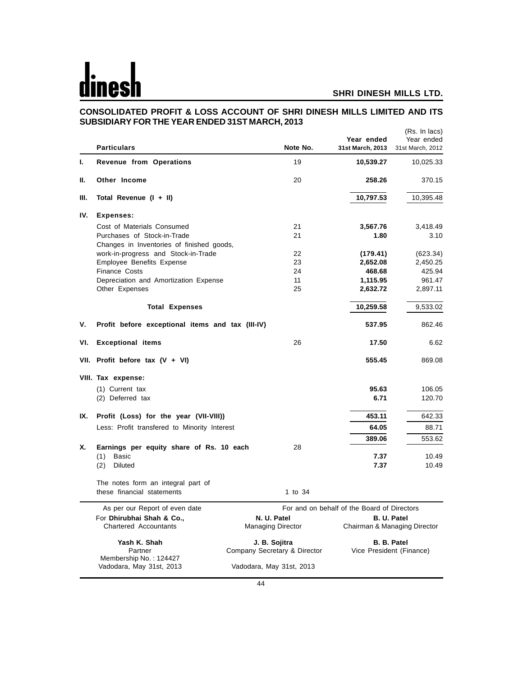## $\overline{\mathbf{d}}$ es

#### **SHRI DINESH MILLS LTD.**

#### **CONSOLIDATED PROFIT & LOSS ACCOUNT OF SHRI DINESH MILLS LIMITED AND ITS SUBSIDIARY FOR THE YEAR ENDED 31ST MARCH, 2013**  $(D_0, \ln \ln \cos \theta)$

| Ι.<br>Revenue from Operations<br>19<br>10,539.27<br>Other Income<br>20<br>258.26<br>Н.<br>Ш.<br>Total Revenue (I + II)<br>10,797.53<br>IV.<br><b>Expenses:</b><br>Cost of Materials Consumed<br>21<br>3,567.76<br>Purchases of Stock-in-Trade<br>21<br>1.80<br>Changes in Inventories of finished goods,<br>22<br>work-in-progress and Stock-in-Trade<br>(179.41)<br>Employee Benefits Expense<br>23<br>2,652.08<br><b>Finance Costs</b><br>24<br>468.68<br>11<br>1,115.95<br>Depreciation and Amortization Expense<br>25<br>2,632.72<br>Other Expenses<br>10,259.58<br><b>Total Expenses</b><br>۷.<br>Profit before exceptional items and tax (III-IV)<br>537.95<br><b>Exceptional items</b><br>26<br>VI.<br>17.50<br>555.45<br>VII. Profit before tax $(V + VI)$<br>VIII. Tax expense:<br>95.63<br>(1) Current tax<br>(2) Deferred tax<br>6.71<br>453.11<br>IX.<br>Profit (Loss) for the year (VII-VIII))<br>Less: Profit transfered to Minority Interest<br>64.05<br>389.06<br>Earnings per equity share of Rs. 10 each<br>28<br>х.<br>Basic<br>(1)<br>7.37<br>10.49<br>7.37<br>(2)<br>Diluted<br>10.49<br>The notes form an integral part of<br>these financial statements<br>1 to 34<br>For and on behalf of the Board of Directors<br>As per our Report of even date<br>N. U. Patel<br>B. U. Patel<br>For Dhirubhai Shah & Co.,<br><b>Chartered Accountants</b><br><b>Managing Director</b><br>Chairman & Managing Director<br>J. B. Sojitra<br>B. B. Patel<br>Yash K. Shah<br>Company Secretary & Director<br>Vice President (Finance)<br>Partner<br>Membership No.: 124427<br>Vadodara, May 31st, 2013<br>Vadodara, May 31st, 2013 | <b>Particulars</b> |  | Note No. | Year ended<br>31st March, 2013 | (Rs. In lacs)<br>Year ended<br>31st March, 2012 |
|--------------------------------------------------------------------------------------------------------------------------------------------------------------------------------------------------------------------------------------------------------------------------------------------------------------------------------------------------------------------------------------------------------------------------------------------------------------------------------------------------------------------------------------------------------------------------------------------------------------------------------------------------------------------------------------------------------------------------------------------------------------------------------------------------------------------------------------------------------------------------------------------------------------------------------------------------------------------------------------------------------------------------------------------------------------------------------------------------------------------------------------------------------------------------------------------------------------------------------------------------------------------------------------------------------------------------------------------------------------------------------------------------------------------------------------------------------------------------------------------------------------------------------------------------------------------------------------------------------------------------------------------|--------------------|--|----------|--------------------------------|-------------------------------------------------|
|                                                                                                                                                                                                                                                                                                                                                                                                                                                                                                                                                                                                                                                                                                                                                                                                                                                                                                                                                                                                                                                                                                                                                                                                                                                                                                                                                                                                                                                                                                                                                                                                                                            |                    |  |          |                                | 10,025.33                                       |
|                                                                                                                                                                                                                                                                                                                                                                                                                                                                                                                                                                                                                                                                                                                                                                                                                                                                                                                                                                                                                                                                                                                                                                                                                                                                                                                                                                                                                                                                                                                                                                                                                                            |                    |  |          |                                | 370.15                                          |
|                                                                                                                                                                                                                                                                                                                                                                                                                                                                                                                                                                                                                                                                                                                                                                                                                                                                                                                                                                                                                                                                                                                                                                                                                                                                                                                                                                                                                                                                                                                                                                                                                                            |                    |  |          |                                | 10,395.48                                       |
|                                                                                                                                                                                                                                                                                                                                                                                                                                                                                                                                                                                                                                                                                                                                                                                                                                                                                                                                                                                                                                                                                                                                                                                                                                                                                                                                                                                                                                                                                                                                                                                                                                            |                    |  |          |                                |                                                 |
|                                                                                                                                                                                                                                                                                                                                                                                                                                                                                                                                                                                                                                                                                                                                                                                                                                                                                                                                                                                                                                                                                                                                                                                                                                                                                                                                                                                                                                                                                                                                                                                                                                            |                    |  |          |                                | 3,418.49                                        |
|                                                                                                                                                                                                                                                                                                                                                                                                                                                                                                                                                                                                                                                                                                                                                                                                                                                                                                                                                                                                                                                                                                                                                                                                                                                                                                                                                                                                                                                                                                                                                                                                                                            |                    |  |          |                                | 3.10                                            |
|                                                                                                                                                                                                                                                                                                                                                                                                                                                                                                                                                                                                                                                                                                                                                                                                                                                                                                                                                                                                                                                                                                                                                                                                                                                                                                                                                                                                                                                                                                                                                                                                                                            |                    |  |          |                                |                                                 |
|                                                                                                                                                                                                                                                                                                                                                                                                                                                                                                                                                                                                                                                                                                                                                                                                                                                                                                                                                                                                                                                                                                                                                                                                                                                                                                                                                                                                                                                                                                                                                                                                                                            |                    |  |          |                                | (623.34)                                        |
|                                                                                                                                                                                                                                                                                                                                                                                                                                                                                                                                                                                                                                                                                                                                                                                                                                                                                                                                                                                                                                                                                                                                                                                                                                                                                                                                                                                                                                                                                                                                                                                                                                            |                    |  |          |                                | 2,450.25                                        |
|                                                                                                                                                                                                                                                                                                                                                                                                                                                                                                                                                                                                                                                                                                                                                                                                                                                                                                                                                                                                                                                                                                                                                                                                                                                                                                                                                                                                                                                                                                                                                                                                                                            |                    |  |          |                                | 425.94                                          |
|                                                                                                                                                                                                                                                                                                                                                                                                                                                                                                                                                                                                                                                                                                                                                                                                                                                                                                                                                                                                                                                                                                                                                                                                                                                                                                                                                                                                                                                                                                                                                                                                                                            |                    |  |          |                                | 961.47                                          |
|                                                                                                                                                                                                                                                                                                                                                                                                                                                                                                                                                                                                                                                                                                                                                                                                                                                                                                                                                                                                                                                                                                                                                                                                                                                                                                                                                                                                                                                                                                                                                                                                                                            |                    |  |          |                                | 2,897.11                                        |
|                                                                                                                                                                                                                                                                                                                                                                                                                                                                                                                                                                                                                                                                                                                                                                                                                                                                                                                                                                                                                                                                                                                                                                                                                                                                                                                                                                                                                                                                                                                                                                                                                                            |                    |  |          |                                | 9,533.02                                        |
|                                                                                                                                                                                                                                                                                                                                                                                                                                                                                                                                                                                                                                                                                                                                                                                                                                                                                                                                                                                                                                                                                                                                                                                                                                                                                                                                                                                                                                                                                                                                                                                                                                            |                    |  |          |                                | 862.46                                          |
|                                                                                                                                                                                                                                                                                                                                                                                                                                                                                                                                                                                                                                                                                                                                                                                                                                                                                                                                                                                                                                                                                                                                                                                                                                                                                                                                                                                                                                                                                                                                                                                                                                            |                    |  |          |                                | 6.62                                            |
|                                                                                                                                                                                                                                                                                                                                                                                                                                                                                                                                                                                                                                                                                                                                                                                                                                                                                                                                                                                                                                                                                                                                                                                                                                                                                                                                                                                                                                                                                                                                                                                                                                            |                    |  |          |                                | 869.08                                          |
|                                                                                                                                                                                                                                                                                                                                                                                                                                                                                                                                                                                                                                                                                                                                                                                                                                                                                                                                                                                                                                                                                                                                                                                                                                                                                                                                                                                                                                                                                                                                                                                                                                            |                    |  |          |                                |                                                 |
|                                                                                                                                                                                                                                                                                                                                                                                                                                                                                                                                                                                                                                                                                                                                                                                                                                                                                                                                                                                                                                                                                                                                                                                                                                                                                                                                                                                                                                                                                                                                                                                                                                            |                    |  |          |                                | 106.05                                          |
|                                                                                                                                                                                                                                                                                                                                                                                                                                                                                                                                                                                                                                                                                                                                                                                                                                                                                                                                                                                                                                                                                                                                                                                                                                                                                                                                                                                                                                                                                                                                                                                                                                            |                    |  |          |                                | 120.70                                          |
|                                                                                                                                                                                                                                                                                                                                                                                                                                                                                                                                                                                                                                                                                                                                                                                                                                                                                                                                                                                                                                                                                                                                                                                                                                                                                                                                                                                                                                                                                                                                                                                                                                            |                    |  |          |                                | 642.33                                          |
|                                                                                                                                                                                                                                                                                                                                                                                                                                                                                                                                                                                                                                                                                                                                                                                                                                                                                                                                                                                                                                                                                                                                                                                                                                                                                                                                                                                                                                                                                                                                                                                                                                            |                    |  |          |                                | 88.71                                           |
|                                                                                                                                                                                                                                                                                                                                                                                                                                                                                                                                                                                                                                                                                                                                                                                                                                                                                                                                                                                                                                                                                                                                                                                                                                                                                                                                                                                                                                                                                                                                                                                                                                            |                    |  |          |                                | 553.62                                          |
|                                                                                                                                                                                                                                                                                                                                                                                                                                                                                                                                                                                                                                                                                                                                                                                                                                                                                                                                                                                                                                                                                                                                                                                                                                                                                                                                                                                                                                                                                                                                                                                                                                            |                    |  |          |                                |                                                 |
|                                                                                                                                                                                                                                                                                                                                                                                                                                                                                                                                                                                                                                                                                                                                                                                                                                                                                                                                                                                                                                                                                                                                                                                                                                                                                                                                                                                                                                                                                                                                                                                                                                            |                    |  |          |                                |                                                 |
|                                                                                                                                                                                                                                                                                                                                                                                                                                                                                                                                                                                                                                                                                                                                                                                                                                                                                                                                                                                                                                                                                                                                                                                                                                                                                                                                                                                                                                                                                                                                                                                                                                            |                    |  |          |                                |                                                 |
|                                                                                                                                                                                                                                                                                                                                                                                                                                                                                                                                                                                                                                                                                                                                                                                                                                                                                                                                                                                                                                                                                                                                                                                                                                                                                                                                                                                                                                                                                                                                                                                                                                            |                    |  |          |                                |                                                 |
|                                                                                                                                                                                                                                                                                                                                                                                                                                                                                                                                                                                                                                                                                                                                                                                                                                                                                                                                                                                                                                                                                                                                                                                                                                                                                                                                                                                                                                                                                                                                                                                                                                            |                    |  |          |                                |                                                 |
|                                                                                                                                                                                                                                                                                                                                                                                                                                                                                                                                                                                                                                                                                                                                                                                                                                                                                                                                                                                                                                                                                                                                                                                                                                                                                                                                                                                                                                                                                                                                                                                                                                            |                    |  |          |                                |                                                 |
|                                                                                                                                                                                                                                                                                                                                                                                                                                                                                                                                                                                                                                                                                                                                                                                                                                                                                                                                                                                                                                                                                                                                                                                                                                                                                                                                                                                                                                                                                                                                                                                                                                            |                    |  |          |                                |                                                 |
|                                                                                                                                                                                                                                                                                                                                                                                                                                                                                                                                                                                                                                                                                                                                                                                                                                                                                                                                                                                                                                                                                                                                                                                                                                                                                                                                                                                                                                                                                                                                                                                                                                            |                    |  |          |                                |                                                 |
|                                                                                                                                                                                                                                                                                                                                                                                                                                                                                                                                                                                                                                                                                                                                                                                                                                                                                                                                                                                                                                                                                                                                                                                                                                                                                                                                                                                                                                                                                                                                                                                                                                            |                    |  |          |                                |                                                 |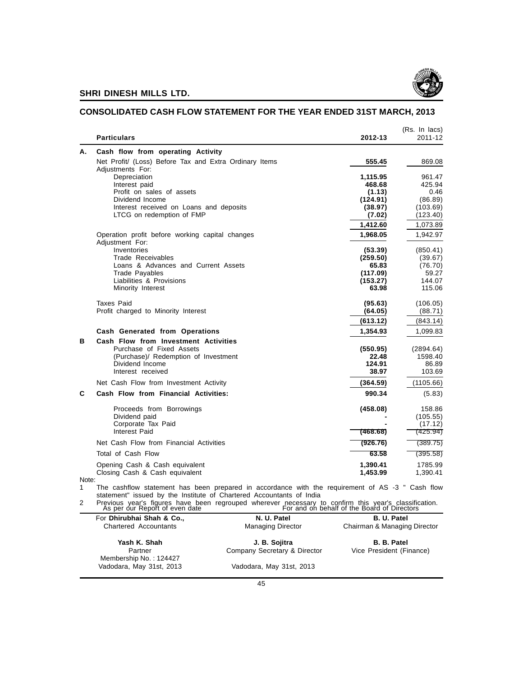

#### **CONSOLIDATED CASH FLOW STATEMENT FOR THE YEAR ENDED 31ST MARCH, 2013**

|            | <b>Particulars</b>                                                                               | 2012-13            | (Rs. In lacs)<br>2011-12 |
|------------|--------------------------------------------------------------------------------------------------|--------------------|--------------------------|
| Α.         | Cash flow from operating Activity                                                                |                    |                          |
|            | Net Profit/ (Loss) Before Tax and Extra Ordinary Items<br>Adjustments For:                       | 555.45             | 869.08                   |
|            | Depreciation<br>Interest paid                                                                    | 1,115.95<br>468.68 | 961.47<br>425.94         |
|            | Profit on sales of assets                                                                        | (1.13)             | 0.46                     |
|            | Dividend Income                                                                                  | (124.91)           | (86.89)                  |
|            | Interest received on Loans and deposits                                                          | (38.97)            | (103.69)                 |
|            | LTCG on redemption of FMP                                                                        | (7.02)             | (123.40)                 |
|            |                                                                                                  | 1,412.60           | 1,073.89                 |
|            | Operation profit before working capital changes<br>Adjustment For:                               | 1.968.05           | 1,942.97                 |
|            | Inventories                                                                                      | (53.39)            | (850.41)                 |
|            | Trade Receivables                                                                                | (259.50)           | (39.67)                  |
|            | Loans & Advances and Current Assets                                                              | 65.83              | (76.70)                  |
|            | <b>Trade Payables</b>                                                                            | (117.09)           | 59.27                    |
|            | Liabilities & Provisions                                                                         | (153.27)           | 144.07                   |
|            | Minority Interest                                                                                | 63.98              | 115.06                   |
|            | <b>Taxes Paid</b>                                                                                | (95.63)            | (106.05)                 |
|            | Profit charged to Minority Interest                                                              | (64.05)            | (88.71)                  |
|            |                                                                                                  | (613.12)           | (843.14)                 |
|            | Cash Generated from Operations                                                                   | 1,354.93           | 1,099.83                 |
| В          | Cash Flow from Investment Activities                                                             |                    |                          |
|            | Purchase of Fixed Assets                                                                         | (550.95)           | (2894.64)                |
|            | (Purchase)/ Redemption of Investment                                                             | 22.48              | 1598.40                  |
|            | Dividend Income                                                                                  | 124.91             | 86.89                    |
|            | Interest received                                                                                | 38.97              | 103.69                   |
|            | Net Cash Flow from Investment Activity                                                           | (364.59)           | (1105.66)                |
| C          | Cash Flow from Financial Activities:                                                             | 990.34             | (5.83)                   |
|            | Proceeds from Borrowings                                                                         | (458.08)           | 158.86                   |
|            | Dividend paid                                                                                    |                    | (105.55)                 |
|            | Corporate Tax Paid                                                                               |                    | (17.12)                  |
|            | Interest Paid                                                                                    | (468.68)           | (425.94)                 |
|            | Net Cash Flow from Financial Activities                                                          | (926.76)           | (389.75)                 |
|            | Total of Cash Flow                                                                               | 63.58              | (395.58)                 |
|            | Opening Cash & Cash equivalent                                                                   | 1,390.41           | 1785.99                  |
|            | Closing Cash & Cash equivalent                                                                   | 1,453.99           | 1,390.41                 |
| Note:<br>1 | The cashflow statement has been prepared in accordance with the requirement of AS -3 " Cash flow |                    |                          |

1 The cashflow statement has been prepared in accordance with the requirement of AS -3 " Cash flow statement" issued by the Institute of Chartered Accountants of India

2 Previous year's figures have been regrouped wherever necessary to confirm this year's classification. As per our Report of even date For and on behalf of the Board of Directors

| For Dhirubhai Shah & Co.,         | N. U. Patel                  | <b>B. U. Patel</b>           |
|-----------------------------------|------------------------------|------------------------------|
| <b>Chartered Accountants</b>      | <b>Managing Director</b>     | Chairman & Managing Director |
| Yash K. Shah                      | J. B. Sojitra                | <b>B. B. Patel</b>           |
| Partner<br>Membership No.: 124427 | Company Secretary & Director | Vice President (Finance)     |
| Vadodara, May 31st, 2013          | Vadodara, May 31st, 2013     |                              |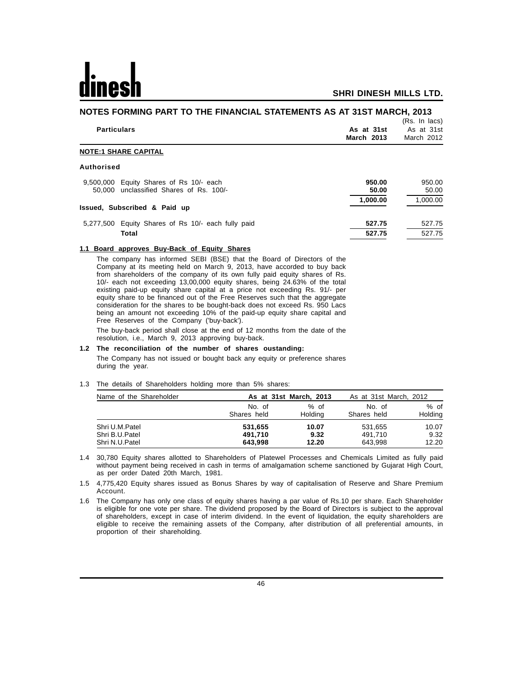**NOTES FORMING PART TO THE FINANCIAL STATEMENTS AS AT 31ST MARCH, 2013**

| <u>NUTES FURMING PART TU THE FINANCIAL STATEMENTS AS AT STST MARCH, 2013</u>       |                                 |                                           |  |
|------------------------------------------------------------------------------------|---------------------------------|-------------------------------------------|--|
| <b>Particulars</b>                                                                 | As at 31st<br><b>March 2013</b> | (Rs. In lacs)<br>As at 31st<br>March 2012 |  |
| <b>NOTE:1 SHARE CAPITAL</b>                                                        |                                 |                                           |  |
| Authorised                                                                         |                                 |                                           |  |
| 9,500,000 Equity Shares of Rs 10/- each<br>50,000 unclassified Shares of Rs. 100/- | 950.00<br>50.00                 | 950.00<br>50.00                           |  |
| Issued, Subscribed & Paid up                                                       | 1,000.00                        | 1.000.00                                  |  |
| 5,277,500 Equity Shares of Rs 10/- each fully paid                                 | 527.75                          | 527.75                                    |  |
| Total                                                                              | 527.75                          | 527.75                                    |  |

#### **1.1 Board approves Buy-Back of Equity Shares**

The company has informed SEBI (BSE) that the Board of Directors of the Company at its meeting held on March 9, 2013, have accorded to buy back from shareholders of the company of its own fully paid equity shares of Rs. 10/- each not exceeding 13,00,000 equity shares, being 24.63% of the total existing paid-up equity share capital at a price not exceeding Rs. 91/- per equity share to be financed out of the Free Reserves such that the aggregate consideration for the shares to be bought-back does not exceed Rs. 950 Lacs being an amount not exceeding 10% of the paid-up equity share capital and Free Reserves of the Company ('buy-back').

The buy-back period shall close at the end of 12 months from the date of the resolution, i.e., March 9, 2013 approving buy-back.

#### **1.2 The reconciliation of the number of shares oustanding:**

The Company has not issued or bought back any equity or preference shares during the year.

#### 1.3 The details of Shareholders holding more than 5% shares:

| Name of the Shareholder |                       | As at 31st March, 2013 | As at 31st March, 2012 |                 |
|-------------------------|-----------------------|------------------------|------------------------|-----------------|
|                         | No. of<br>Shares held | % of<br>Holding        | No. of<br>Shares held  | % of<br>Holding |
| Shri U.M.Patel          | 531,655               | 10.07                  | 531,655                | 10.07           |
| Shri B.U.Patel          | 491.710               | 9.32                   | 491.710                | 9.32            |
| Shri N.U.Patel          | 643.998               | 12.20                  | 643.998                | 12.20           |

1.4 30,780 Equity shares allotted to Shareholders of Platewel Processes and Chemicals Limited as fully paid without payment being received in cash in terms of amalgamation scheme sanctioned by Gujarat High Court, as per order Dated 20th March, 1981.

1.5 4,775,420 Equity shares issued as Bonus Shares by way of capitalisation of Reserve and Share Premium Account.

1.6 The Company has only one class of equity shares having a par value of Rs.10 per share. Each Shareholder is eligible for one vote per share. The dividend proposed by the Board of Directors is subject to the approval of shareholders, except in case of interim dividend. In the event of liquidation, the equity shareholders are eligible to receive the remaining assets of the Company, after distribution of all preferential amounts, in proportion of their shareholding.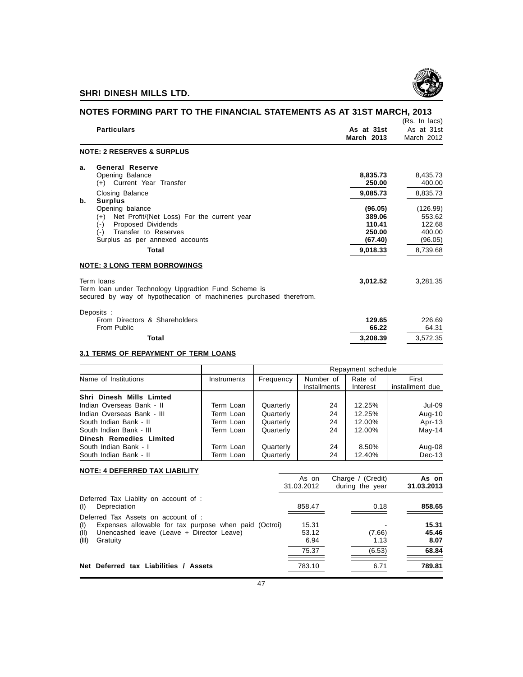

| NOTES FORMING PART TO THE FINANCIAL STATEMENTS AS AT 31ST MARCH, 2013                                                                     |                                 |                                           |
|-------------------------------------------------------------------------------------------------------------------------------------------|---------------------------------|-------------------------------------------|
| <b>Particulars</b>                                                                                                                        | As at 31st<br><b>March 2013</b> | (Rs. In lacs)<br>As at 31st<br>March 2012 |
| <b>NOTE: 2 RESERVES &amp; SURPLUS</b>                                                                                                     |                                 |                                           |
| <b>General Reserve</b><br>а.<br>Opening Balance<br>(+) Current Year Transfer                                                              | 8,835.73<br>250.00              | 8,435.73<br>400.00                        |
| Closing Balance<br><b>Surplus</b><br>b.                                                                                                   | 9,085.73                        | 8.835.73                                  |
| Opening balance<br>Net Profit/(Net Loss) For the current year<br>$(+)$<br>Proposed Dividends<br>$(-)$                                     | (96.05)<br>389.06<br>110.41     | (126.99)<br>553.62<br>122.68              |
| Transfer to Reserves<br>$(-)$<br>Surplus as per annexed accounts                                                                          | 250.00<br>(67.40)               | 400.00<br>(96.05)                         |
| Total                                                                                                                                     | 9,018.33                        | 8.739.68                                  |
| <b>NOTE: 3 LONG TERM BORROWINGS</b>                                                                                                       |                                 |                                           |
| Term loans<br>Term loan under Technology Upgradtion Fund Scheme is<br>secured by way of hypothecation of machineries purchased therefrom. | 3,012.52                        | 3,281.35                                  |
| Deposits:<br>From Directors & Shareholders<br>From Public                                                                                 | 129.65<br>66.22                 | 226.69<br>64.31                           |
| <b>Total</b>                                                                                                                              | 3,208.39                        | 3.572.35                                  |
|                                                                                                                                           |                                 |                                           |

#### **3.1 TERMS OF REPAYMENT OF TERM LOANS**

|                            |                    | Repayment schedule                                                                        |    |        |          |  |  |
|----------------------------|--------------------|-------------------------------------------------------------------------------------------|----|--------|----------|--|--|
| Name of Institutions       | <b>Instruments</b> | Number of<br>Rate of<br>First<br>Frequency<br>installment due<br>Installments<br>Interest |    |        |          |  |  |
| Shri Dinesh Mills Limted   |                    |                                                                                           |    |        |          |  |  |
| Indian Overseas Bank - II  | Term Loan          | Quarterly                                                                                 | 24 | 12.25% | Jul-09   |  |  |
| Indian Overseas Bank - III | Term Loan          | Quarterly                                                                                 | 24 | 12.25% | Aug-10   |  |  |
| South Indian Bank - II     | Term Loan          | Quarterly                                                                                 | 24 | 12.00% | Apr-13   |  |  |
| South Indian Bank - III    | Term Loan          | Quarterly                                                                                 | 24 | 12.00% | $May-14$ |  |  |
| Dinesh Remedies Limited    |                    |                                                                                           |    |        |          |  |  |
| South Indian Bank - I      | Term Loan          | Quarterly                                                                                 | 24 | 8.50%  | Aug-08   |  |  |
| South Indian Bank - II     | Term Loan          | Quarterly                                                                                 | 24 | 12.40% | $Dec-13$ |  |  |

| <b>NOTE: 4 DEFERRED TAX LIABILITY</b>                                                                                                                                         |                        |                                      |                        |
|-------------------------------------------------------------------------------------------------------------------------------------------------------------------------------|------------------------|--------------------------------------|------------------------|
|                                                                                                                                                                               | As on<br>31.03.2012    | Charge / (Credit)<br>during the year | As on<br>31.03.2013    |
| Deferred Tax Liablity on account of :<br>Depreciation<br>(1)                                                                                                                  | 858.47                 | 0.18                                 | 858.65                 |
| Deferred Tax Assets on account of :<br>Expenses allowable for tax purpose when paid (Octroi)<br>(1)<br>Unencashed leave (Leave + Director Leave)<br>(II)<br>(III)<br>Gratuity | 15.31<br>53.12<br>6.94 | (7.66)<br>1.13                       | 15.31<br>45.46<br>8.07 |
|                                                                                                                                                                               | 75.37                  | (6.53)                               | 68.84                  |
| Net Deferred tax Liabilities / Assets                                                                                                                                         | 783.10                 | 6.71                                 | 789.81                 |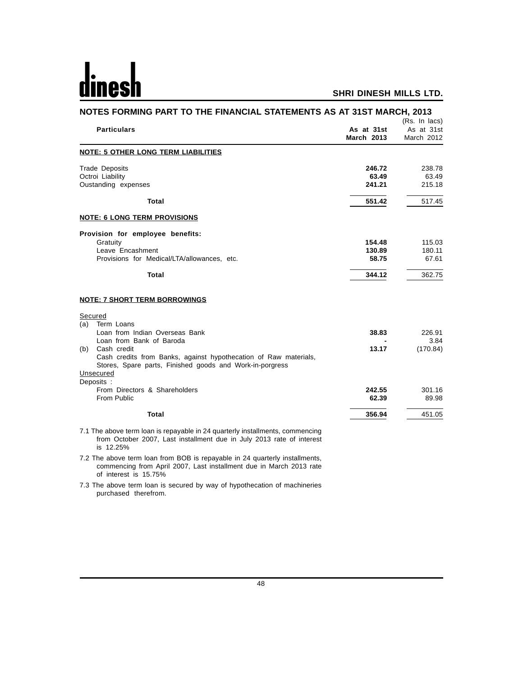| NOTES FORMING PART TO THE FINANCIAL STATEMENTS AS AT 31ST MARCH, 2013                                                                                  |                  |                             |
|--------------------------------------------------------------------------------------------------------------------------------------------------------|------------------|-----------------------------|
| <b>Particulars</b>                                                                                                                                     | As at 31st       | (Rs. In lacs)<br>As at 31st |
|                                                                                                                                                        | March 2013       | March 2012                  |
| <b>NOTE: 5 OTHER LONG TERM LIABILITIES</b>                                                                                                             |                  |                             |
| <b>Trade Deposits</b>                                                                                                                                  | 246.72           | 238.78                      |
| Octroi Liability                                                                                                                                       | 63.49            | 63.49                       |
| Oustanding expenses                                                                                                                                    | 241.21           | 215.18                      |
| Total                                                                                                                                                  | 551.42           | 517.45                      |
| <b>NOTE: 6 LONG TERM PROVISIONS</b>                                                                                                                    |                  |                             |
| Provision for employee benefits:                                                                                                                       |                  |                             |
| Gratuity<br>Leave Encashment                                                                                                                           | 154.48<br>130.89 | 115.03<br>180.11            |
| Provisions for Medical/LTA/allowances, etc.                                                                                                            | 58.75            | 67.61                       |
| <b>Total</b>                                                                                                                                           | 344.12           | 362.75                      |
| <b>NOTE: 7 SHORT TERM BORROWINGS</b>                                                                                                                   |                  |                             |
| Secured                                                                                                                                                |                  |                             |
| Term Loans<br>(a)<br>Loan from Indian Overseas Bank                                                                                                    | 38.83            | 226.91                      |
| Loan from Bank of Baroda                                                                                                                               |                  | 3.84                        |
| Cash credit<br>(b)                                                                                                                                     | 13.17            | (170.84)                    |
| Cash credits from Banks, against hypothecation of Raw materials,                                                                                       |                  |                             |
| Stores, Spare parts, Finished goods and Work-in-porgress                                                                                               |                  |                             |
| Unsecured<br>Deposits :                                                                                                                                |                  |                             |
| From Directors & Shareholders                                                                                                                          | 242.55           | 301.16                      |
| From Public                                                                                                                                            | 62.39            | 89.98                       |
| <b>Total</b>                                                                                                                                           | 356.94           | 451.05                      |
| 7.1 The above term loan is repayable in 24 quarterly installments, commencing<br>from October 2007, Last installment due in July 2013 rate of interest |                  |                             |

is 12.25% 7.2 The above term loan from BOB is repayable in 24 quarterly installments,

commencing from April 2007, Last installment due in March 2013 rate of interest is 15.75%

7.3 The above term loan is secured by way of hypothecation of machineries purchased therefrom.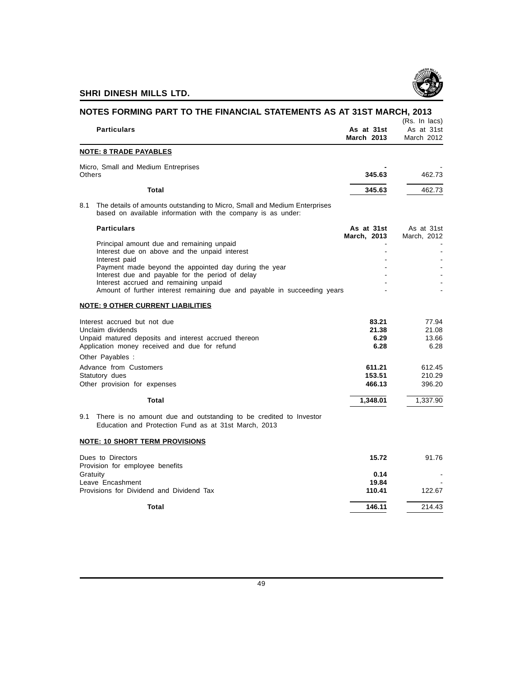

| NOTES FORMING PART TO THE FINANCIAL STATEMENTS AS AT 31ST MARCH, 2013                                                                                                                                                          |                                 | (Rs. In lacs)                   |
|--------------------------------------------------------------------------------------------------------------------------------------------------------------------------------------------------------------------------------|---------------------------------|---------------------------------|
| <b>Particulars</b>                                                                                                                                                                                                             | As at 31st<br><b>March 2013</b> | As at 31st<br>March 2012        |
| <b>NOTE: 8 TRADE PAYABLES</b>                                                                                                                                                                                                  |                                 |                                 |
| Micro, Small and Medium Entreprises<br>Others                                                                                                                                                                                  | 345.63                          | 462.73                          |
| Total                                                                                                                                                                                                                          | 345.63                          | 462.73                          |
| The details of amounts outstanding to Micro, Small and Medium Enterprises<br>8.1<br>based on available information with the company is as under:                                                                               |                                 |                                 |
| <b>Particulars</b>                                                                                                                                                                                                             | As at 31st                      | As at 31st                      |
| Principal amount due and remaining unpaid<br>Interest due on above and the unpaid interest<br>Interest paid                                                                                                                    | March, 2013                     | March, 2012                     |
| Payment made beyond the appointed day during the year<br>Interest due and payable for the period of delay<br>Interest accrued and remaining unpaid<br>Amount of further interest remaining due and payable in succeeding years |                                 |                                 |
| <b>NOTE: 9 OTHER CURRENT LIABILITIES</b>                                                                                                                                                                                       |                                 |                                 |
| Interest accrued but not due<br>Unclaim dividends<br>Unpaid matured deposits and interest accrued thereon<br>Application money received and due for refund                                                                     | 83.21<br>21.38<br>6.29<br>6.28  | 77.94<br>21.08<br>13.66<br>6.28 |
| Other Payables :                                                                                                                                                                                                               |                                 |                                 |
| Advance from Customers<br>Statutory dues                                                                                                                                                                                       | 611.21<br>153.51                | 612.45<br>210.29                |
| Other provision for expenses                                                                                                                                                                                                   | 466.13                          | 396.20                          |
| <b>Total</b>                                                                                                                                                                                                                   | 1,348.01                        | 1,337.90                        |
| There is no amount due and outstanding to be credited to Investor<br>9.1<br>Education and Protection Fund as at 31st March, 2013                                                                                               |                                 |                                 |
| <b>NOTE: 10 SHORT TERM PROVISIONS</b>                                                                                                                                                                                          |                                 |                                 |
| Dues to Directors<br>Provision for employee benefits                                                                                                                                                                           | 15.72                           | 91.76                           |
| Gratuity                                                                                                                                                                                                                       | 0.14                            |                                 |
| Leave Encashment<br>Provisions for Dividend and Dividend Tax                                                                                                                                                                   | 19.84<br>110.41                 | 122.67                          |
| <b>Total</b>                                                                                                                                                                                                                   | 146.11                          | 214.43                          |
|                                                                                                                                                                                                                                |                                 |                                 |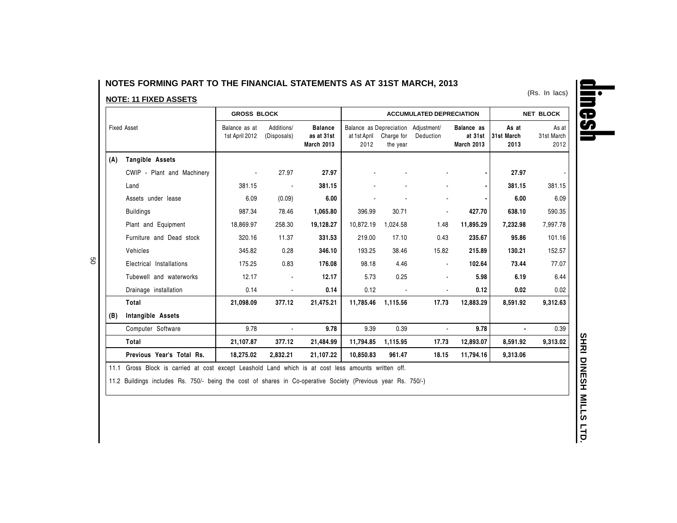#### **NOTES FORMING PART TO THE FINANCIAL STATEMENTS AS AT 31ST MARCH, 2013**

#### **NOTE: 11 FIXED ASSETS**

|                    |                                                                                                     | <b>GROSS BLOCK</b>              |                           |                                                   |                                                             | <b>ACCUMULATED DEPRECIATION</b> |                |                                            | <b>NET BLOCK</b>            |                             |
|--------------------|-----------------------------------------------------------------------------------------------------|---------------------------------|---------------------------|---------------------------------------------------|-------------------------------------------------------------|---------------------------------|----------------|--------------------------------------------|-----------------------------|-----------------------------|
| <b>Fixed Asset</b> |                                                                                                     | Balance as at<br>1st April 2012 | Additions/<br>(Disposals) | <b>Balance</b><br>as at 31st<br><b>March 2013</b> | Balance as Depreciation Adjustment/<br>at 1st April<br>2012 | Charge for<br>the year          | Deduction      | Balance as<br>at 31st<br><b>March 2013</b> | As at<br>31st March<br>2013 | As at<br>31st March<br>2012 |
| (A)                | Tangible Assets                                                                                     |                                 |                           |                                                   |                                                             |                                 |                |                                            |                             |                             |
|                    | CWIP - Plant and Machinery                                                                          |                                 | 27.97                     | 27.97                                             |                                                             |                                 |                |                                            | 27.97                       |                             |
|                    | Land                                                                                                | 381.15                          |                           | 381.15                                            |                                                             |                                 |                |                                            | 381.15                      | 381.15                      |
|                    | Assets under lease                                                                                  | 6.09                            | (0.09)                    | 6.00                                              |                                                             |                                 |                |                                            | 6.00                        | 6.09                        |
|                    | <b>Buildings</b>                                                                                    | 987.34                          | 78.46                     | 1,065.80                                          | 396.99                                                      | 30.71                           | ٠              | 427.70                                     | 638.10                      | 590.35                      |
|                    | Plant and Equipment                                                                                 | 18,869.97                       | 258.30                    | 19,128.27                                         | 10,872.19                                                   | 1,024.58                        | 1.48           | 11,895.29                                  | 7,232.98                    | 7,997.78                    |
|                    | Furniture and Dead stock                                                                            | 320.16                          | 11.37                     | 331.53                                            | 219.00                                                      | 17.10                           | 0.43           | 235.67                                     | 95.86                       | 101.16                      |
|                    | Vehicles                                                                                            | 345.82                          | 0.28                      | 346.10                                            | 193.25                                                      | 38.46                           | 15.82          | 215.89                                     | 130.21                      | 152.57                      |
|                    | Electrical Installations                                                                            | 175.25                          | 0.83                      | 176.08                                            | 98.18                                                       | 4.46                            | $\blacksquare$ | 102.64                                     | 73.44                       | 77.07                       |
|                    | Tubewell and waterworks                                                                             | 12.17                           |                           | 12.17                                             | 5.73                                                        | 0.25                            | ٠              | 5.98                                       | 6.19                        | 6.44                        |
|                    | Drainage installation                                                                               | 0.14                            |                           | 0.14                                              | 0.12                                                        |                                 |                | 0.12                                       | 0.02                        | 0.02                        |
|                    | Total                                                                                               | 21,098.09                       | 377.12                    | 21,475.21                                         | 11,785.46                                                   | 1,115.56                        | 17.73          | 12,883.29                                  | 8,591.92                    | 9,312.63                    |
| (B)                | Intangible Assets                                                                                   |                                 |                           |                                                   |                                                             |                                 |                |                                            |                             |                             |
|                    | Computer Software                                                                                   | 9.78                            | $\sim$                    | 9.78                                              | 9.39                                                        | 0.39                            | $\blacksquare$ | 9.78                                       |                             | 0.39                        |
|                    | Total                                                                                               | 21,107.87                       | 377.12                    | 21,484.99                                         | 11,794.85                                                   | 1,115.95                        | 17.73          | 12,893.07                                  | 8,591.92                    | 9,313.02                    |
|                    | Previous Year's Total Rs.                                                                           | 18,275.02                       | 2,832.21                  | 21,107.22                                         | 10,850.83                                                   | 961.47                          | 18.15          | 11,794.16                                  | 9,313.06                    |                             |
|                    | 11.1 Gross Block is carried at cost except Leashold Land which is at cost less amounts written off. |                                 |                           |                                                   |                                                             |                                 |                |                                            |                             |                             |

11.2 Buildings includes Rs. 750/- being the cost of shares in Co-operative Society (Previous year Rs. 750/-)



50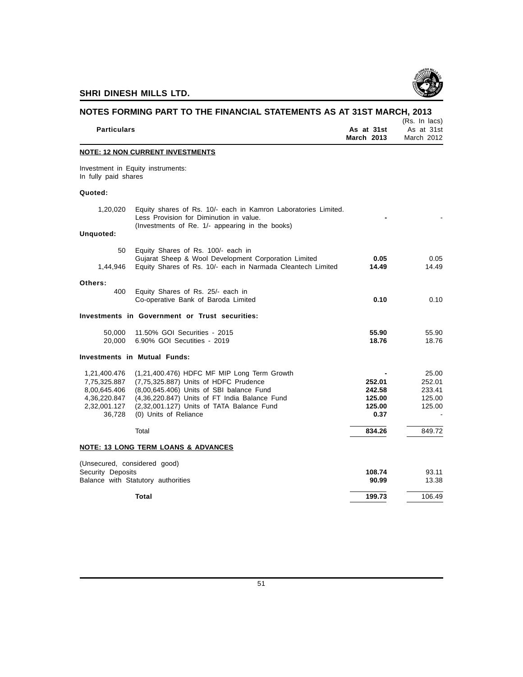

|                                                                                        | NOTES FORMING PART TO THE FINANCIAL STATEMENTS AS AT 31ST MARCH, 2013                                                                                                                                                                                   |                                              | (Rs. In lacs)                                 |
|----------------------------------------------------------------------------------------|---------------------------------------------------------------------------------------------------------------------------------------------------------------------------------------------------------------------------------------------------------|----------------------------------------------|-----------------------------------------------|
| <b>Particulars</b>                                                                     | As at 31st<br><b>March 2013</b>                                                                                                                                                                                                                         | As at 31st<br>March 2012                     |                                               |
|                                                                                        | <b>NOTE: 12 NON CURRENT INVESTMENTS</b>                                                                                                                                                                                                                 |                                              |                                               |
| In fully paid shares                                                                   | Investment in Equity instruments:                                                                                                                                                                                                                       |                                              |                                               |
| Quoted:                                                                                |                                                                                                                                                                                                                                                         |                                              |                                               |
| 1,20,020                                                                               | Equity shares of Rs. 10/- each in Kamron Laboratories Limited.<br>Less Provision for Diminution in value.<br>(Investments of Re. 1/- appearing in the books)                                                                                            |                                              |                                               |
| Unquoted:                                                                              |                                                                                                                                                                                                                                                         |                                              |                                               |
| 50                                                                                     | Equity Shares of Rs. 100/- each in                                                                                                                                                                                                                      |                                              |                                               |
| 1,44,946                                                                               | Gujarat Sheep & Wool Development Corporation Limited<br>Equity Shares of Rs. 10/- each in Narmada Cleantech Limited                                                                                                                                     | 0.05<br>14.49                                | 0.05<br>14.49                                 |
| Others:                                                                                |                                                                                                                                                                                                                                                         |                                              |                                               |
| 400                                                                                    | Equity Shares of Rs. 25/- each in<br>Co-operative Bank of Baroda Limited                                                                                                                                                                                | 0.10                                         | 0.10                                          |
|                                                                                        | Investments in Government or Trust securities:                                                                                                                                                                                                          |                                              |                                               |
| 50,000<br>20,000                                                                       | 11.50% GOI Securities - 2015<br>6.90% GOI Secutities - 2019                                                                                                                                                                                             | 55.90<br>18.76                               | 55.90<br>18.76                                |
|                                                                                        | <b>Investments in Mutual Funds:</b>                                                                                                                                                                                                                     |                                              |                                               |
| 1,21,400.476<br>7,75,325.887<br>8,00,645.406<br>4,36,220.847<br>2,32,001.127<br>36,728 | (1,21,400.476) HDFC MF MIP Long Term Growth<br>(7,75,325.887) Units of HDFC Prudence<br>(8,00,645.406) Units of SBI balance Fund<br>(4,36,220.847) Units of FT India Balance Fund<br>(2,32,001.127) Units of TATA Balance Fund<br>(0) Units of Reliance | 252.01<br>242.58<br>125.00<br>125.00<br>0.37 | 25.00<br>252.01<br>233.41<br>125.00<br>125.00 |
|                                                                                        | Total                                                                                                                                                                                                                                                   | 834.26                                       | 849.72                                        |
|                                                                                        | <b>NOTE: 13 LONG TERM LOANS &amp; ADVANCES</b>                                                                                                                                                                                                          |                                              |                                               |
| (Unsecured, considered good)<br>Security Deposits                                      | Balance with Statutory authorities                                                                                                                                                                                                                      | 108.74<br>90.99                              | 93.11<br>13.38                                |
|                                                                                        | Total                                                                                                                                                                                                                                                   | 199.73                                       | 106.49                                        |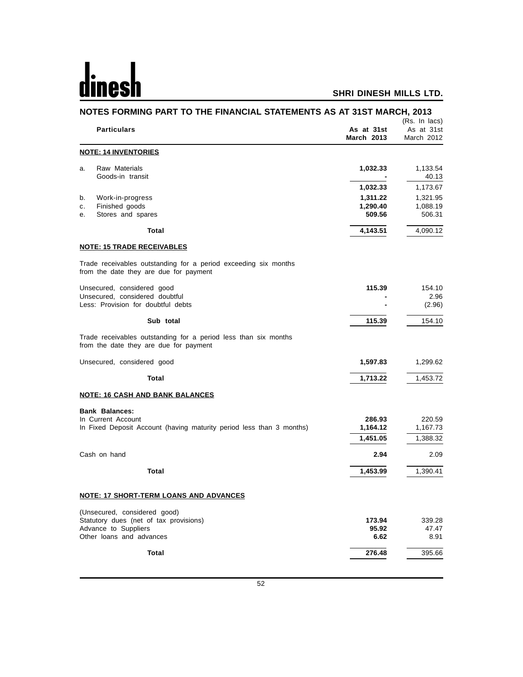# <u>dinesh</u>

| NOTES FORMING PART TO THE FINANCIAL STATEMENTS AS AT 31ST MARCH, 2013                                     |                                 |                                           |  |
|-----------------------------------------------------------------------------------------------------------|---------------------------------|-------------------------------------------|--|
| <b>Particulars</b>                                                                                        | As at 31st<br><b>March 2013</b> | (Rs. In lacs)<br>As at 31st<br>March 2012 |  |
| <b>NOTE: 14 INVENTORIES</b>                                                                               |                                 |                                           |  |
| Raw Materials<br>a.<br>Goods-in transit                                                                   | 1,032.33                        | 1,133.54<br>40.13                         |  |
|                                                                                                           | 1,032.33                        | 1,173.67                                  |  |
| Work-in-progress<br>b.                                                                                    | 1,311.22                        | 1,321.95                                  |  |
| Finished goods<br>c.<br>Stores and spares<br>е.                                                           | 1,290.40<br>509.56              | 1,088.19<br>506.31                        |  |
| <b>Total</b>                                                                                              | 4,143.51                        | 4,090.12                                  |  |
| <u>NOTE: 15 TRADE RECEIVABLES</u>                                                                         |                                 |                                           |  |
| Trade receivables outstanding for a period exceeding six months<br>from the date they are due for payment |                                 |                                           |  |
| Unsecured, considered good                                                                                | 115.39                          | 154.10                                    |  |
| Unsecured, considered doubtful<br>Less: Provision for doubtful debts                                      |                                 | 2.96<br>(2.96)                            |  |
| Sub total                                                                                                 | 115.39                          | 154.10                                    |  |
| Trade receivables outstanding for a period less than six months<br>from the date they are due for payment |                                 |                                           |  |
| Unsecured, considered good                                                                                | 1,597.83                        | 1,299.62                                  |  |
| <b>Total</b>                                                                                              | 1,713.22                        | 1,453.72                                  |  |
| <b>NOTE: 16 CASH AND BANK BALANCES</b>                                                                    |                                 |                                           |  |
| <b>Bank Balances:</b>                                                                                     |                                 |                                           |  |
| In Current Account                                                                                        | 286.93                          | 220.59                                    |  |
| In Fixed Deposit Account (having maturity period less than 3 months)                                      | 1,164.12<br>1,451.05            | 1,167.73<br>1,388.32                      |  |
| Cash on hand                                                                                              | 2.94                            | 2.09                                      |  |
| <b>Total</b>                                                                                              | 1,453.99                        | 1,390.41                                  |  |
|                                                                                                           |                                 |                                           |  |
| NOTE: 17 SHORT-TERM LOANS AND ADVANCES                                                                    |                                 |                                           |  |
| (Unsecured, considered good)<br>Statutory dues (net of tax provisions)                                    | 173.94                          | 339.28                                    |  |
| Advance to Suppliers                                                                                      | 95.92                           | 47.47                                     |  |
| Other loans and advances                                                                                  | 6.62                            | 8.91                                      |  |
| Total                                                                                                     | 276.48                          | 395.66                                    |  |
|                                                                                                           |                                 |                                           |  |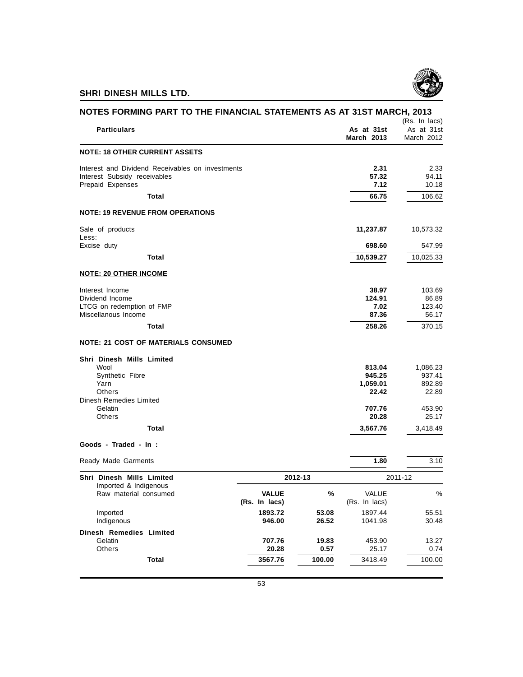

|                                                                                                      |                               |                |                                  | NOTES FORMING PART TO THE FINANCIAL STATEMENTS AS AT 31ST MARCH, 2013<br>(Rs. In lacs) |
|------------------------------------------------------------------------------------------------------|-------------------------------|----------------|----------------------------------|----------------------------------------------------------------------------------------|
| <b>Particulars</b>                                                                                   |                               |                | As at 31st<br><b>March 2013</b>  | As at 31st<br>March 2012                                                               |
| <u>NOTE: 18 OTHER CURRENT ASSETS</u>                                                                 |                               |                |                                  |                                                                                        |
| Interest and Dividend Receivables on investments<br>Interest Subsidy receivables<br>Prepaid Expenses |                               |                | 2.31<br>57.32<br>7.12            | 2.33<br>94.11<br>10.18                                                                 |
| Total                                                                                                |                               |                | 66.75                            | 106.62                                                                                 |
| <b>NOTE: 19 REVENUE FROM OPERATIONS</b>                                                              |                               |                |                                  |                                                                                        |
| Sale of products<br>Less:                                                                            |                               |                | 11,237.87                        | 10,573.32                                                                              |
| Excise duty                                                                                          |                               |                | 698.60                           | 547.99                                                                                 |
| <b>Total</b>                                                                                         |                               |                | 10,539.27                        | 10,025.33                                                                              |
| <b>NOTE: 20 OTHER INCOME</b>                                                                         |                               |                |                                  |                                                                                        |
| Interest Income<br>Dividend Income<br>LTCG on redemption of FMP<br>Miscellanous Income               |                               |                | 38.97<br>124.91<br>7.02<br>87.36 | 103.69<br>86.89<br>123.40<br>56.17                                                     |
| <b>Total</b>                                                                                         |                               |                | 258.26                           | 370.15                                                                                 |
| <b>NOTE: 21 COST OF MATERIALS CONSUMED</b>                                                           |                               |                |                                  |                                                                                        |
| Shri Dinesh Mills Limited                                                                            |                               |                |                                  |                                                                                        |
| Wool<br>Synthetic Fibre<br>Yarn                                                                      |                               |                | 813.04<br>945.25<br>1,059.01     | 1,086.23<br>937.41<br>892.89                                                           |
| Others<br>Dinesh Remedies Limited<br>Gelatin                                                         |                               |                | 22.42<br>707.76                  | 22.89<br>453.90                                                                        |
| Others                                                                                               |                               |                | 20.28                            | 25.17                                                                                  |
| Total                                                                                                |                               |                | 3,567.76                         | 3,418.49                                                                               |
| Goods - Traded - In :                                                                                |                               |                |                                  |                                                                                        |
| Ready Made Garments                                                                                  |                               |                | 1.80                             | 3.10                                                                                   |
| Shri Dinesh Mills Limited<br>Imported & Indigenous                                                   |                               | 2012-13        |                                  | 2011-12                                                                                |
| Raw material consumed                                                                                | <b>VALUE</b><br>(Rs. In lacs) | %              | VALUE<br>(Rs. In lacs)           | %                                                                                      |
| Imported<br>Indigenous                                                                               | 1893.72<br>946.00             | 53.08<br>26.52 | 1897.44<br>1041.98               | 55.51<br>30.48                                                                         |
| <b>Dinesh Remedies Limited</b>                                                                       |                               |                |                                  |                                                                                        |
| Gelatin<br>Others                                                                                    | 707.76<br>20.28               | 19.83<br>0.57  | 453.90<br>25.17                  | 13.27<br>0.74                                                                          |
|                                                                                                      |                               |                |                                  |                                                                                        |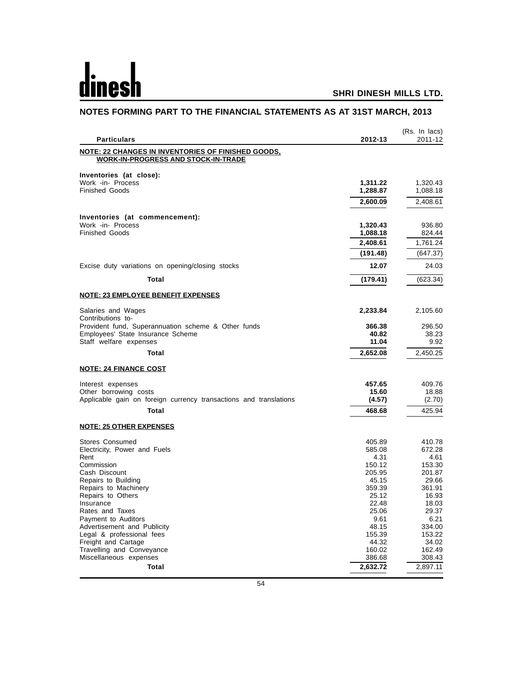## dines

## **SHRI DINESH MILLS LTD.**

|                                                                                                  |                | (Rs. In lacs)  |
|--------------------------------------------------------------------------------------------------|----------------|----------------|
| <b>Particulars</b>                                                                               | 2012-13        | 2011-12        |
| NOTE: 22 CHANGES IN INVENTORIES OF FINISHED GOODS,<br><b>WORK-IN-PROGRESS AND STOCK-IN-TRADE</b> |                |                |
| Inventories (at close):                                                                          |                |                |
| Work -in- Process                                                                                | 1,311.22       | 1,320.43       |
| <b>Finished Goods</b>                                                                            | 1,288.87       | 1,088.18       |
|                                                                                                  | 2,600.09       | 2,408.61       |
| Inventories (at commencement):                                                                   |                |                |
| Work -in- Process                                                                                | 1,320.43       | 936.80         |
| <b>Finished Goods</b>                                                                            | 1,088.18       | 824.44         |
|                                                                                                  | 2,408.61       | 1,761.24       |
|                                                                                                  | (191.48)       | (647.37)       |
| Excise duty variations on opening/closing stocks                                                 | 12.07          | 24.03          |
| Total                                                                                            | (179.41)       | (623.34)       |
| <b>NOTE: 23 EMPLOYEE BENEFIT EXPENSES</b>                                                        |                |                |
| Salaries and Wages<br>Contributions to-                                                          | 2,233.84       | 2,105.60       |
| Provident fund, Superannuation scheme & Other funds                                              | 366.38         | 296.50         |
| Employees' State Insurance Scheme                                                                | 40.82          | 38.23          |
| Staff welfare expenses                                                                           | 11.04          | 9.92           |
| <b>Total</b>                                                                                     | 2,652.08       | 2,450.25       |
| <b>NOTE: 24 FINANCE COST</b>                                                                     |                |                |
| Interest expenses                                                                                | 457.65         | 409.76         |
| Other borrowing costs                                                                            | 15.60          | 18.88          |
| Applicable gain on foreign currency transactions and translations                                | (4.57)         | (2.70)         |
| Total                                                                                            | 468.68         | 425.94         |
| <b>NOTE: 25 OTHER EXPENSES</b>                                                                   |                |                |
| Stores Consumed                                                                                  | 405.89         | 410.78         |
| Electricity, Power and Fuels                                                                     | 585.08         | 672.28         |
| Rent<br>Commission                                                                               | 4.31<br>150.12 | 4.61<br>153.30 |
| Cash Discount                                                                                    | 205.95         | 201.87         |
| Repairs to Building                                                                              | 45.15          | 29.66          |
| Repairs to Machinery                                                                             | 359.39         | 361.91         |
| Repairs to Others                                                                                | 25.12          | 16.93          |
| Insurance                                                                                        | 22.48          | 18.03          |
| Rates and Taxes                                                                                  | 25.06          | 29.37          |
| Payment to Auditors<br>Advertisement and Publicity                                               | 9.61<br>48.15  | 6.21<br>334.00 |
| Legal & professional fees                                                                        | 155.39         | 153.22         |
| Freight and Cartage                                                                              | 44.32          | 34.02          |
| Travelling and Conveyance                                                                        | 160.02         | 162.49         |
| Miscellaneous expenses                                                                           | 386.68         | 308.43         |
| Total                                                                                            | 2,632.72       | 2,897.11       |

## **NOTES FORMING PART TO THE FINANCIAL STATEMENTS AS AT 31ST MARCH, 2013**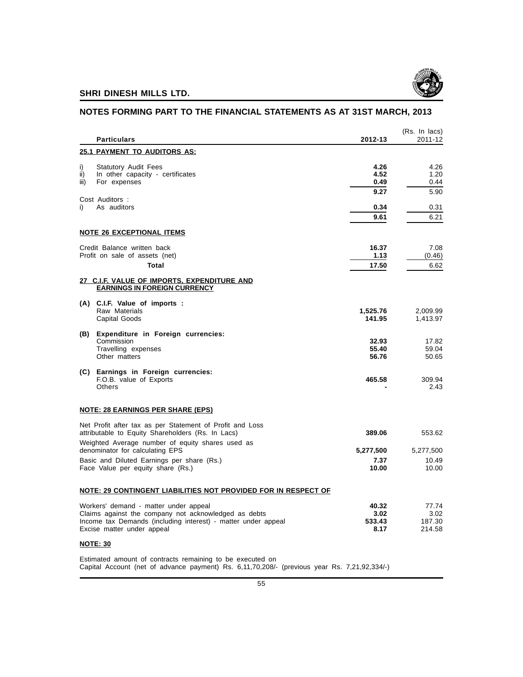

## **NOTES FORMING PART TO THE FINANCIAL STATEMENTS AS AT 31ST MARCH, 2013**

|                   | <b>Particulars</b>                                                                                                                                                                           | 2012-13                         | (Rs. In lacs)<br>2011-12          |
|-------------------|----------------------------------------------------------------------------------------------------------------------------------------------------------------------------------------------|---------------------------------|-----------------------------------|
|                   | <b>25.1 PAYMENT TO AUDITORS AS:</b>                                                                                                                                                          |                                 |                                   |
| i)<br>ii)<br>iii) | <b>Statutory Audit Fees</b><br>In other capacity - certificates<br>For expenses                                                                                                              | 4.26<br>4.52<br>0.49            | 4.26<br>1.20<br>0.44              |
|                   | Cost Auditors:                                                                                                                                                                               | 9.27                            | 5.90                              |
| i)                | As auditors                                                                                                                                                                                  | 0.34<br>9.61                    | 0.31<br>6.21                      |
|                   | <b>NOTE 26 EXCEPTIONAL ITEMS</b>                                                                                                                                                             |                                 |                                   |
|                   | Credit Balance written back<br>Profit on sale of assets (net)<br>Total                                                                                                                       | 16.37<br>1.13<br>17.50          | 7.08<br>(0.46)<br>6.62            |
|                   | 27 C.I.F. VALUE OF IMPORTS, EXPENDITURE AND<br><b>EARNINGS IN FOREIGN CURRENCY</b>                                                                                                           |                                 |                                   |
|                   | (A) C.I.F. Value of imports :<br>Raw Materials<br>Capital Goods                                                                                                                              | 1,525.76<br>141.95              | 2,009.99<br>1,413.97              |
| (B)               | Expenditure in Foreign currencies:<br>Commission<br>Travelling expenses<br>Other matters                                                                                                     | 32.93<br>55.40<br>56.76         | 17.82<br>59.04<br>50.65           |
|                   | (C) Earnings in Foreign currencies:<br>F.O.B. value of Exports<br><b>Others</b>                                                                                                              | 465.58                          | 309.94<br>2.43                    |
|                   | <u>NOTE: 28 EARNINGS PER SHARE (EPS)</u>                                                                                                                                                     |                                 |                                   |
|                   | Net Profit after tax as per Statement of Profit and Loss<br>attributable to Equity Shareholders (Rs. In Lacs)                                                                                | 389.06                          | 553.62                            |
|                   | Weighted Average number of equity shares used as<br>denominator for calculating EPS                                                                                                          | 5,277,500                       | 5,277,500                         |
|                   | Basic and Diluted Earnings per share (Rs.)<br>Face Value per equity share (Rs.)                                                                                                              | 7.37<br>10.00                   | 10.49<br>10.00                    |
|                   | <u>NOTE: 29 CONTINGENT LIABILITIES NOT PROVIDED FOR IN RESPECT OF</u>                                                                                                                        |                                 |                                   |
|                   | Workers' demand - matter under appeal<br>Claims against the company not acknowledged as debts<br>Income tax Demands (including interest) - matter under appeal<br>Excise matter under appeal | 40.32<br>3.02<br>533.43<br>8.17 | 77.74<br>3.02<br>187.30<br>214.58 |
|                   | <b>NOTE: 30</b>                                                                                                                                                                              |                                 |                                   |
|                   | Estimated amount of contracts remaining to be executed on<br>Capital Account (net of advance payment) Rs. 6,11,70,208/- (previous year Rs. 7,21,92,334/-)                                    |                                 |                                   |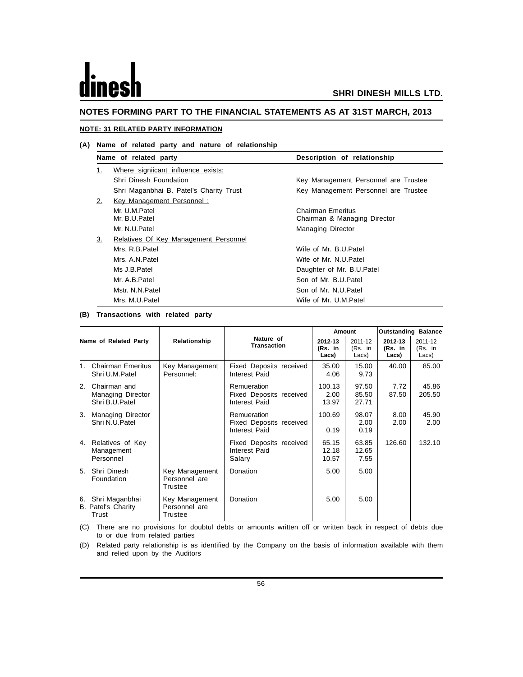# les

#### **NOTES FORMING PART TO THE FINANCIAL STATEMENTS AS AT 31ST MARCH, 2013**

#### **NOTE: 31 RELATED PARTY INFORMATION**

#### **(A) Name of related party and nature of relationship**

|    | Name of related party                   | Description of relationship                       |
|----|-----------------------------------------|---------------------------------------------------|
| 1. | Where signiicant influence exists:      |                                                   |
|    | Shri Dinesh Foundation                  | Key Management Personnel are Trustee              |
|    | Shri Maganbhai B. Patel's Charity Trust | Key Management Personnel are Trustee              |
| 2. | <b>Key Management Personnel:</b>        |                                                   |
|    | Mr. U.M.Patel<br>Mr. B.U.Patel          | Chairman Emeritus<br>Chairman & Managing Director |
|    | Mr. N.U.Patel                           | <b>Managing Director</b>                          |
| 3. | Relatives Of Key Management Personnel   |                                                   |
|    | Mrs. R.B.Patel                          | Wife of Mr. B.U.Patel                             |
|    | Mrs. A.N. Patel                         | Wife of Mr. N.U.Patel                             |
|    | Ms J.B.Patel                            | Daughter of Mr. B.U.Patel                         |
|    | Mr. A.B.Patel                           | Son of Mr. B.U.Patel                              |
|    | Mstr. N.N.Patel                         | Son of Mr. N.U.Patel                              |
|    | Mrs. M.U.Patel                          | Wife of Mr. U.M.Patel                             |

#### **(B) Transactions with related party**

|                |                                                      |                                            |                                                         |                             | Amount                      |                             | <b>Outstanding Balance</b>  |
|----------------|------------------------------------------------------|--------------------------------------------|---------------------------------------------------------|-----------------------------|-----------------------------|-----------------------------|-----------------------------|
|                | Name of Related Party                                | Relationship                               | Nature of<br><b>Transaction</b>                         | 2012-13<br>(Rs. in<br>Lacs) | 2011-12<br>(Rs. in<br>Lacs) | 2012-13<br>(Rs. in<br>Lacs) | 2011-12<br>(Rs. in<br>Lacs) |
| 1 <sup>1</sup> | <b>Chairman Emeritus</b><br>Shri U.M.Patel           | Key Management<br>Personnel:               | Fixed Deposits received<br>Interest Paid                | 35.00<br>4.06               | 15.00<br>9.73               | 40.00                       | 85.00                       |
| 2.             | Chairman and<br>Managing Director<br>Shri B.U.Patel  |                                            | Remueration<br>Fixed Deposits received<br>Interest Paid | 100.13<br>2.00<br>13.97     | 97.50<br>85.50<br>27.71     | 7.72<br>87.50               | 45.86<br>205.50             |
| 3.             | Managing Director<br>Shri N.U.Patel                  |                                            | Remueration<br>Fixed Deposits received<br>Interest Paid | 100.69<br>0.19              | 98.07<br>2.00<br>0.19       | 8.00<br>2.00                | 45.90<br>2.00               |
| 4.             | Relatives of Key<br>Management<br>Personnel          |                                            | Fixed Deposits received<br>Interest Paid<br>Salary      | 65.15<br>12.18<br>10.57     | 63.85<br>12.65<br>7.55      | 126.60                      | 132.10                      |
| 5 <sub>1</sub> | Shri Dinesh<br>Foundation                            | Key Management<br>Personnel are<br>Trustee | Donation                                                | 5.00                        | 5.00                        |                             |                             |
| 6.             | Shri Maganbhai<br><b>B. Patel's Charity</b><br>Trust | Key Management<br>Personnel are<br>Trustee | Donation                                                | 5.00                        | 5.00                        |                             |                             |

(C) There are no provisions for doubtul debts or amounts written off or written back in respect of debts due to or due from related parties

(D) Related party relationship is as identified by the Company on the basis of information available with them and relied upon by the Auditors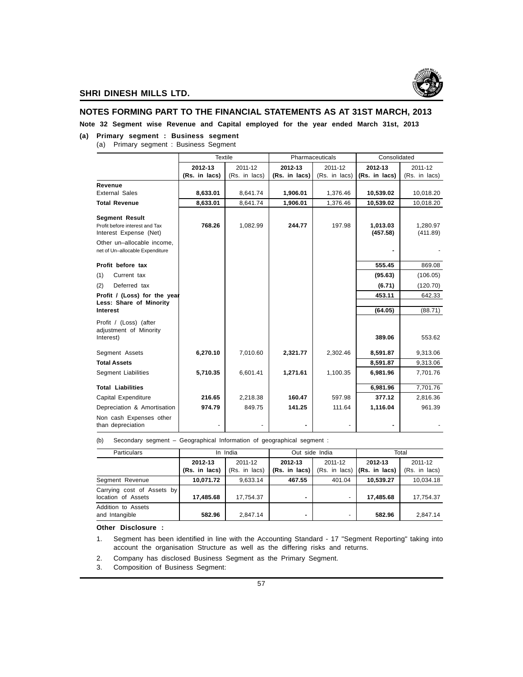

#### **NOTES FORMING PART TO THE FINANCIAL STATEMENTS AS AT 31ST MARCH, 2013**

**Note 32 Segment wise Revenue and Capital employed for the year ended March 31st, 2013**

#### **(a) Primary segment : Business segment**

(a) Primary segment : Business Segment

|                                                               | Textile       |               |               | Pharmaceuticals | Consolidated         |                      |
|---------------------------------------------------------------|---------------|---------------|---------------|-----------------|----------------------|----------------------|
|                                                               | 2012-13       | 2011-12       | 2012-13       | 2011-12         | 2012-13              | 2011-12              |
|                                                               | (Rs. in lacs) | (Rs. in lacs) | (Rs. in lacs) | (Rs. in lacs)   | (Rs. in lacs)        | (Rs. in lacs)        |
| Revenue                                                       |               |               |               |                 |                      |                      |
| <b>External Sales</b>                                         | 8,633.01      | 8,641.74      | 1,906.01      | 1,376.46        | 10,539.02            | 10,018.20            |
| <b>Total Revenue</b>                                          | 8,633.01      | 8,641.74      | 1,906.01      | 1,376.46        | 10,539.02            | 10,018.20            |
| <b>Segment Result</b>                                         |               |               |               |                 |                      |                      |
| Profit before interest and Tax<br>Interest Expense (Net)      | 768.26        | 1,082.99      | 244.77        | 197.98          | 1,013.03<br>(457.58) | 1,280.97<br>(411.89) |
| Other un-allocable income,<br>net of Un-allocable Expenditure |               |               |               |                 |                      |                      |
| Profit before tax                                             |               |               |               |                 | 555.45               | 869.08               |
| (1)<br>Current tax                                            |               |               |               |                 | (95.63)              | (106.05)             |
| Deferred tax<br>(2)                                           |               |               |               |                 | (6.71)               | (120.70)             |
| Profit / (Loss) for the year                                  |               |               |               |                 | 453.11               | 642.33               |
| Less: Share of Minority<br>Interest                           |               |               |               |                 |                      |                      |
|                                                               |               |               |               |                 | (64.05)              | (88.71)              |
| Profit / (Loss) (after<br>adjustment of Minority<br>Interest) |               |               |               |                 | 389.06               | 553.62               |
|                                                               |               |               |               |                 |                      |                      |
| Segment Assets                                                | 6,270.10      | 7,010.60      | 2,321.77      | 2,302.46        | 8,591.87             | 9,313.06             |
| <b>Total Assets</b>                                           |               |               |               |                 | 8,591.87             | 9,313.06             |
| <b>Segment Liabilities</b>                                    | 5,710.35      | 6,601.41      | 1,271.61      | 1,100.35        | 6,981.96             | 7,701.76             |
| <b>Total Liabilities</b>                                      |               |               |               |                 | 6,981.96             | 7,701.76             |
| Capital Expenditure                                           | 216.65        | 2,218.38      | 160.47        | 597.98          | 377.12               | 2,816.36             |
| Depreciation & Amortisation                                   | 974.79        | 849.75        | 141.25        | 111.64          | 1.116.04             | 961.39               |
| Non cash Expenses other<br>than depreciation                  |               |               |               |                 |                      |                      |

(b) Secondary segment – Geographical Information of geographical segment :

| Particulars                                      |                          | In India                 | Out side India             |                          |                                                            | Total                    |
|--------------------------------------------------|--------------------------|--------------------------|----------------------------|--------------------------|------------------------------------------------------------|--------------------------|
|                                                  | 2012-13<br>(Rs. in lacs) | 2011-12<br>(Rs. in lacs) | 2012-13<br>$(Rs. in lacs)$ | 2011-12                  | 2012-13<br>$(Rs. in \text{ lacs})$ $(Rs. in \text{ lacs})$ | 2011-12<br>(Rs. in lacs) |
| Segment Revenue                                  | 10.071.72                | 9.633.14                 | 467.55                     | 401.04                   | 10.539.27                                                  | 10.034.18                |
| Carrying cost of Assets by<br>location of Assets | 17.485.68                | 17.754.37                | -                          | $\overline{\phantom{0}}$ | 17.485.68                                                  | 17.754.37                |
| Addition to Assets<br>and Intangible             | 582.96                   | 2.847.14                 |                            | $\overline{\phantom{0}}$ | 582.96                                                     | 2.847.14                 |

**Other Disclosure :**

1. Segment has been identified in line with the Accounting Standard - 17 "Segment Reporting" taking into account the organisation Structure as well as the differing risks and returns.

2. Company has disclosed Business Segment as the Primary Segment.

3. Composition of Business Segment: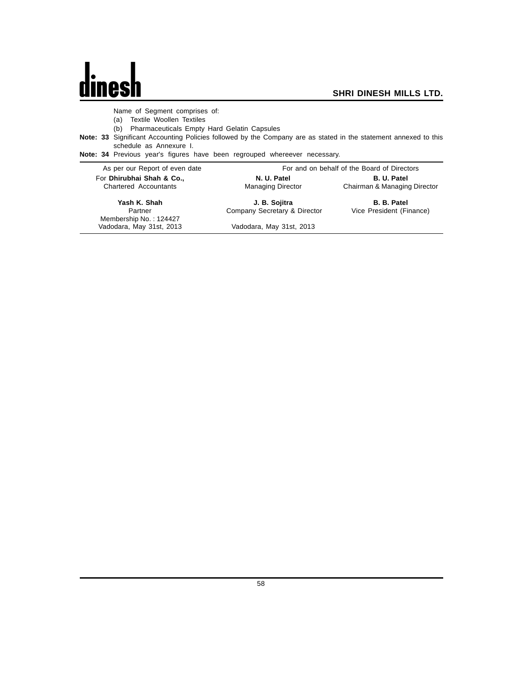## $\mathbf{d}$ nes

 $\overline{\phantom{a}}$ 

Name of Segment comprises of:

(a) Textile Woollen Textiles

(b) Pharmaceuticals Empty Hard Gelatin Capsules

**Note: 33** Significant Accounting Policies followed by the Company are as stated in the statement annexed to this schedule as Annexure I.

**Note: 34** Previous year's figures have been regrouped whereever necessary.

| As per our Report of even date    |                              | For and on behalf of the Board of Directors |
|-----------------------------------|------------------------------|---------------------------------------------|
| For Dhirubhai Shah & Co.,         | N. U. Patel                  | <b>B. U. Patel</b>                          |
| Chartered Accountants             | <b>Managing Director</b>     | Chairman & Managing Director                |
| Yash K. Shah                      | J. B. Sojitra                | <b>B. B. Patel</b>                          |
| Partner<br>Membership No.: 124427 | Company Secretary & Director | Vice President (Finance)                    |
| Vadodara, May 31st, 2013          | Vadodara, May 31st, 2013     |                                             |
|                                   |                              |                                             |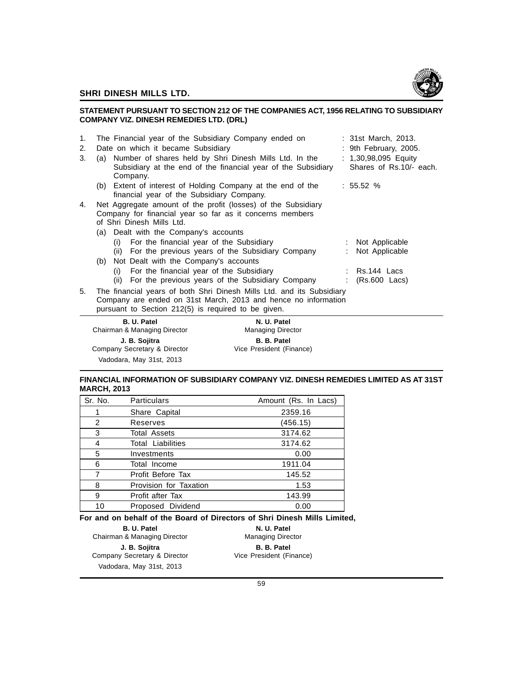

#### **STATEMENT PURSUANT TO SECTION 212 OF THE COMPANIES ACT, 1956 RELATING TO SUBSIDIARY COMPANY VIZ. DINESH REMEDIES LTD. (DRL)**

| 1.<br>2. | The Financial year of the Subsidiary Company ended on<br>: 31st March, 2013.<br>Date on which it became Subsidiary<br>: 9th February, 2005.                                                    |
|----------|------------------------------------------------------------------------------------------------------------------------------------------------------------------------------------------------|
| 3.       | : 1,30,98,095 Equity<br>Number of shares held by Shri Dinesh Mills Ltd. In the<br>(a)<br>Shares of Rs.10/- each.<br>Subsidiary at the end of the financial year of the Subsidiary<br>Company.  |
|          | (b) Extent of interest of Holding Company at the end of the<br>: 55.52%<br>financial year of the Subsidiary Company.                                                                           |
| 4.       | Net Aggregate amount of the profit (losses) of the Subsidiary<br>Company for financial year so far as it concerns members<br>of Shri Dinesh Mills Ltd.                                         |
|          | (a) Dealt with the Company's accounts                                                                                                                                                          |
|          | (i) For the financial year of the Subsidiary<br>: Not Applicable<br>(ii) For the previous years of the Subsidiary Company<br>Not Applicable<br>(b) Not Dealt with the Company's accounts       |
|          | (i) For the financial year of the Subsidiary<br>$:$ Rs.144 Lacs<br>For the previous years of the Subsidiary Company<br>$(Rs.600$ Lacs)<br>(ii)                                                 |
| 5.       | The financial years of both Shri Dinesh Mills Ltd. and its Subsidiary<br>Company are ended on 31st March, 2013 and hence no information<br>pursuant to Section 212(5) is required to be given. |
|          | B. U. Patel<br>N. U. Patel<br>Chairman & Managing Director<br><b>Managing Director</b>                                                                                                         |

#### **FINANCIAL INFORMATION OF SUBSIDIARY COMPANY VIZ. DINESH REMEDIES LIMITED AS AT 31ST MARCH, 2013**

| Sr. No. | <b>Particulars</b>       | Amount (Rs. In Lacs) |
|---------|--------------------------|----------------------|
|         | Share Capital            | 2359.16              |
| 2       | Reserves                 | (456.15)             |
| 3       | <b>Total Assets</b>      | 3174.62              |
| 4       | <b>Total Liabilities</b> | 3174.62              |
| 5       | Investments              | 0.00                 |
| 6       | Total Income             | 1911.04              |
| 7       | Profit Before Tax        | 145.52               |
| 8       | Provision for Taxation   | 1.53                 |
| 9       | Profit after Tax         | 143.99               |
| 10      | Proposed Dividend        | 0.00                 |

**J. B. Sojitra B. B. Patel**<br> **B. B. Patel**<br> **Director** Vice President (Finance)

**For and on behalf of the Board of Directors of Shri Dinesh Mills Limited,**

**B. U. Patel N. U. Patel N. U. Patel N. U. Patel**<br>
R. Managing Director Managing Director Chairman & Managing Director Company Secretary & Director Vadodara, May 31st, 2013

Company Secretary & Director Vadodara, May 31st, 2013

**J. B. Sojitra B. B. Patel**<br> **B. B. Patel**<br> **B. B. Patel**<br> **B. B. Patel**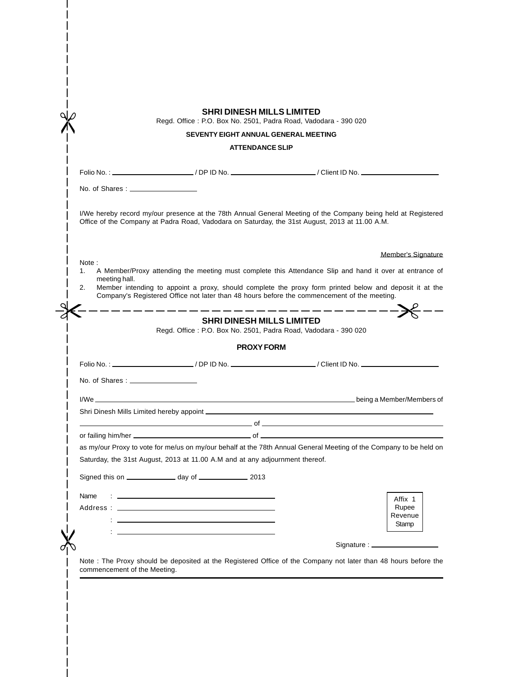|                              |                                                                                                                                                                                                                                      | <b>SHRI DINESH MILLS LIMITED</b> | Regd. Office: P.O. Box No. 2501, Padra Road, Vadodara - 390 020                                                                                                                                                                                                     |                                  |
|------------------------------|--------------------------------------------------------------------------------------------------------------------------------------------------------------------------------------------------------------------------------------|----------------------------------|---------------------------------------------------------------------------------------------------------------------------------------------------------------------------------------------------------------------------------------------------------------------|----------------------------------|
|                              |                                                                                                                                                                                                                                      |                                  | SEVENTY EIGHT ANNUAL GENERAL MEETING                                                                                                                                                                                                                                |                                  |
|                              |                                                                                                                                                                                                                                      | <b>ATTENDANCE SLIP</b>           |                                                                                                                                                                                                                                                                     |                                  |
|                              |                                                                                                                                                                                                                                      |                                  |                                                                                                                                                                                                                                                                     |                                  |
|                              | No. of Shares: ____________________                                                                                                                                                                                                  |                                  |                                                                                                                                                                                                                                                                     |                                  |
|                              |                                                                                                                                                                                                                                      |                                  | I/We hereby record my/our presence at the 78th Annual General Meeting of the Company being held at Registered<br>Office of the Company at Padra Road, Vadodara on Saturday, the 31st August, 2013 at 11.00 A.M.                                                     |                                  |
|                              |                                                                                                                                                                                                                                      |                                  |                                                                                                                                                                                                                                                                     | Member's Signature               |
| Note:<br>1.                  |                                                                                                                                                                                                                                      |                                  | A Member/Proxy attending the meeting must complete this Attendance Slip and hand it over at entrance of                                                                                                                                                             |                                  |
| meeting hall.<br>2.          |                                                                                                                                                                                                                                      |                                  | Member intending to appoint a proxy, should complete the proxy form printed below and deposit it at the<br>Company's Registered Office not later than 48 hours before the commencement of the meeting.                                                              |                                  |
|                              |                                                                                                                                                                                                                                      |                                  | _ __ __ __ __ __ __ __ __ __ __ __                                                                                                                                                                                                                                  |                                  |
|                              |                                                                                                                                                                                                                                      | <b>SHRI DINESH MILLS LIMITED</b> | Regd. Office: P.O. Box No. 2501, Padra Road, Vadodara - 390 020                                                                                                                                                                                                     |                                  |
|                              |                                                                                                                                                                                                                                      | <b>PROXY FORM</b>                |                                                                                                                                                                                                                                                                     |                                  |
|                              |                                                                                                                                                                                                                                      |                                  | Folio No.: _______________________/ DP ID No. _____________________/ Client ID No. _________________                                                                                                                                                                |                                  |
|                              |                                                                                                                                                                                                                                      |                                  |                                                                                                                                                                                                                                                                     |                                  |
|                              |                                                                                                                                                                                                                                      |                                  |                                                                                                                                                                                                                                                                     |                                  |
|                              |                                                                                                                                                                                                                                      |                                  |                                                                                                                                                                                                                                                                     |                                  |
|                              |                                                                                                                                                                                                                                      |                                  |                                                                                                                                                                                                                                                                     |                                  |
|                              |                                                                                                                                                                                                                                      |                                  | $\sim$ 0.000 $\sim$ 0.000 $\sim$ 0.000 $\sim$ 0.000 $\sim$ 0.000 $\sim$ 0.000 $\sim$ 0.000 $\sim$ 0.000 $\sim$ 0.000 $\sim$ 0.000 $\sim$ 0.000 $\sim$ 0.000 $\sim$ 0.000 $\sim$ 0.000 $\sim$ 0.000 $\sim$ 0.000 $\sim$ 0.000 $\sim$ 0.000 $\sim$ 0.000 $\sim$ 0.000 |                                  |
|                              |                                                                                                                                                                                                                                      |                                  |                                                                                                                                                                                                                                                                     |                                  |
|                              |                                                                                                                                                                                                                                      |                                  | as my/our Proxy to vote for me/us on my/our behalf at the 78th Annual General Meeting of the Company to be held on                                                                                                                                                  |                                  |
|                              | Saturday, the 31st August, 2013 at 11.00 A.M and at any adjournment thereof.                                                                                                                                                         |                                  |                                                                                                                                                                                                                                                                     |                                  |
|                              | Signed this on ________________ day of _________________ 2013                                                                                                                                                                        |                                  |                                                                                                                                                                                                                                                                     |                                  |
| Name                         | <u>state and the state of the state of the state of the state of the state of the state of the state of the state of the state of the state of the state of the state of the state of the state of the state of the state of the</u> |                                  |                                                                                                                                                                                                                                                                     | Affix 1                          |
| Address :                    |                                                                                                                                                                                                                                      |                                  |                                                                                                                                                                                                                                                                     | Rupee                            |
|                              |                                                                                                                                                                                                                                      |                                  |                                                                                                                                                                                                                                                                     | Revenue<br>Stamp                 |
|                              |                                                                                                                                                                                                                                      |                                  |                                                                                                                                                                                                                                                                     |                                  |
|                              |                                                                                                                                                                                                                                      |                                  |                                                                                                                                                                                                                                                                     | Signature : ____________________ |
| commencement of the Meeting. |                                                                                                                                                                                                                                      |                                  | Note : The Proxy should be deposited at the Registered Office of the Company not later than 48 hours before the                                                                                                                                                     |                                  |

I